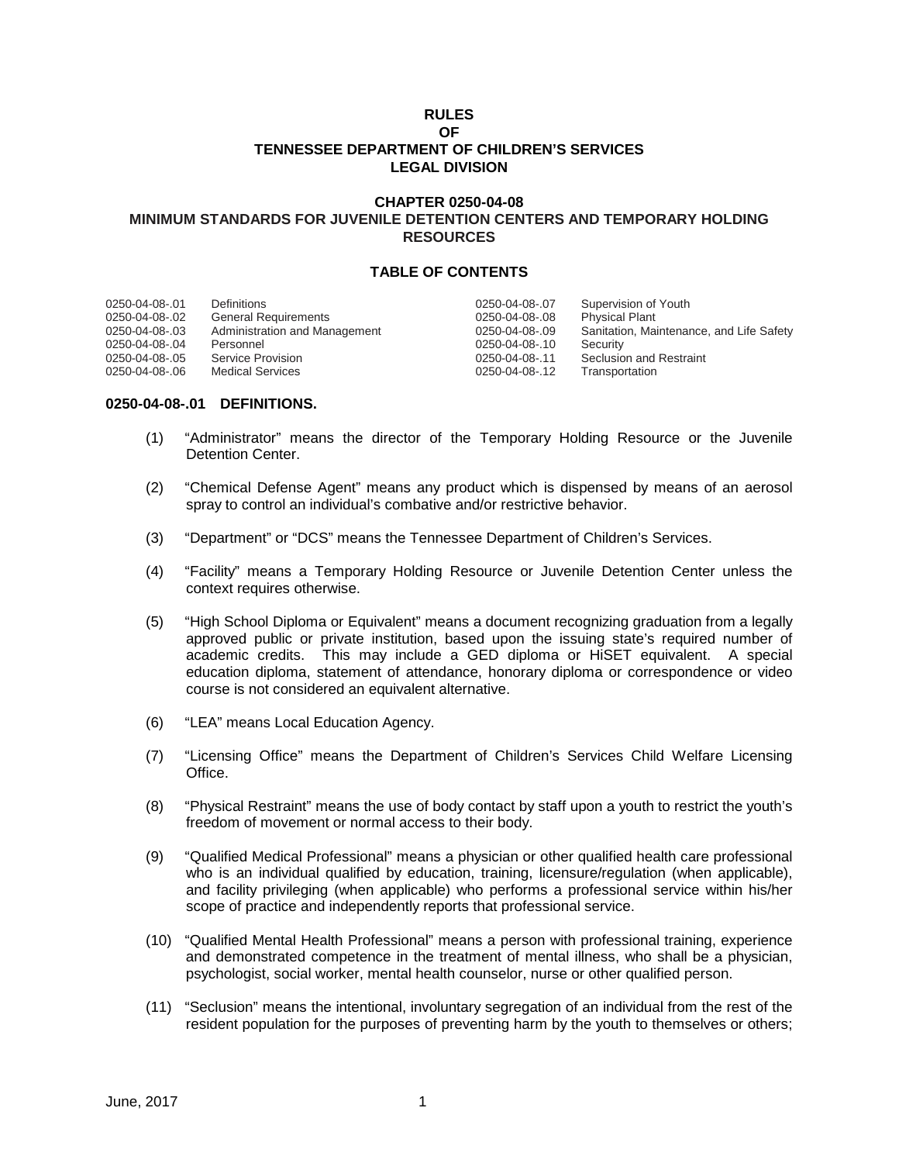# **RULES OF TENNESSEE DEPARTMENT OF CHILDREN'S SERVICES LEGAL DIVISION**

# **CHAPTER 0250-04-08 MINIMUM STANDARDS FOR JUVENILE DETENTION CENTERS AND TEMPORARY HOLDING RESOURCES**

### **TABLE OF CONTENTS**

| 0250-04-08-.01 | Definitions                   | 0250-04-08-.07 | Supervision of Youth                     |
|----------------|-------------------------------|----------------|------------------------------------------|
| 0250-04-08-.02 | <b>General Requirements</b>   | 0250-04-08-.08 | <b>Physical Plant</b>                    |
| 0250-04-08-.03 | Administration and Management | 0250-04-08-.09 | Sanitation, Maintenance, and Life Safety |
| 0250-04-08-.04 | Personnel                     | 0250-04-08-.10 | Security                                 |
| 0250-04-08-.05 | Service Provision             | 0250-04-08-.11 | <b>Seclusion and Restraint</b>           |
| 0250-04-08-.06 | <b>Medical Services</b>       | 0250-04-08-.12 | Transportation                           |

### **0250-04-08-.01 DEFINITIONS.**

- (1) "Administrator" means the director of the Temporary Holding Resource or the Juvenile Detention Center.
- (2) "Chemical Defense Agent" means any product which is dispensed by means of an aerosol spray to control an individual's combative and/or restrictive behavior.
- (3) "Department" or "DCS" means the Tennessee Department of Children's Services.
- (4) "Facility" means a Temporary Holding Resource or Juvenile Detention Center unless the context requires otherwise.
- (5) "High School Diploma or Equivalent" means a document recognizing graduation from a legally approved public or private institution, based upon the issuing state's required number of academic credits. This may include a GED diploma or HiSET equivalent. A special education diploma, statement of attendance, honorary diploma or correspondence or video course is not considered an equivalent alternative.
- (6) "LEA" means Local Education Agency.
- (7) "Licensing Office" means the Department of Children's Services Child Welfare Licensing Office.
- (8) "Physical Restraint" means the use of body contact by staff upon a youth to restrict the youth's freedom of movement or normal access to their body.
- (9) "Qualified Medical Professional" means a physician or other qualified health care professional who is an individual qualified by education, training, licensure/regulation (when applicable), and facility privileging (when applicable) who performs a professional service within his/her scope of practice and independently reports that professional service.
- (10) "Qualified Mental Health Professional" means a person with professional training, experience and demonstrated competence in the treatment of mental illness, who shall be a physician, psychologist, social worker, mental health counselor, nurse or other qualified person.
- (11) "Seclusion" means the intentional, involuntary segregation of an individual from the rest of the resident population for the purposes of preventing harm by the youth to themselves or others;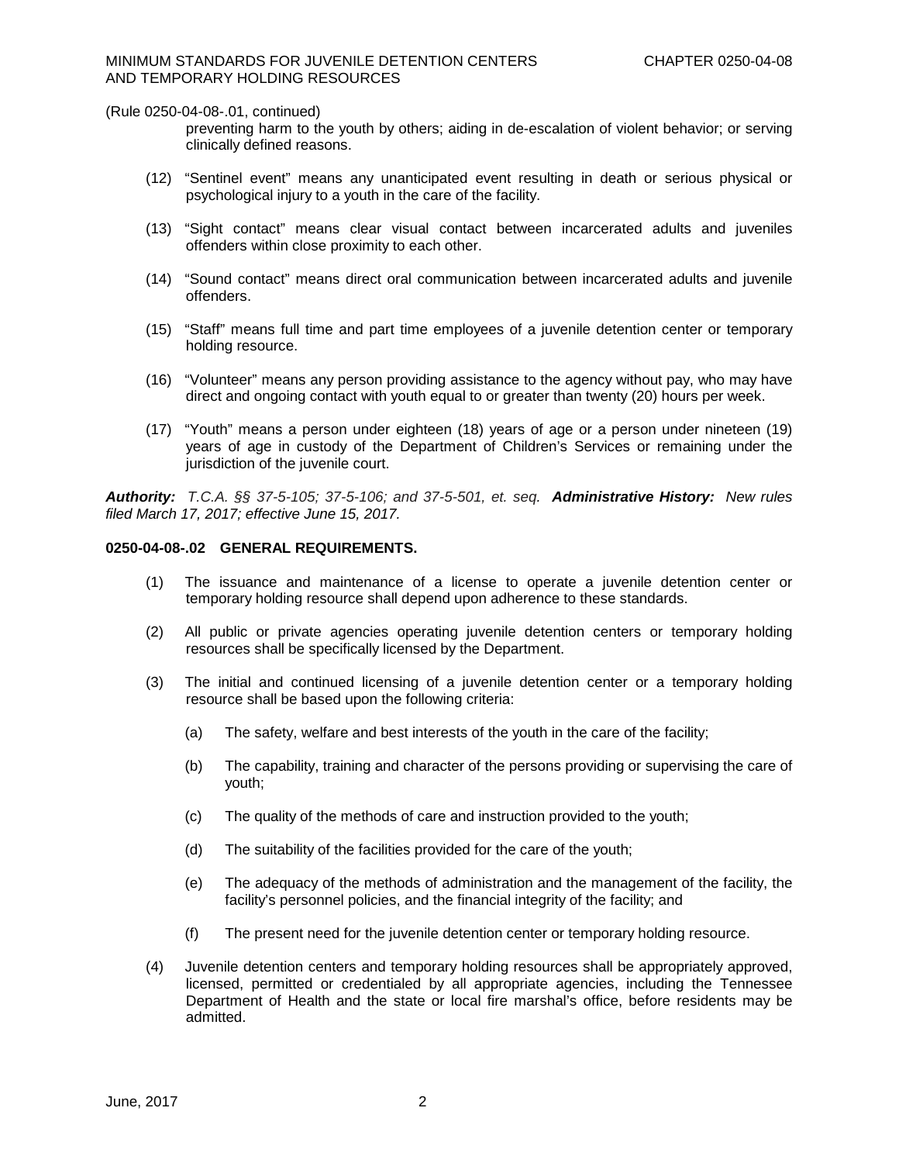preventing harm to the youth by others; aiding in de-escalation of violent behavior; or serving clinically defined reasons.

- (12) "Sentinel event" means any unanticipated event resulting in death or serious physical or psychological injury to a youth in the care of the facility.
- (13) "Sight contact" means clear visual contact between incarcerated adults and juveniles offenders within close proximity to each other.
- (14) "Sound contact" means direct oral communication between incarcerated adults and juvenile offenders.
- (15) "Staff" means full time and part time employees of a juvenile detention center or temporary holding resource.
- (16) "Volunteer" means any person providing assistance to the agency without pay, who may have direct and ongoing contact with youth equal to or greater than twenty (20) hours per week.
- (17) "Youth" means a person under eighteen (18) years of age or a person under nineteen (19) years of age in custody of the Department of Children's Services or remaining under the jurisdiction of the juvenile court.

*Authority: T.C.A. §§ 37-5-105; 37-5-106; and 37-5-501, et. seq. Administrative History:**New rules filed March 17, 2017; effective June 15, 2017.*

### **0250-04-08-.02 GENERAL REQUIREMENTS.**

- (1) The issuance and maintenance of a license to operate a juvenile detention center or temporary holding resource shall depend upon adherence to these standards.
- (2) All public or private agencies operating juvenile detention centers or temporary holding resources shall be specifically licensed by the Department.
- (3) The initial and continued licensing of a juvenile detention center or a temporary holding resource shall be based upon the following criteria:
	- (a) The safety, welfare and best interests of the youth in the care of the facility;
	- (b) The capability, training and character of the persons providing or supervising the care of youth;
	- (c) The quality of the methods of care and instruction provided to the youth;
	- (d) The suitability of the facilities provided for the care of the youth;
	- (e) The adequacy of the methods of administration and the management of the facility, the facility's personnel policies, and the financial integrity of the facility; and
	- (f) The present need for the juvenile detention center or temporary holding resource.
- (4) Juvenile detention centers and temporary holding resources shall be appropriately approved, licensed, permitted or credentialed by all appropriate agencies, including the Tennessee Department of Health and the state or local fire marshal's office, before residents may be admitted.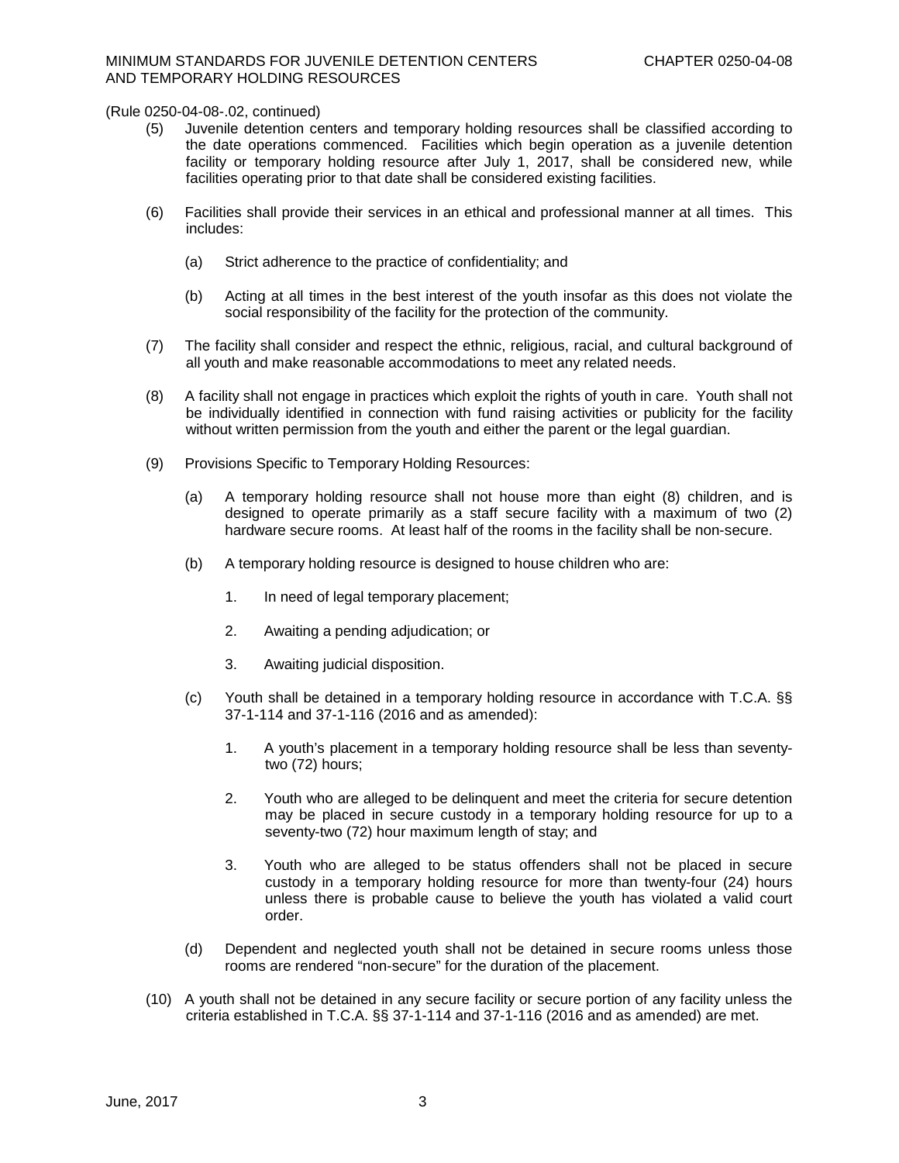- (5) Juvenile detention centers and temporary holding resources shall be classified according to the date operations commenced. Facilities which begin operation as a juvenile detention facility or temporary holding resource after July 1, 2017, shall be considered new, while facilities operating prior to that date shall be considered existing facilities.
- (6) Facilities shall provide their services in an ethical and professional manner at all times. This includes:
	- (a) Strict adherence to the practice of confidentiality; and
	- (b) Acting at all times in the best interest of the youth insofar as this does not violate the social responsibility of the facility for the protection of the community.
- (7) The facility shall consider and respect the ethnic, religious, racial, and cultural background of all youth and make reasonable accommodations to meet any related needs.
- (8) A facility shall not engage in practices which exploit the rights of youth in care. Youth shall not be individually identified in connection with fund raising activities or publicity for the facility without written permission from the youth and either the parent or the legal guardian.
- (9) Provisions Specific to Temporary Holding Resources:
	- (a) A temporary holding resource shall not house more than eight (8) children, and is designed to operate primarily as a staff secure facility with a maximum of two (2) hardware secure rooms. At least half of the rooms in the facility shall be non-secure.
	- (b) A temporary holding resource is designed to house children who are:
		- 1. In need of legal temporary placement;
		- 2. Awaiting a pending adjudication; or
		- 3. Awaiting judicial disposition.
	- (c) Youth shall be detained in a temporary holding resource in accordance with T.C.A. §§ 37-1-114 and 37-1-116 (2016 and as amended):
		- 1. A youth's placement in a temporary holding resource shall be less than seventytwo (72) hours;
		- 2. Youth who are alleged to be delinquent and meet the criteria for secure detention may be placed in secure custody in a temporary holding resource for up to a seventy-two (72) hour maximum length of stay; and
		- 3. Youth who are alleged to be status offenders shall not be placed in secure custody in a temporary holding resource for more than twenty-four (24) hours unless there is probable cause to believe the youth has violated a valid court order.
	- (d) Dependent and neglected youth shall not be detained in secure rooms unless those rooms are rendered "non-secure" for the duration of the placement.
- (10) A youth shall not be detained in any secure facility or secure portion of any facility unless the criteria established in T.C.A. §§ 37-1-114 and 37-1-116 (2016 and as amended) are met.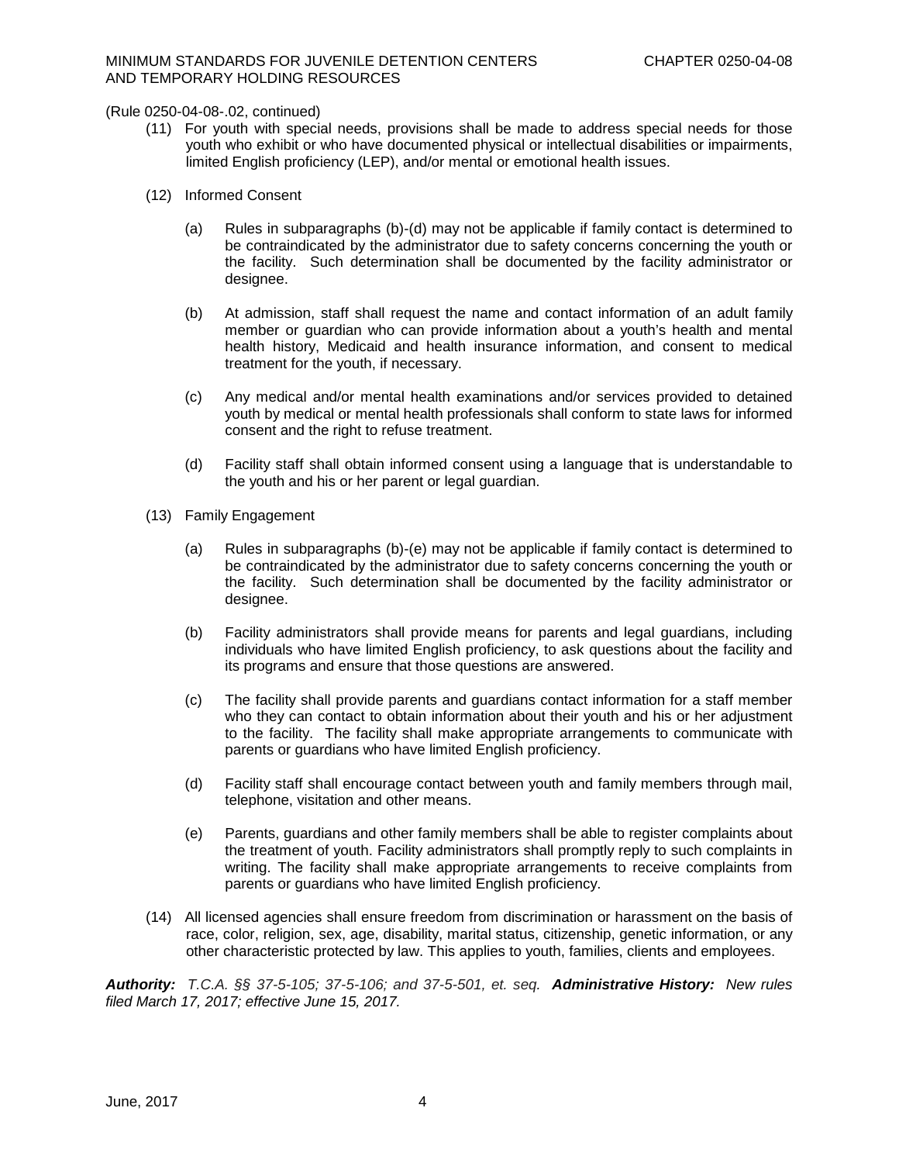- (11) For youth with special needs, provisions shall be made to address special needs for those youth who exhibit or who have documented physical or intellectual disabilities or impairments, limited English proficiency (LEP), and/or mental or emotional health issues.
- (12) Informed Consent
	- (a) Rules in subparagraphs (b)-(d) may not be applicable if family contact is determined to be contraindicated by the administrator due to safety concerns concerning the youth or the facility. Such determination shall be documented by the facility administrator or designee.
	- (b) At admission, staff shall request the name and contact information of an adult family member or guardian who can provide information about a youth's health and mental health history, Medicaid and health insurance information, and consent to medical treatment for the youth, if necessary.
	- (c) Any medical and/or mental health examinations and/or services provided to detained youth by medical or mental health professionals shall conform to state laws for informed consent and the right to refuse treatment.
	- (d) Facility staff shall obtain informed consent using a language that is understandable to the youth and his or her parent or legal guardian.
- (13) Family Engagement
	- (a) Rules in subparagraphs (b)-(e) may not be applicable if family contact is determined to be contraindicated by the administrator due to safety concerns concerning the youth or the facility. Such determination shall be documented by the facility administrator or designee.
	- (b) Facility administrators shall provide means for parents and legal guardians, including individuals who have limited English proficiency, to ask questions about the facility and its programs and ensure that those questions are answered.
	- (c) The facility shall provide parents and guardians contact information for a staff member who they can contact to obtain information about their youth and his or her adjustment to the facility. The facility shall make appropriate arrangements to communicate with parents or guardians who have limited English proficiency.
	- (d) Facility staff shall encourage contact between youth and family members through mail, telephone, visitation and other means.
	- (e) Parents, guardians and other family members shall be able to register complaints about the treatment of youth. Facility administrators shall promptly reply to such complaints in writing. The facility shall make appropriate arrangements to receive complaints from parents or guardians who have limited English proficiency.
- (14) All licensed agencies shall ensure freedom from discrimination or harassment on the basis of race, color, religion, sex, age, disability, marital status, citizenship, genetic information, or any other characteristic protected by law. This applies to youth, families, clients and employees.

*Authority: T.C.A. §§ 37-5-105; 37-5-106; and 37-5-501, et. seq. Administrative History:**New rules filed March 17, 2017; effective June 15, 2017.*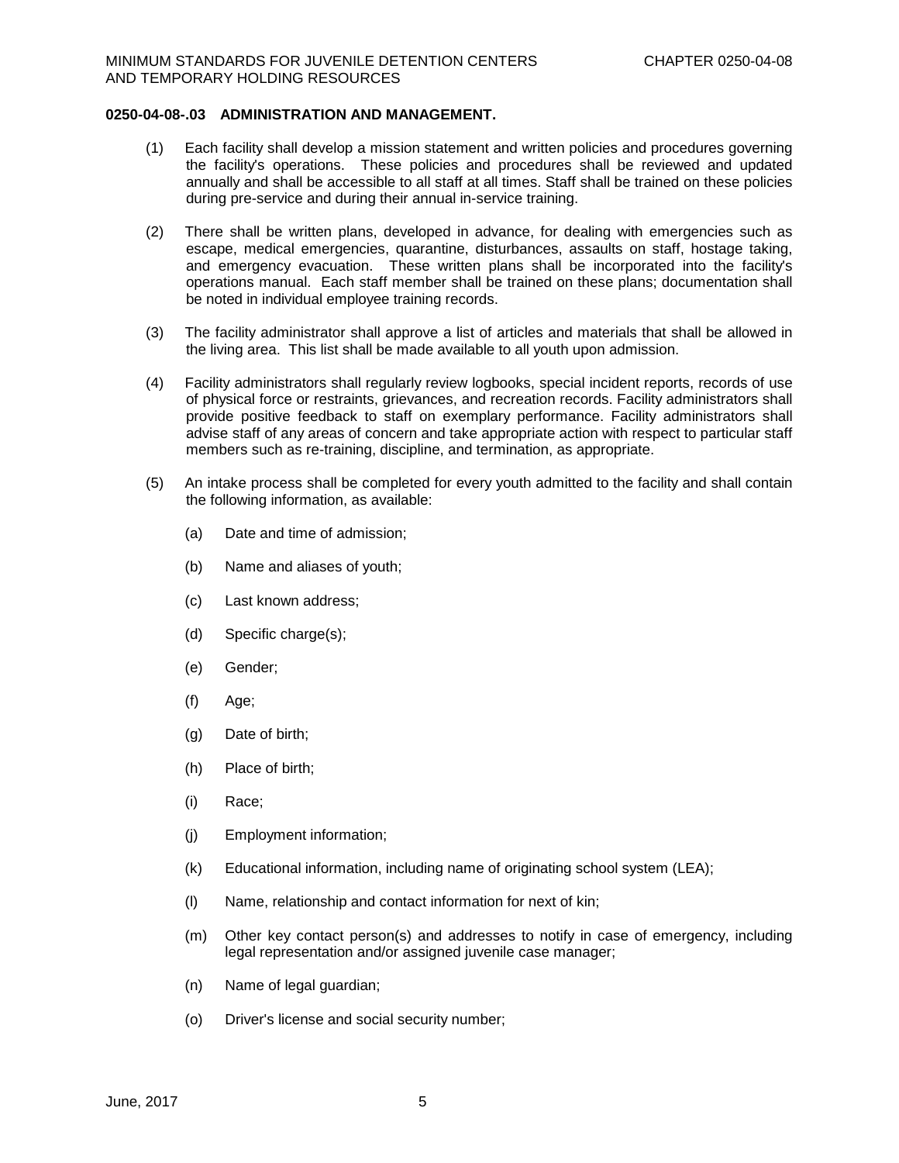## **0250-04-08-.03 ADMINISTRATION AND MANAGEMENT.**

- (1) Each facility shall develop a mission statement and written policies and procedures governing the facility's operations. These policies and procedures shall be reviewed and updated annually and shall be accessible to all staff at all times. Staff shall be trained on these policies during pre-service and during their annual in-service training.
- (2) There shall be written plans, developed in advance, for dealing with emergencies such as escape, medical emergencies, quarantine, disturbances, assaults on staff, hostage taking, and emergency evacuation. These written plans shall be incorporated into the facility's operations manual. Each staff member shall be trained on these plans; documentation shall be noted in individual employee training records.
- (3) The facility administrator shall approve a list of articles and materials that shall be allowed in the living area. This list shall be made available to all youth upon admission.
- (4) Facility administrators shall regularly review logbooks, special incident reports, records of use of physical force or restraints, grievances, and recreation records. Facility administrators shall provide positive feedback to staff on exemplary performance. Facility administrators shall advise staff of any areas of concern and take appropriate action with respect to particular staff members such as re-training, discipline, and termination, as appropriate.
- (5) An intake process shall be completed for every youth admitted to the facility and shall contain the following information, as available:
	- (a) Date and time of admission;
	- (b) Name and aliases of youth;
	- (c) Last known address;
	- (d) Specific charge(s);
	- (e) Gender;
	- (f) Age;
	- (g) Date of birth;
	- (h) Place of birth;
	- (i) Race;
	- (j) Employment information;
	- (k) Educational information, including name of originating school system (LEA);
	- (l) Name, relationship and contact information for next of kin;
	- (m) Other key contact person(s) and addresses to notify in case of emergency, including legal representation and/or assigned juvenile case manager;
	- (n) Name of legal guardian;
	- (o) Driver's license and social security number;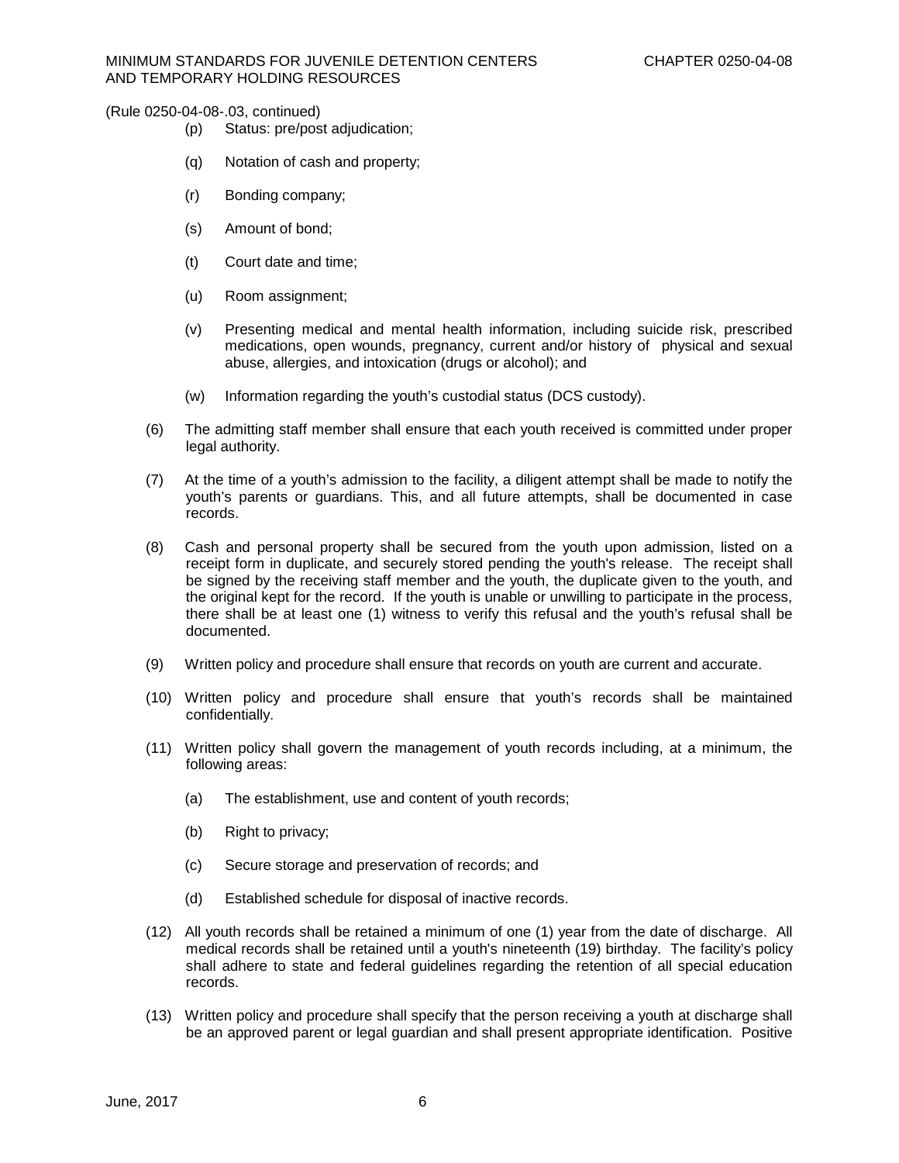- (p) Status: pre/post adjudication;
- (q) Notation of cash and property;
- (r) Bonding company;
- (s) Amount of bond;
- (t) Court date and time;
- (u) Room assignment;
- (v) Presenting medical and mental health information, including suicide risk, prescribed medications, open wounds, pregnancy, current and/or history of physical and sexual abuse, allergies, and intoxication (drugs or alcohol); and
- (w) Information regarding the youth's custodial status (DCS custody).
- (6) The admitting staff member shall ensure that each youth received is committed under proper legal authority.
- (7) At the time of a youth's admission to the facility, a diligent attempt shall be made to notify the youth's parents or guardians. This, and all future attempts, shall be documented in case records.
- (8) Cash and personal property shall be secured from the youth upon admission, listed on a receipt form in duplicate, and securely stored pending the youth's release. The receipt shall be signed by the receiving staff member and the youth, the duplicate given to the youth, and the original kept for the record. If the youth is unable or unwilling to participate in the process, there shall be at least one (1) witness to verify this refusal and the youth's refusal shall be documented.
- (9) Written policy and procedure shall ensure that records on youth are current and accurate.
- (10) Written policy and procedure shall ensure that youth's records shall be maintained confidentially.
- (11) Written policy shall govern the management of youth records including, at a minimum, the following areas:
	- (a) The establishment, use and content of youth records;
	- (b) Right to privacy;
	- (c) Secure storage and preservation of records; and
	- (d) Established schedule for disposal of inactive records.
- (12) All youth records shall be retained a minimum of one (1) year from the date of discharge. All medical records shall be retained until a youth's nineteenth (19) birthday. The facility's policy shall adhere to state and federal guidelines regarding the retention of all special education records.
- (13) Written policy and procedure shall specify that the person receiving a youth at discharge shall be an approved parent or legal guardian and shall present appropriate identification. Positive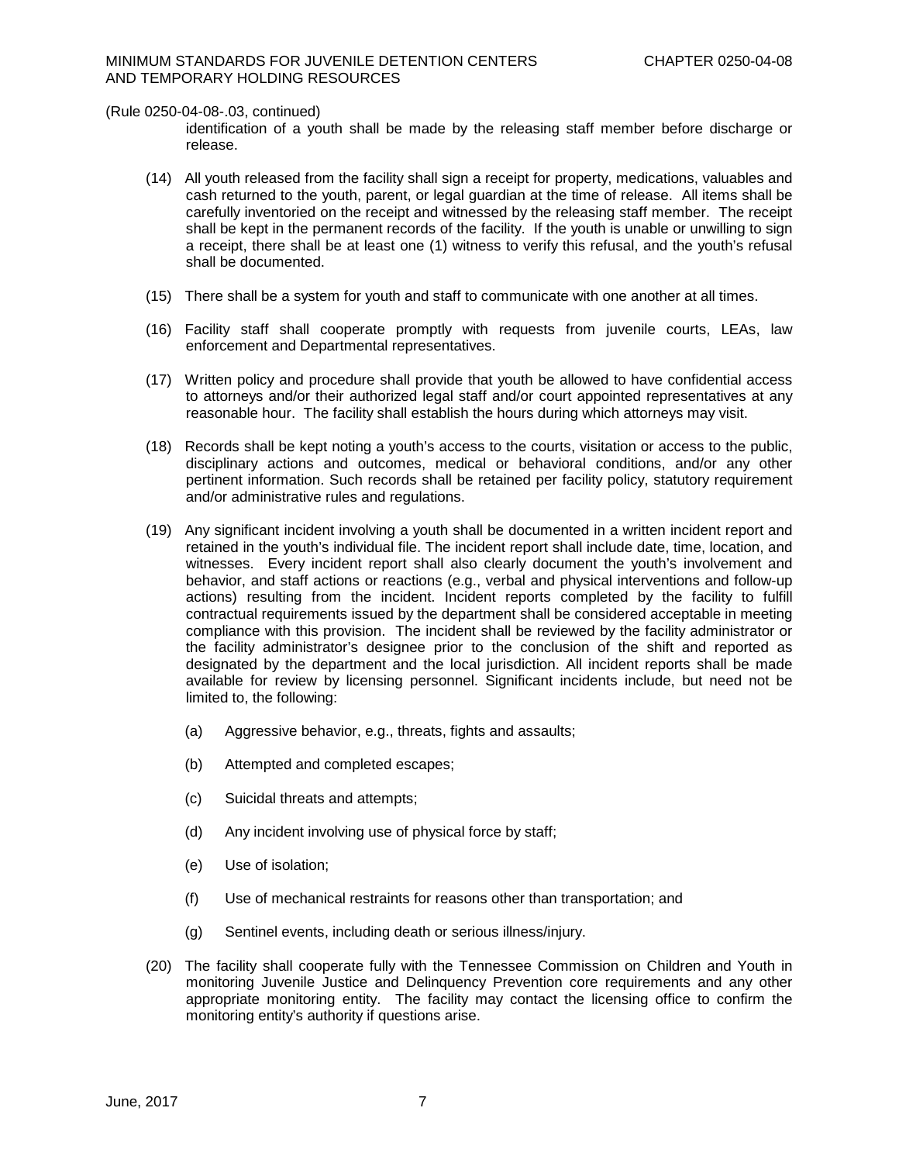identification of a youth shall be made by the releasing staff member before discharge or release.

- (14) All youth released from the facility shall sign a receipt for property, medications, valuables and cash returned to the youth, parent, or legal guardian at the time of release. All items shall be carefully inventoried on the receipt and witnessed by the releasing staff member. The receipt shall be kept in the permanent records of the facility. If the youth is unable or unwilling to sign a receipt, there shall be at least one (1) witness to verify this refusal, and the youth's refusal shall be documented.
- (15) There shall be a system for youth and staff to communicate with one another at all times.
- (16) Facility staff shall cooperate promptly with requests from juvenile courts, LEAs, law enforcement and Departmental representatives.
- (17) Written policy and procedure shall provide that youth be allowed to have confidential access to attorneys and/or their authorized legal staff and/or court appointed representatives at any reasonable hour. The facility shall establish the hours during which attorneys may visit.
- (18) Records shall be kept noting a youth's access to the courts, visitation or access to the public, disciplinary actions and outcomes, medical or behavioral conditions, and/or any other pertinent information. Such records shall be retained per facility policy, statutory requirement and/or administrative rules and regulations.
- (19) Any significant incident involving a youth shall be documented in a written incident report and retained in the youth's individual file. The incident report shall include date, time, location, and witnesses. Every incident report shall also clearly document the youth's involvement and behavior, and staff actions or reactions (e.g., verbal and physical interventions and follow-up actions) resulting from the incident. Incident reports completed by the facility to fulfill contractual requirements issued by the department shall be considered acceptable in meeting compliance with this provision. The incident shall be reviewed by the facility administrator or the facility administrator's designee prior to the conclusion of the shift and reported as designated by the department and the local jurisdiction. All incident reports shall be made available for review by licensing personnel. Significant incidents include, but need not be limited to, the following:
	- (a) Aggressive behavior, e.g., threats, fights and assaults;
	- (b) Attempted and completed escapes;
	- (c) Suicidal threats and attempts;
	- (d) Any incident involving use of physical force by staff;
	- (e) Use of isolation;
	- (f) Use of mechanical restraints for reasons other than transportation; and
	- (g) Sentinel events, including death or serious illness/injury.
- (20) The facility shall cooperate fully with the Tennessee Commission on Children and Youth in monitoring Juvenile Justice and Delinquency Prevention core requirements and any other appropriate monitoring entity. The facility may contact the licensing office to confirm the monitoring entity's authority if questions arise.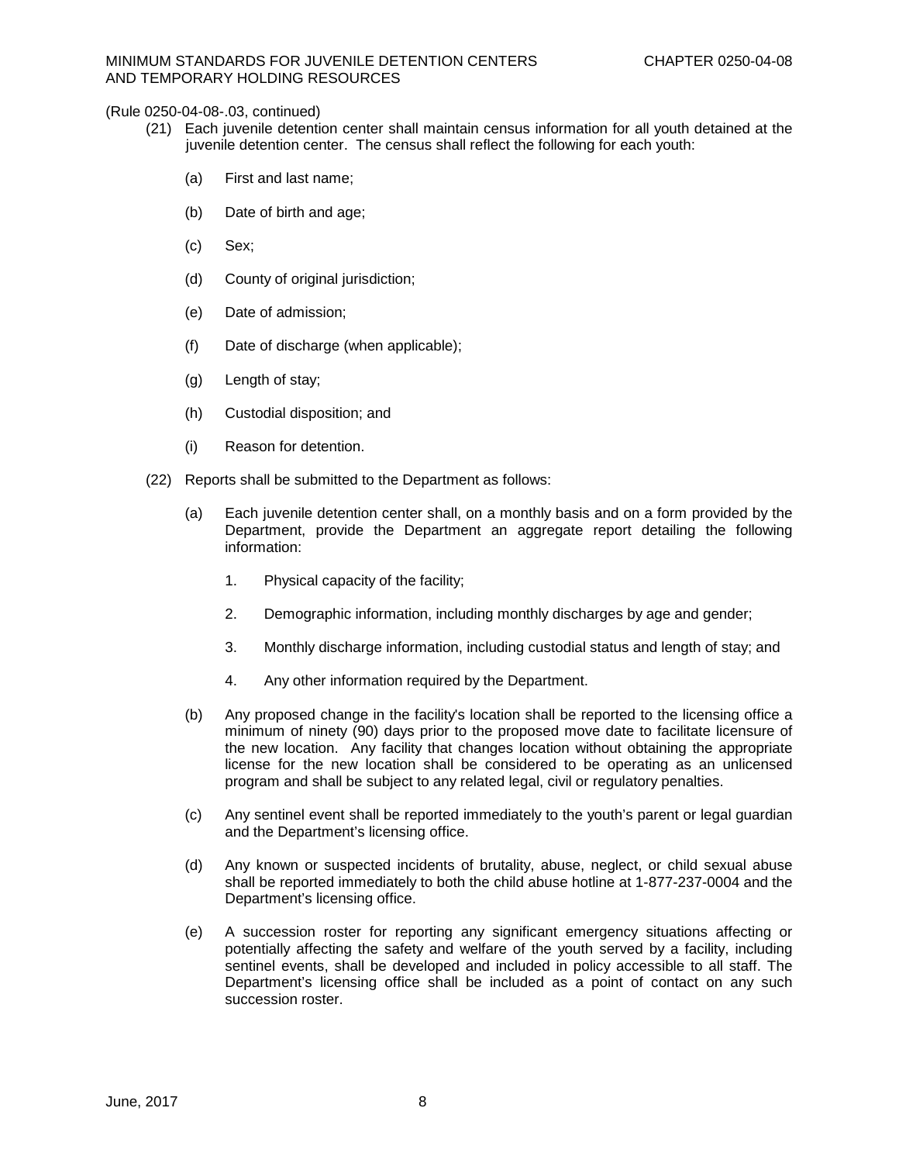- (21) Each juvenile detention center shall maintain census information for all youth detained at the juvenile detention center. The census shall reflect the following for each youth:
	- (a) First and last name;
	- (b) Date of birth and age;
	- (c) Sex;
	- (d) County of original jurisdiction;
	- (e) Date of admission;
	- (f) Date of discharge (when applicable);
	- (g) Length of stay;
	- (h) Custodial disposition; and
	- (i) Reason for detention.
- (22) Reports shall be submitted to the Department as follows:
	- (a) Each juvenile detention center shall, on a monthly basis and on a form provided by the Department, provide the Department an aggregate report detailing the following information:
		- 1. Physical capacity of the facility;
		- 2. Demographic information, including monthly discharges by age and gender;
		- 3. Monthly discharge information, including custodial status and length of stay; and
		- 4. Any other information required by the Department.
	- (b) Any proposed change in the facility's location shall be reported to the licensing office a minimum of ninety (90) days prior to the proposed move date to facilitate licensure of the new location. Any facility that changes location without obtaining the appropriate license for the new location shall be considered to be operating as an unlicensed program and shall be subject to any related legal, civil or regulatory penalties.
	- (c) Any sentinel event shall be reported immediately to the youth's parent or legal guardian and the Department's licensing office.
	- (d) Any known or suspected incidents of brutality, abuse, neglect, or child sexual abuse shall be reported immediately to both the child abuse hotline at 1-877-237-0004 and the Department's licensing office.
	- (e) A succession roster for reporting any significant emergency situations affecting or potentially affecting the safety and welfare of the youth served by a facility, including sentinel events, shall be developed and included in policy accessible to all staff. The Department's licensing office shall be included as a point of contact on any such succession roster.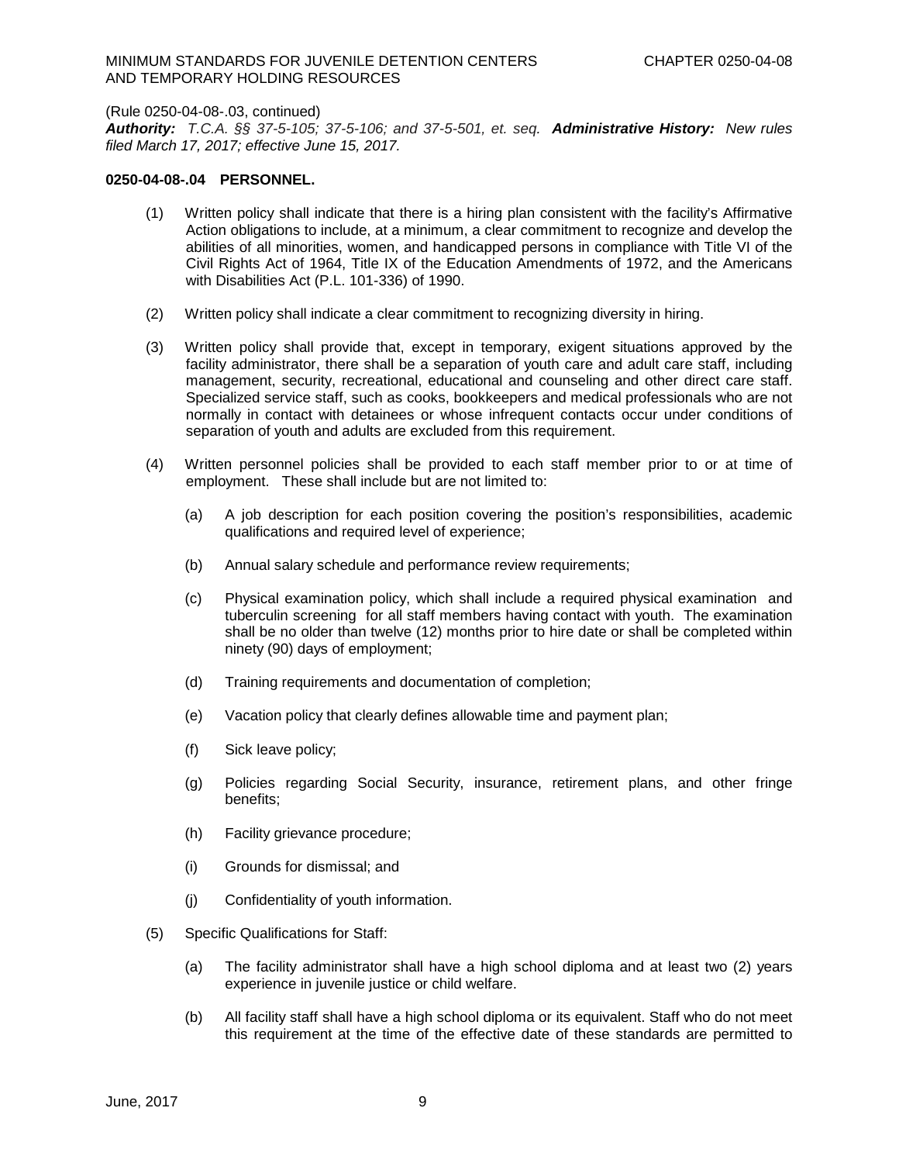### MINIMUM STANDARDS FOR JUVENILE DETENTION CENTERS CHAPTER 0250-04-08 AND TEMPORARY HOLDING RESOURCES

### (Rule 0250-04-08-.03, continued)

*Authority: T.C.A. §§ 37-5-105; 37-5-106; and 37-5-501, et. seq. Administrative History:**New rules filed March 17, 2017; effective June 15, 2017.*

## **0250-04-08-.04 PERSONNEL.**

- (1) Written policy shall indicate that there is a hiring plan consistent with the facility's Affirmative Action obligations to include, at a minimum, a clear commitment to recognize and develop the abilities of all minorities, women, and handicapped persons in compliance with Title VI of the Civil Rights Act of 1964, Title IX of the Education Amendments of 1972, and the Americans with Disabilities Act (P.L. 101-336) of 1990.
- (2) Written policy shall indicate a clear commitment to recognizing diversity in hiring.
- (3) Written policy shall provide that, except in temporary, exigent situations approved by the facility administrator, there shall be a separation of youth care and adult care staff, including management, security, recreational, educational and counseling and other direct care staff. Specialized service staff, such as cooks, bookkeepers and medical professionals who are not normally in contact with detainees or whose infrequent contacts occur under conditions of separation of youth and adults are excluded from this requirement.
- (4) Written personnel policies shall be provided to each staff member prior to or at time of employment. These shall include but are not limited to:
	- (a) A job description for each position covering the position's responsibilities, academic qualifications and required level of experience;
	- (b) Annual salary schedule and performance review requirements;
	- (c) Physical examination policy, which shall include a required physical examination and tuberculin screening for all staff members having contact with youth. The examination shall be no older than twelve (12) months prior to hire date or shall be completed within ninety (90) days of employment;
	- (d) Training requirements and documentation of completion;
	- (e) Vacation policy that clearly defines allowable time and payment plan;
	- (f) Sick leave policy;
	- (g) Policies regarding Social Security, insurance, retirement plans, and other fringe benefits;
	- (h) Facility grievance procedure;
	- (i) Grounds for dismissal; and
	- (j) Confidentiality of youth information.
- (5) Specific Qualifications for Staff:
	- (a) The facility administrator shall have a high school diploma and at least two (2) years experience in juvenile justice or child welfare.
	- (b) All facility staff shall have a high school diploma or its equivalent. Staff who do not meet this requirement at the time of the effective date of these standards are permitted to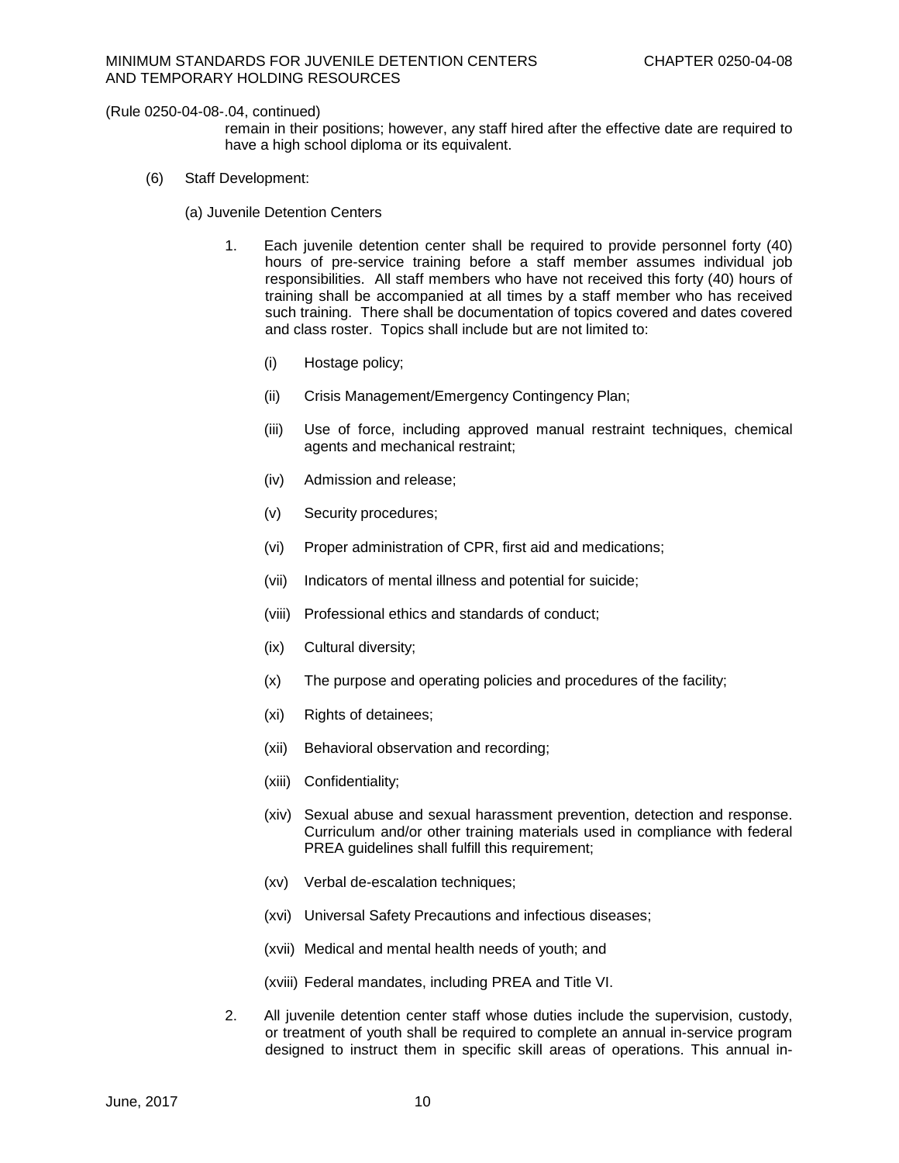remain in their positions; however, any staff hired after the effective date are required to have a high school diploma or its equivalent.

- (6) Staff Development:
	- (a) Juvenile Detention Centers
		- 1. Each juvenile detention center shall be required to provide personnel forty (40) hours of pre-service training before a staff member assumes individual job responsibilities. All staff members who have not received this forty (40) hours of training shall be accompanied at all times by a staff member who has received such training. There shall be documentation of topics covered and dates covered and class roster. Topics shall include but are not limited to:
			- (i) Hostage policy;
			- (ii) Crisis Management/Emergency Contingency Plan;
			- (iii) Use of force, including approved manual restraint techniques, chemical agents and mechanical restraint;
			- (iv) Admission and release;
			- (v) Security procedures;
			- (vi) Proper administration of CPR, first aid and medications;
			- (vii) Indicators of mental illness and potential for suicide;
			- (viii) Professional ethics and standards of conduct;
			- (ix) Cultural diversity;
			- (x) The purpose and operating policies and procedures of the facility;
			- (xi) Rights of detainees;
			- (xii) Behavioral observation and recording;
			- (xiii) Confidentiality;
			- (xiv) Sexual abuse and sexual harassment prevention, detection and response. Curriculum and/or other training materials used in compliance with federal PREA guidelines shall fulfill this requirement;
			- (xv) Verbal de-escalation techniques;
			- (xvi) Universal Safety Precautions and infectious diseases;
			- (xvii) Medical and mental health needs of youth; and
			- (xviii) Federal mandates, including PREA and Title VI.
		- 2. All juvenile detention center staff whose duties include the supervision, custody, or treatment of youth shall be required to complete an annual in-service program designed to instruct them in specific skill areas of operations. This annual in-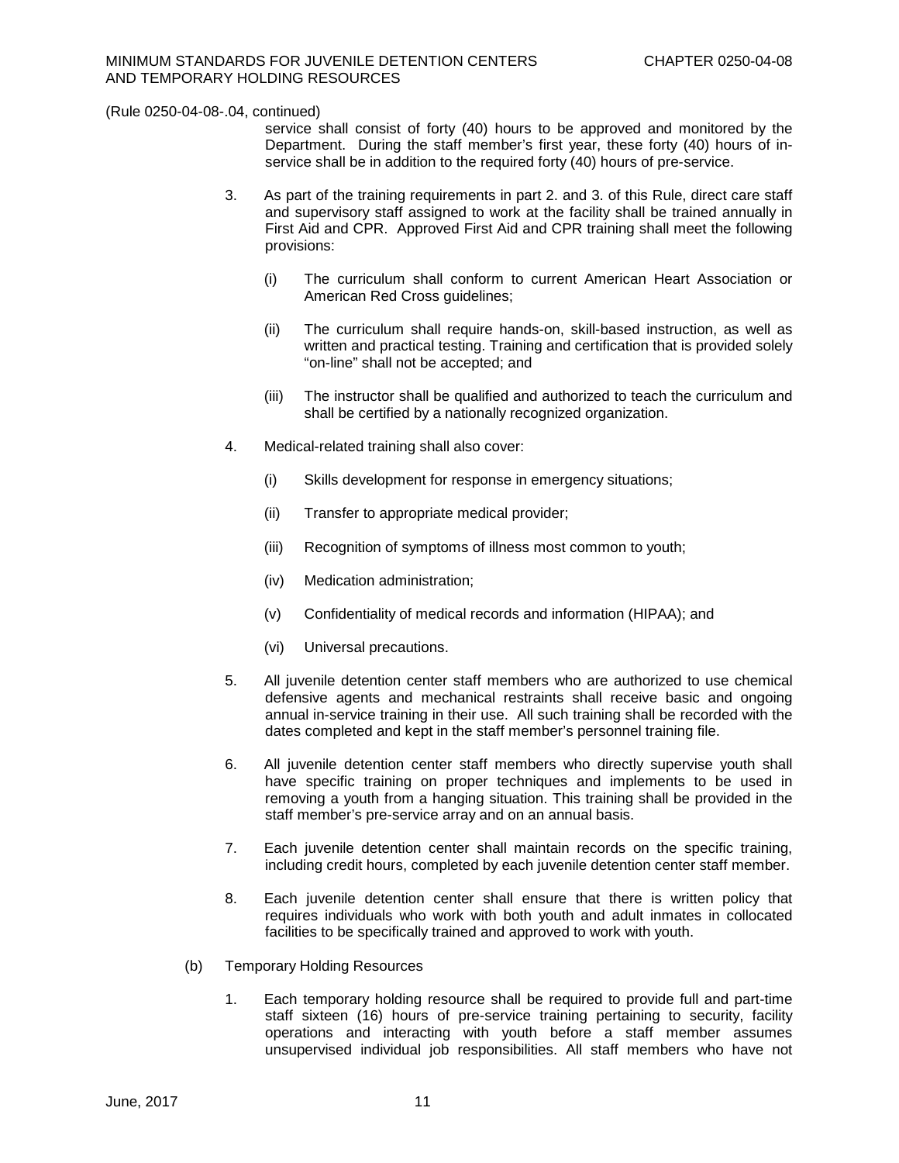service shall consist of forty (40) hours to be approved and monitored by the Department. During the staff member's first year, these forty (40) hours of inservice shall be in addition to the required forty (40) hours of pre-service.

- 3. As part of the training requirements in part 2. and 3. of this Rule, direct care staff and supervisory staff assigned to work at the facility shall be trained annually in First Aid and CPR. Approved First Aid and CPR training shall meet the following provisions:
	- (i) The curriculum shall conform to current American Heart Association or American Red Cross guidelines:
	- (ii) The curriculum shall require hands-on, skill-based instruction, as well as written and practical testing. Training and certification that is provided solely "on-line" shall not be accepted; and
	- (iii) The instructor shall be qualified and authorized to teach the curriculum and shall be certified by a nationally recognized organization.
- 4. Medical-related training shall also cover:
	- (i) Skills development for response in emergency situations;
	- (ii) Transfer to appropriate medical provider;
	- (iii) Recognition of symptoms of illness most common to youth;
	- (iv) Medication administration;
	- (v) Confidentiality of medical records and information (HIPAA); and
	- (vi) Universal precautions.
- 5. All juvenile detention center staff members who are authorized to use chemical defensive agents and mechanical restraints shall receive basic and ongoing annual in-service training in their use. All such training shall be recorded with the dates completed and kept in the staff member's personnel training file.
- 6. All juvenile detention center staff members who directly supervise youth shall have specific training on proper techniques and implements to be used in removing a youth from a hanging situation. This training shall be provided in the staff member's pre-service array and on an annual basis.
- 7. Each juvenile detention center shall maintain records on the specific training, including credit hours, completed by each juvenile detention center staff member.
- 8. Each juvenile detention center shall ensure that there is written policy that requires individuals who work with both youth and adult inmates in collocated facilities to be specifically trained and approved to work with youth.
- (b) Temporary Holding Resources
	- 1. Each temporary holding resource shall be required to provide full and part-time staff sixteen (16) hours of pre-service training pertaining to security, facility operations and interacting with youth before a staff member assumes unsupervised individual job responsibilities. All staff members who have not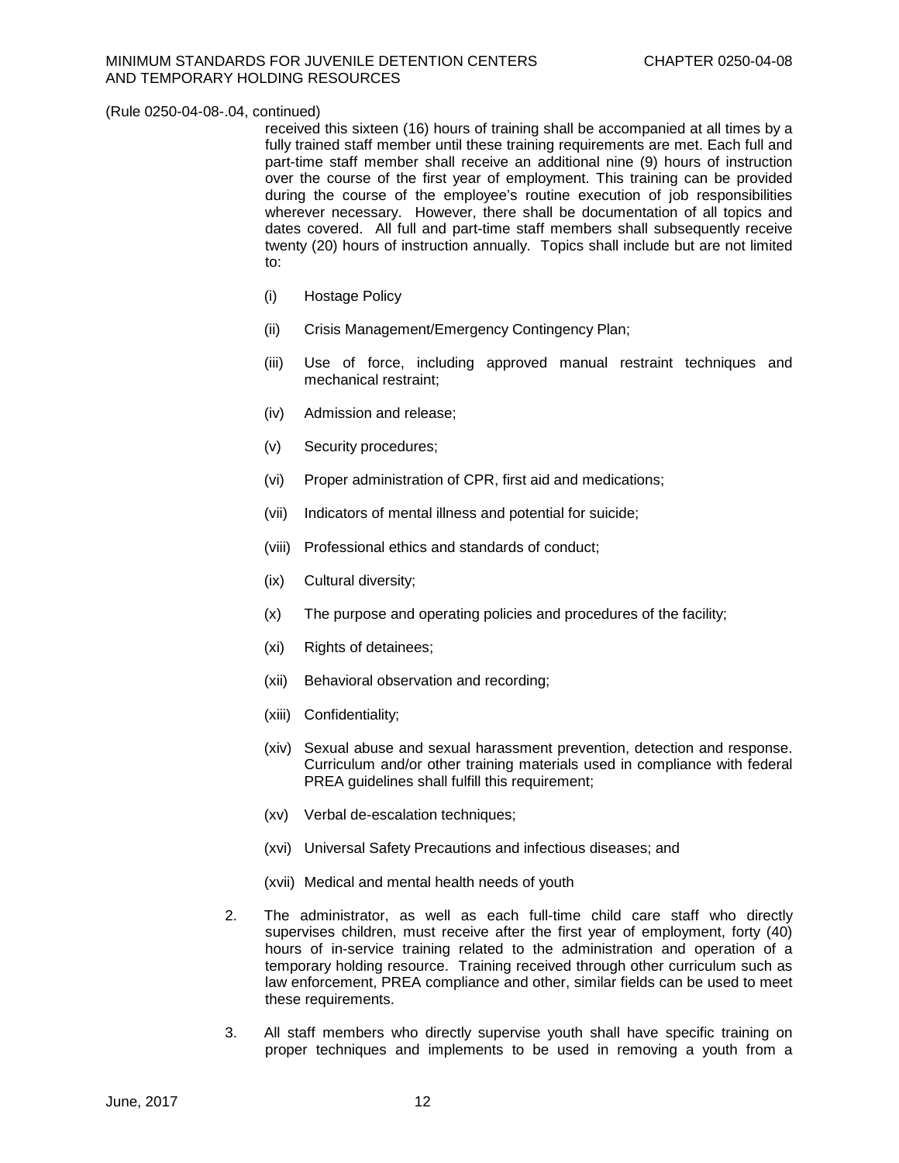received this sixteen (16) hours of training shall be accompanied at all times by a fully trained staff member until these training requirements are met. Each full and part-time staff member shall receive an additional nine (9) hours of instruction over the course of the first year of employment. This training can be provided during the course of the employee's routine execution of job responsibilities wherever necessary. However, there shall be documentation of all topics and dates covered. All full and part-time staff members shall subsequently receive twenty (20) hours of instruction annually. Topics shall include but are not limited to:

- (i) Hostage Policy
- (ii) Crisis Management/Emergency Contingency Plan;
- (iii) Use of force, including approved manual restraint techniques and mechanical restraint;
- (iv) Admission and release;
- (v) Security procedures;
- (vi) Proper administration of CPR, first aid and medications;
- (vii) Indicators of mental illness and potential for suicide;
- (viii) Professional ethics and standards of conduct;
- (ix) Cultural diversity;
- (x) The purpose and operating policies and procedures of the facility;
- (xi) Rights of detainees;
- (xii) Behavioral observation and recording;
- (xiii) Confidentiality;
- (xiv) Sexual abuse and sexual harassment prevention, detection and response. Curriculum and/or other training materials used in compliance with federal PREA guidelines shall fulfill this requirement;
- (xv) Verbal de-escalation techniques;
- (xvi) Universal Safety Precautions and infectious diseases; and
- (xvii) Medical and mental health needs of youth
- 2. The administrator, as well as each full-time child care staff who directly supervises children, must receive after the first year of employment, forty (40) hours of in-service training related to the administration and operation of a temporary holding resource. Training received through other curriculum such as law enforcement, PREA compliance and other, similar fields can be used to meet these requirements.
- 3. All staff members who directly supervise youth shall have specific training on proper techniques and implements to be used in removing a youth from a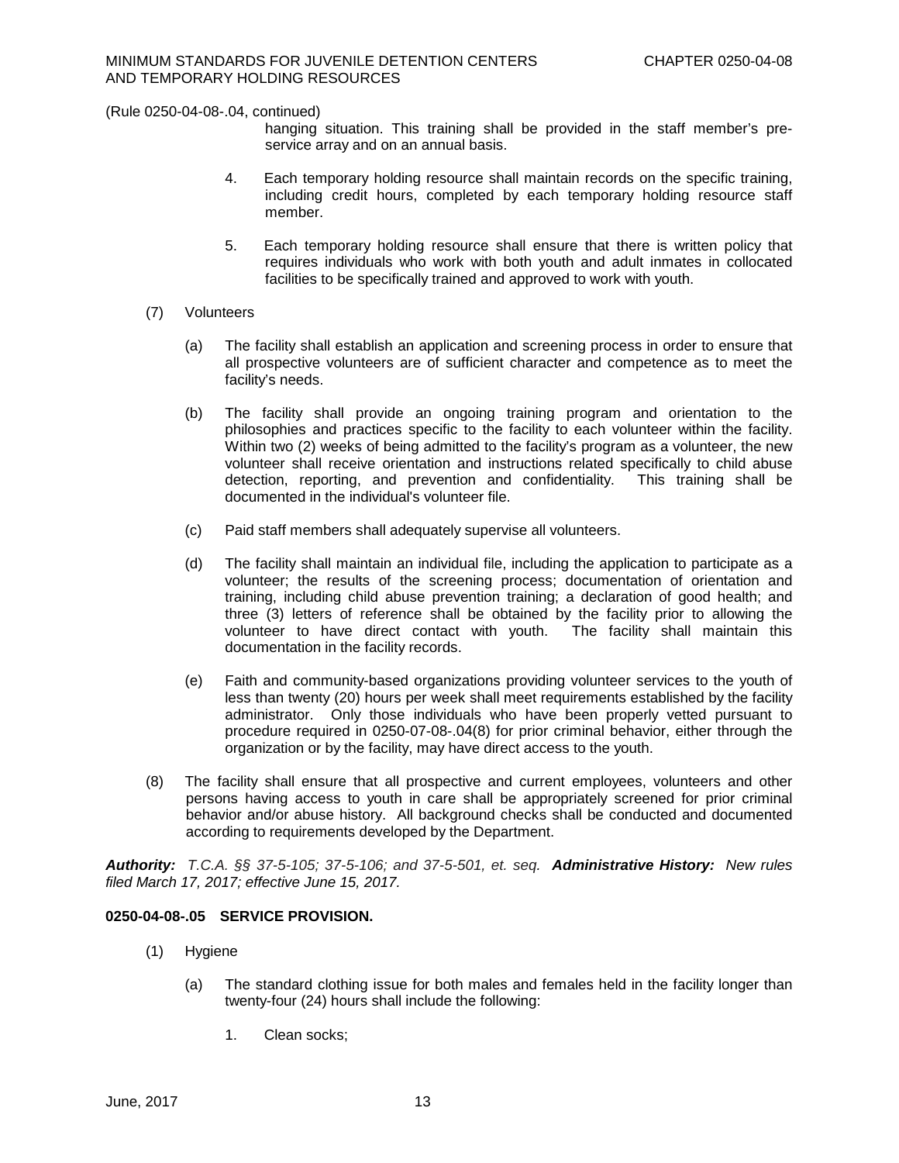hanging situation. This training shall be provided in the staff member's preservice array and on an annual basis.

- 4. Each temporary holding resource shall maintain records on the specific training, including credit hours, completed by each temporary holding resource staff member.
- 5. Each temporary holding resource shall ensure that there is written policy that requires individuals who work with both youth and adult inmates in collocated facilities to be specifically trained and approved to work with youth.
- (7) Volunteers
	- (a) The facility shall establish an application and screening process in order to ensure that all prospective volunteers are of sufficient character and competence as to meet the facility's needs.
	- (b) The facility shall provide an ongoing training program and orientation to the philosophies and practices specific to the facility to each volunteer within the facility. Within two (2) weeks of being admitted to the facility's program as a volunteer, the new volunteer shall receive orientation and instructions related specifically to child abuse detection, reporting, and prevention and confidentiality. This training shall be documented in the individual's volunteer file.
	- (c) Paid staff members shall adequately supervise all volunteers.
	- (d) The facility shall maintain an individual file, including the application to participate as a volunteer; the results of the screening process; documentation of orientation and training, including child abuse prevention training; a declaration of good health; and three (3) letters of reference shall be obtained by the facility prior to allowing the volunteer to have direct contact with youth. The facility shall maintain this documentation in the facility records.
	- (e) Faith and community-based organizations providing volunteer services to the youth of less than twenty (20) hours per week shall meet requirements established by the facility administrator. Only those individuals who have been properly vetted pursuant to procedure required in 0250-07-08-.04(8) for prior criminal behavior, either through the organization or by the facility, may have direct access to the youth.
- (8) The facility shall ensure that all prospective and current employees, volunteers and other persons having access to youth in care shall be appropriately screened for prior criminal behavior and/or abuse history. All background checks shall be conducted and documented according to requirements developed by the Department.

*Authority: T.C.A. §§ 37-5-105; 37-5-106; and 37-5-501, et. seq. Administrative History:**New rules filed March 17, 2017; effective June 15, 2017.*

# **0250-04-08-.05 SERVICE PROVISION.**

- (1) Hygiene
	- (a) The standard clothing issue for both males and females held in the facility longer than twenty-four (24) hours shall include the following:
		- 1. Clean socks;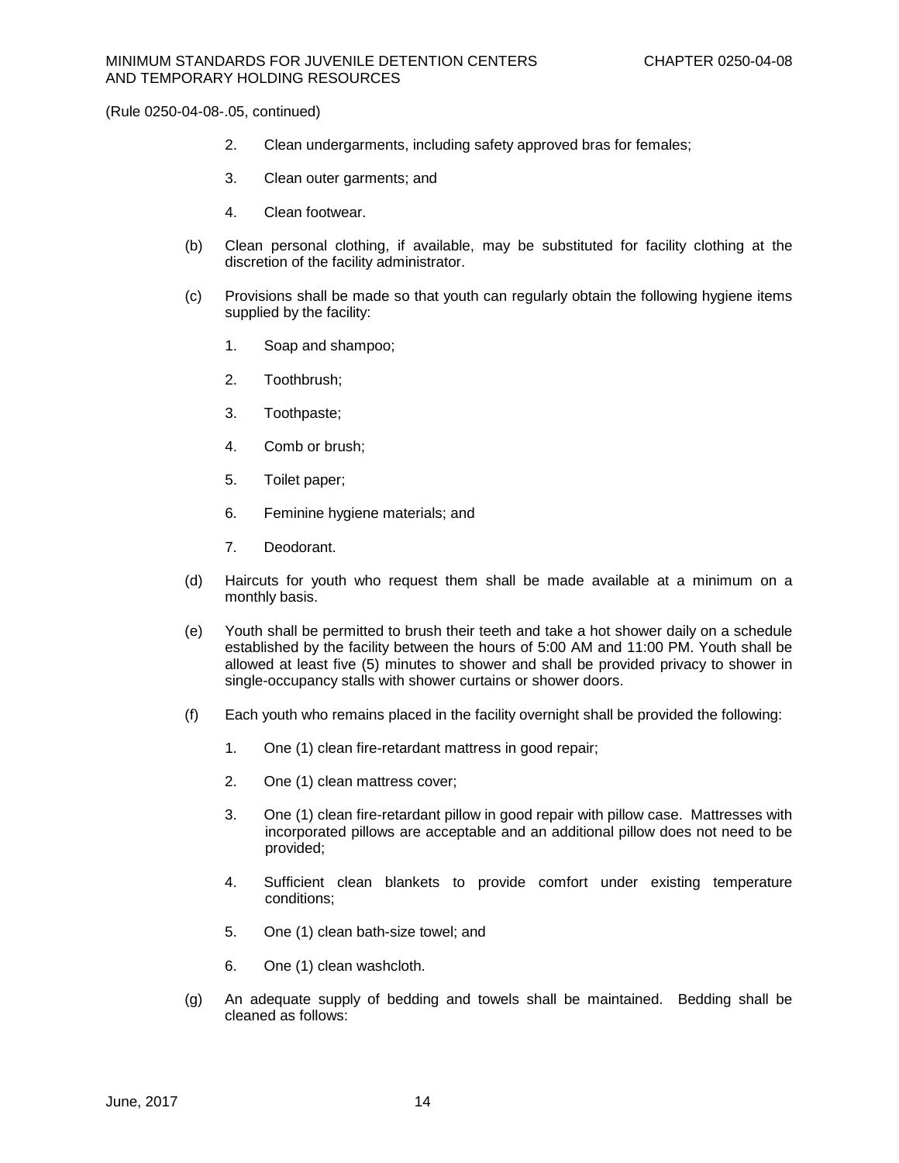- 2. Clean undergarments, including safety approved bras for females;
- 3. Clean outer garments; and
- 4. Clean footwear.
- (b) Clean personal clothing, if available, may be substituted for facility clothing at the discretion of the facility administrator.
- (c) Provisions shall be made so that youth can regularly obtain the following hygiene items supplied by the facility:
	- 1. Soap and shampoo;
	- 2. Toothbrush;
	- 3. Toothpaste;
	- 4. Comb or brush;
	- 5. Toilet paper;
	- 6. Feminine hygiene materials; and
	- 7. Deodorant.
- (d) Haircuts for youth who request them shall be made available at a minimum on a monthly basis.
- (e) Youth shall be permitted to brush their teeth and take a hot shower daily on a schedule established by the facility between the hours of 5:00 AM and 11:00 PM. Youth shall be allowed at least five (5) minutes to shower and shall be provided privacy to shower in single-occupancy stalls with shower curtains or shower doors.
- (f) Each youth who remains placed in the facility overnight shall be provided the following:
	- 1. One (1) clean fire-retardant mattress in good repair;
	- 2. One (1) clean mattress cover;
	- 3. One (1) clean fire-retardant pillow in good repair with pillow case. Mattresses with incorporated pillows are acceptable and an additional pillow does not need to be provided;
	- 4. Sufficient clean blankets to provide comfort under existing temperature conditions;
	- 5. One (1) clean bath-size towel; and
	- 6. One (1) clean washcloth.
- (g) An adequate supply of bedding and towels shall be maintained. Bedding shall be cleaned as follows: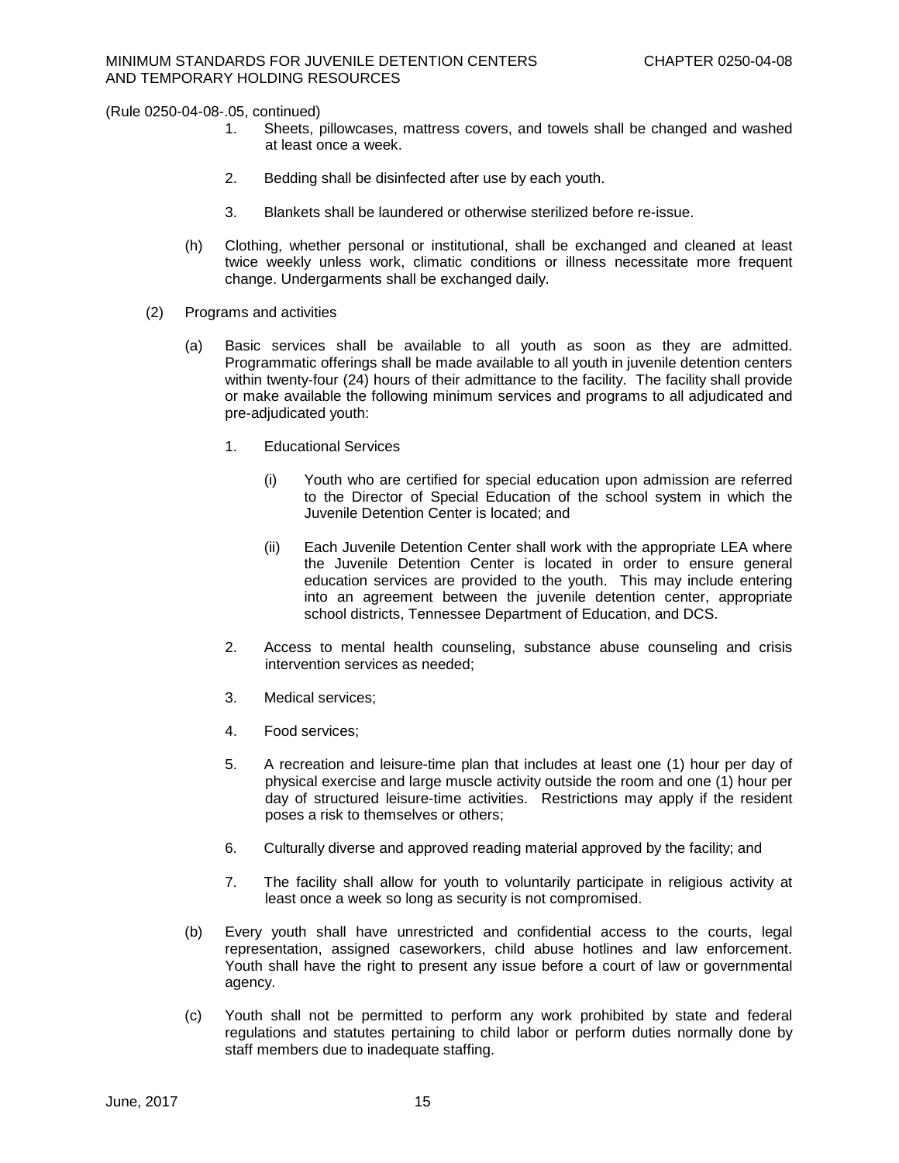- 1. Sheets, pillowcases, mattress covers, and towels shall be changed and washed at least once a week.
- 2. Bedding shall be disinfected after use by each youth.
- 3. Blankets shall be laundered or otherwise sterilized before re-issue.
- (h) Clothing, whether personal or institutional, shall be exchanged and cleaned at least twice weekly unless work, climatic conditions or illness necessitate more frequent change. Undergarments shall be exchanged daily.
- (2) Programs and activities
	- (a) Basic services shall be available to all youth as soon as they are admitted. Programmatic offerings shall be made available to all youth in juvenile detention centers within twenty-four (24) hours of their admittance to the facility. The facility shall provide or make available the following minimum services and programs to all adjudicated and pre-adjudicated youth:
		- 1. Educational Services
			- (i) Youth who are certified for special education upon admission are referred to the Director of Special Education of the school system in which the Juvenile Detention Center is located; and
			- (ii) Each Juvenile Detention Center shall work with the appropriate LEA where the Juvenile Detention Center is located in order to ensure general education services are provided to the youth. This may include entering into an agreement between the juvenile detention center, appropriate school districts, Tennessee Department of Education, and DCS.
		- 2. Access to mental health counseling, substance abuse counseling and crisis intervention services as needed;
		- 3. Medical services;
		- 4. Food services;
		- 5. A recreation and leisure-time plan that includes at least one (1) hour per day of physical exercise and large muscle activity outside the room and one (1) hour per day of structured leisure-time activities. Restrictions may apply if the resident poses a risk to themselves or others;
		- 6. Culturally diverse and approved reading material approved by the facility; and
		- 7. The facility shall allow for youth to voluntarily participate in religious activity at least once a week so long as security is not compromised.
	- (b) Every youth shall have unrestricted and confidential access to the courts, legal representation, assigned caseworkers, child abuse hotlines and law enforcement. Youth shall have the right to present any issue before a court of law or governmental agency.
	- (c) Youth shall not be permitted to perform any work prohibited by state and federal regulations and statutes pertaining to child labor or perform duties normally done by staff members due to inadequate staffing.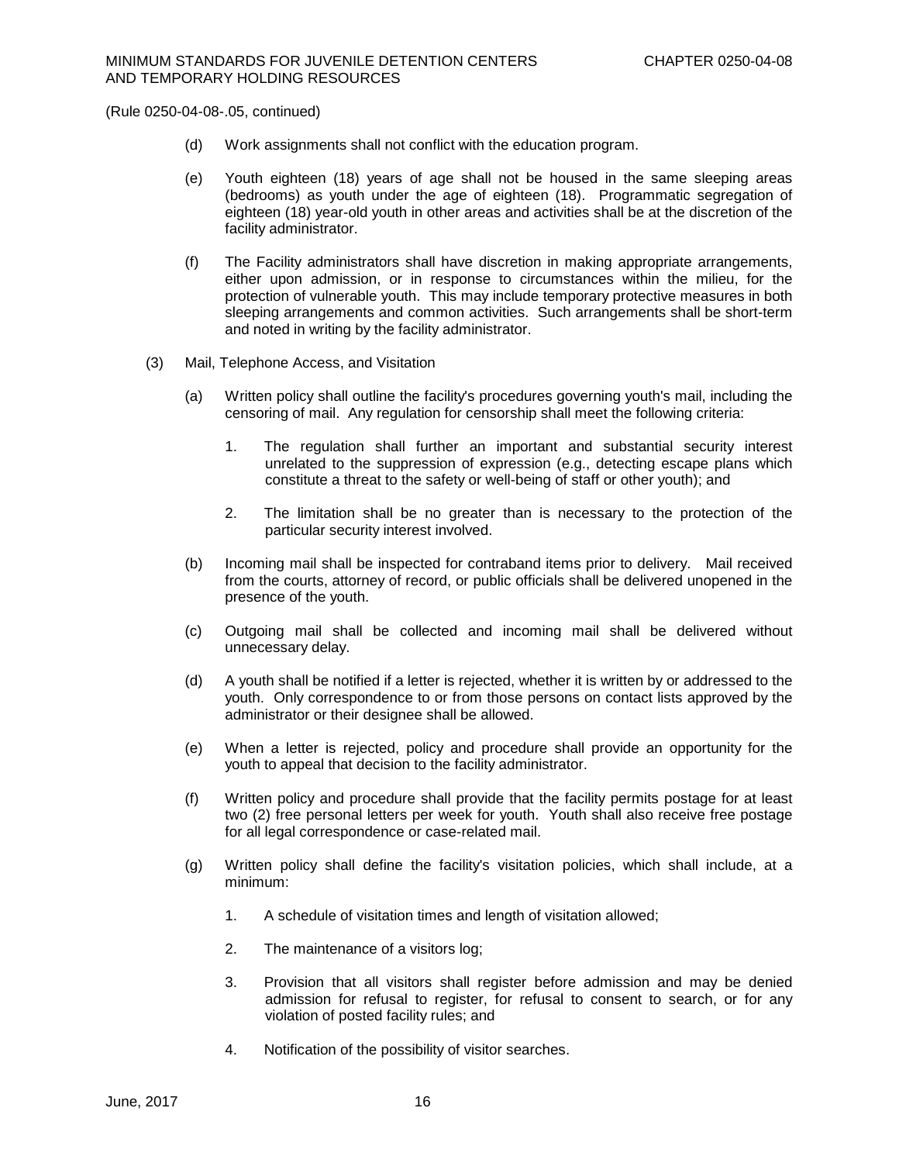- (d) Work assignments shall not conflict with the education program.
- (e) Youth eighteen (18) years of age shall not be housed in the same sleeping areas (bedrooms) as youth under the age of eighteen (18). Programmatic segregation of eighteen (18) year-old youth in other areas and activities shall be at the discretion of the facility administrator.
- (f) The Facility administrators shall have discretion in making appropriate arrangements, either upon admission, or in response to circumstances within the milieu, for the protection of vulnerable youth. This may include temporary protective measures in both sleeping arrangements and common activities. Such arrangements shall be short-term and noted in writing by the facility administrator.
- (3) Mail, Telephone Access, and Visitation
	- (a) Written policy shall outline the facility's procedures governing youth's mail, including the censoring of mail. Any regulation for censorship shall meet the following criteria:
		- 1. The regulation shall further an important and substantial security interest unrelated to the suppression of expression (e.g., detecting escape plans which constitute a threat to the safety or well-being of staff or other youth); and
		- 2. The limitation shall be no greater than is necessary to the protection of the particular security interest involved.
	- (b) Incoming mail shall be inspected for contraband items prior to delivery. Mail received from the courts, attorney of record, or public officials shall be delivered unopened in the presence of the youth.
	- (c) Outgoing mail shall be collected and incoming mail shall be delivered without unnecessary delay.
	- (d) A youth shall be notified if a letter is rejected, whether it is written by or addressed to the youth. Only correspondence to or from those persons on contact lists approved by the administrator or their designee shall be allowed.
	- (e) When a letter is rejected, policy and procedure shall provide an opportunity for the youth to appeal that decision to the facility administrator.
	- (f) Written policy and procedure shall provide that the facility permits postage for at least two (2) free personal letters per week for youth. Youth shall also receive free postage for all legal correspondence or case-related mail.
	- (g) Written policy shall define the facility's visitation policies, which shall include, at a minimum:
		- 1. A schedule of visitation times and length of visitation allowed;
		- 2. The maintenance of a visitors log;
		- 3. Provision that all visitors shall register before admission and may be denied admission for refusal to register, for refusal to consent to search, or for any violation of posted facility rules; and
		- 4. Notification of the possibility of visitor searches.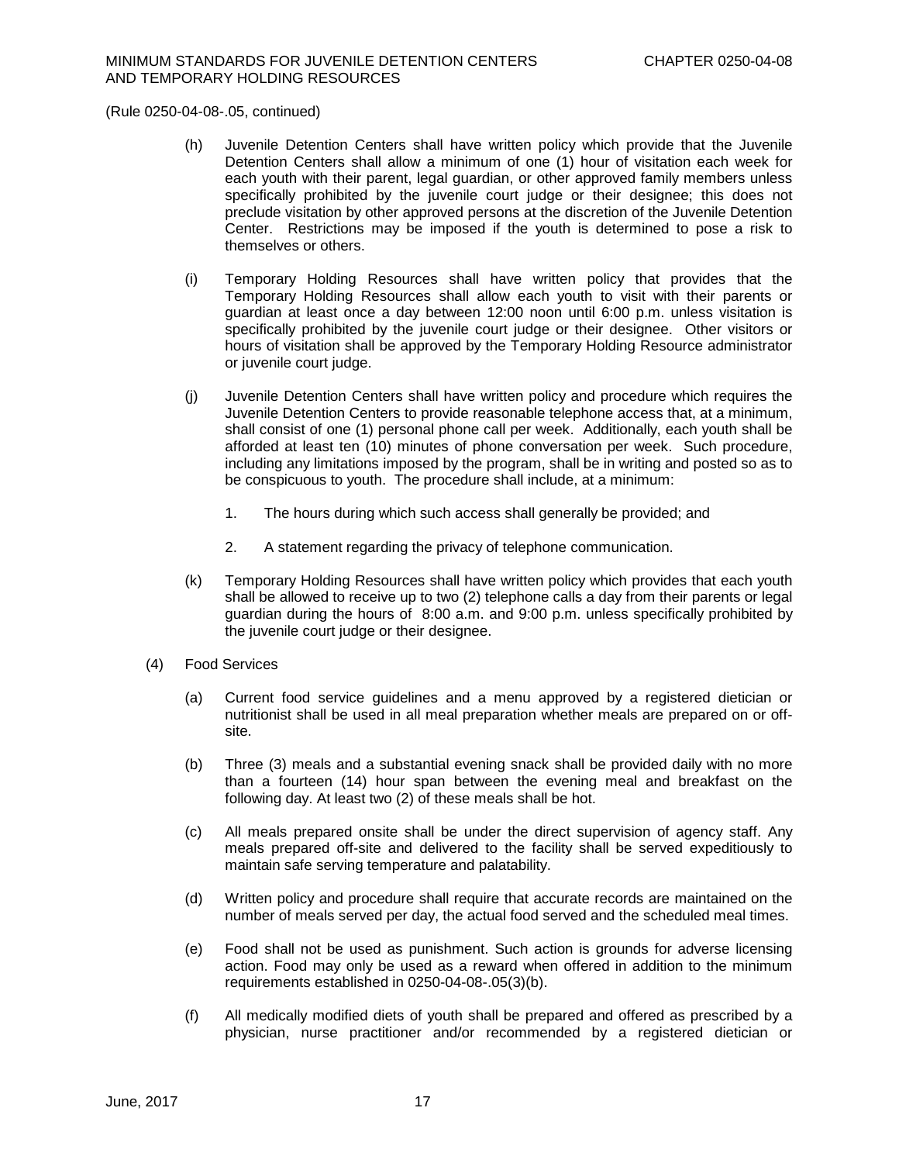- (h) Juvenile Detention Centers shall have written policy which provide that the Juvenile Detention Centers shall allow a minimum of one (1) hour of visitation each week for each youth with their parent, legal guardian, or other approved family members unless specifically prohibited by the juvenile court judge or their designee; this does not preclude visitation by other approved persons at the discretion of the Juvenile Detention Center. Restrictions may be imposed if the youth is determined to pose a risk to themselves or others.
- (i) Temporary Holding Resources shall have written policy that provides that the Temporary Holding Resources shall allow each youth to visit with their parents or guardian at least once a day between 12:00 noon until 6:00 p.m. unless visitation is specifically prohibited by the juvenile court judge or their designee. Other visitors or hours of visitation shall be approved by the Temporary Holding Resource administrator or juvenile court judge.
- (j) Juvenile Detention Centers shall have written policy and procedure which requires the Juvenile Detention Centers to provide reasonable telephone access that, at a minimum, shall consist of one (1) personal phone call per week. Additionally, each youth shall be afforded at least ten (10) minutes of phone conversation per week. Such procedure, including any limitations imposed by the program, shall be in writing and posted so as to be conspicuous to youth. The procedure shall include, at a minimum:
	- 1. The hours during which such access shall generally be provided; and
	- 2. A statement regarding the privacy of telephone communication.
- (k) Temporary Holding Resources shall have written policy which provides that each youth shall be allowed to receive up to two (2) telephone calls a day from their parents or legal guardian during the hours of 8:00 a.m. and 9:00 p.m. unless specifically prohibited by the juvenile court judge or their designee.
- (4) Food Services
	- (a) Current food service guidelines and a menu approved by a registered dietician or nutritionist shall be used in all meal preparation whether meals are prepared on or offsite.
	- (b) Three (3) meals and a substantial evening snack shall be provided daily with no more than a fourteen (14) hour span between the evening meal and breakfast on the following day. At least two (2) of these meals shall be hot.
	- (c) All meals prepared onsite shall be under the direct supervision of agency staff. Any meals prepared off-site and delivered to the facility shall be served expeditiously to maintain safe serving temperature and palatability.
	- (d) Written policy and procedure shall require that accurate records are maintained on the number of meals served per day, the actual food served and the scheduled meal times.
	- (e) Food shall not be used as punishment. Such action is grounds for adverse licensing action. Food may only be used as a reward when offered in addition to the minimum requirements established in 0250-04-08-.05(3)(b).
	- (f) All medically modified diets of youth shall be prepared and offered as prescribed by a physician, nurse practitioner and/or recommended by a registered dietician or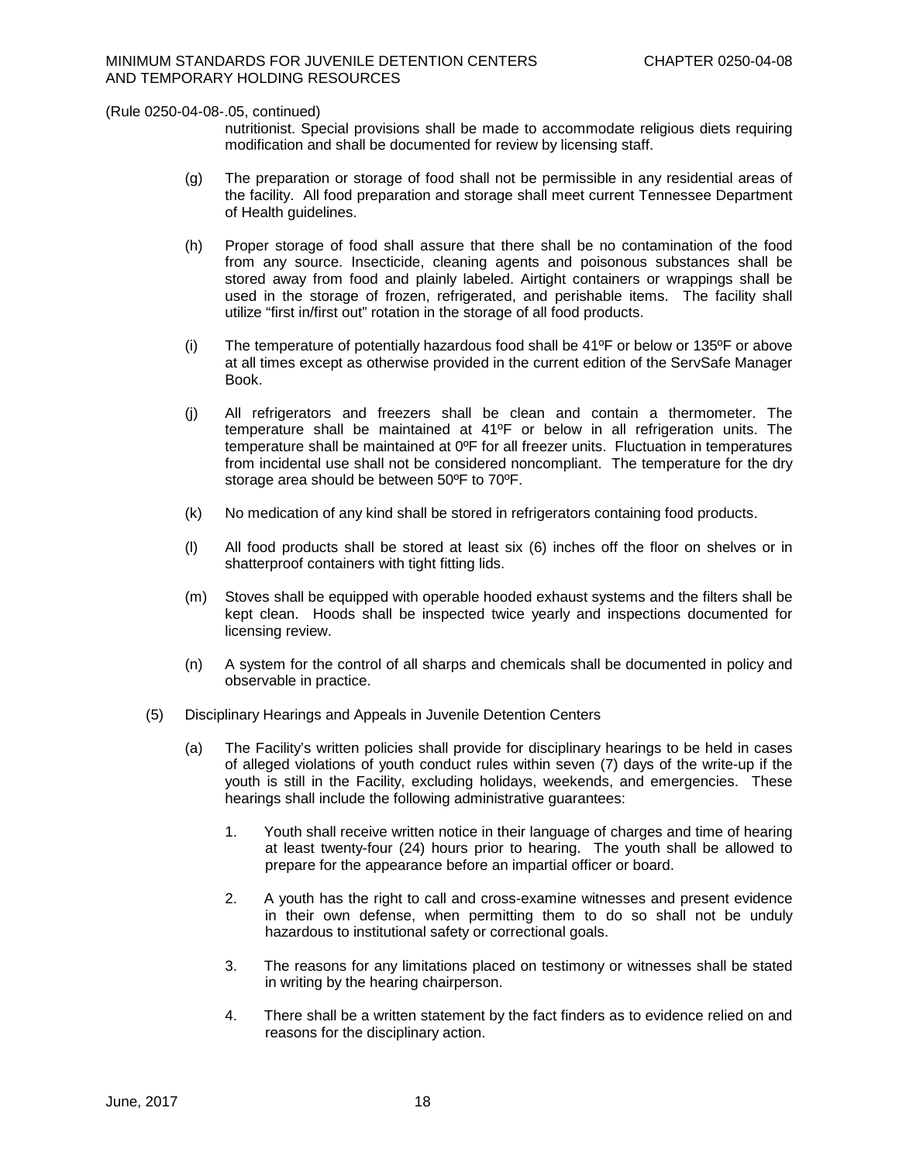nutritionist. Special provisions shall be made to accommodate religious diets requiring modification and shall be documented for review by licensing staff.

- (g) The preparation or storage of food shall not be permissible in any residential areas of the facility. All food preparation and storage shall meet current Tennessee Department of Health guidelines.
- (h) Proper storage of food shall assure that there shall be no contamination of the food from any source. Insecticide, cleaning agents and poisonous substances shall be stored away from food and plainly labeled. Airtight containers or wrappings shall be used in the storage of frozen, refrigerated, and perishable items. The facility shall utilize "first in/first out" rotation in the storage of all food products.
- (i) The temperature of potentially hazardous food shall be  $41^{\circ}$ F or below or 135 $^{\circ}$ F or above at all times except as otherwise provided in the current edition of the ServSafe Manager Book.
- (j) All refrigerators and freezers shall be clean and contain a thermometer. The temperature shall be maintained at 41ºF or below in all refrigeration units. The temperature shall be maintained at 0ºF for all freezer units. Fluctuation in temperatures from incidental use shall not be considered noncompliant. The temperature for the dry storage area should be between 50ºF to 70ºF.
- (k) No medication of any kind shall be stored in refrigerators containing food products.
- (l) All food products shall be stored at least six (6) inches off the floor on shelves or in shatterproof containers with tight fitting lids.
- (m) Stoves shall be equipped with operable hooded exhaust systems and the filters shall be kept clean. Hoods shall be inspected twice yearly and inspections documented for licensing review.
- (n) A system for the control of all sharps and chemicals shall be documented in policy and observable in practice.
- (5) Disciplinary Hearings and Appeals in Juvenile Detention Centers
	- (a) The Facility's written policies shall provide for disciplinary hearings to be held in cases of alleged violations of youth conduct rules within seven (7) days of the write-up if the youth is still in the Facility, excluding holidays, weekends, and emergencies. These hearings shall include the following administrative guarantees:
		- 1. Youth shall receive written notice in their language of charges and time of hearing at least twenty-four (24) hours prior to hearing. The youth shall be allowed to prepare for the appearance before an impartial officer or board.
		- 2. A youth has the right to call and cross-examine witnesses and present evidence in their own defense, when permitting them to do so shall not be unduly hazardous to institutional safety or correctional goals.
		- 3. The reasons for any limitations placed on testimony or witnesses shall be stated in writing by the hearing chairperson.
		- 4. There shall be a written statement by the fact finders as to evidence relied on and reasons for the disciplinary action.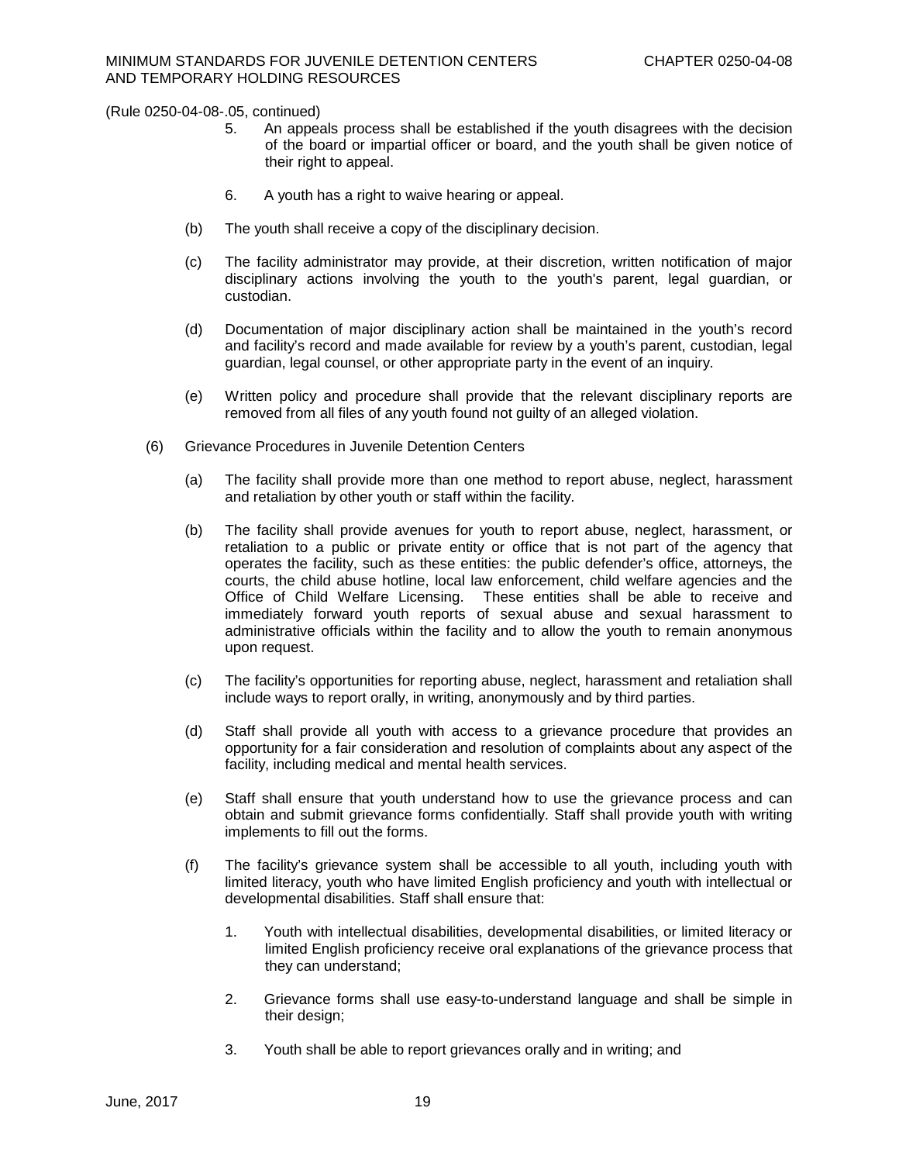- 5. An appeals process shall be established if the youth disagrees with the decision of the board or impartial officer or board, and the youth shall be given notice of their right to appeal.
- 6. A youth has a right to waive hearing or appeal.
- (b) The youth shall receive a copy of the disciplinary decision.
- (c) The facility administrator may provide, at their discretion, written notification of major disciplinary actions involving the youth to the youth's parent, legal guardian, or custodian.
- (d) Documentation of major disciplinary action shall be maintained in the youth's record and facility's record and made available for review by a youth's parent, custodian, legal guardian, legal counsel, or other appropriate party in the event of an inquiry.
- (e) Written policy and procedure shall provide that the relevant disciplinary reports are removed from all files of any youth found not guilty of an alleged violation.
- (6) Grievance Procedures in Juvenile Detention Centers
	- (a) The facility shall provide more than one method to report abuse, neglect, harassment and retaliation by other youth or staff within the facility.
	- (b) The facility shall provide avenues for youth to report abuse, neglect, harassment, or retaliation to a public or private entity or office that is not part of the agency that operates the facility, such as these entities: the public defender's office, attorneys, the courts, the child abuse hotline, local law enforcement, child welfare agencies and the Office of Child Welfare Licensing. These entities shall be able to receive and immediately forward youth reports of sexual abuse and sexual harassment to administrative officials within the facility and to allow the youth to remain anonymous upon request.
	- (c) The facility's opportunities for reporting abuse, neglect, harassment and retaliation shall include ways to report orally, in writing, anonymously and by third parties.
	- (d) Staff shall provide all youth with access to a grievance procedure that provides an opportunity for a fair consideration and resolution of complaints about any aspect of the facility, including medical and mental health services.
	- (e) Staff shall ensure that youth understand how to use the grievance process and can obtain and submit grievance forms confidentially. Staff shall provide youth with writing implements to fill out the forms.
	- (f) The facility's grievance system shall be accessible to all youth, including youth with limited literacy, youth who have limited English proficiency and youth with intellectual or developmental disabilities. Staff shall ensure that:
		- 1. Youth with intellectual disabilities, developmental disabilities, or limited literacy or limited English proficiency receive oral explanations of the grievance process that they can understand;
		- 2. Grievance forms shall use easy-to-understand language and shall be simple in their design;
		- 3. Youth shall be able to report grievances orally and in writing; and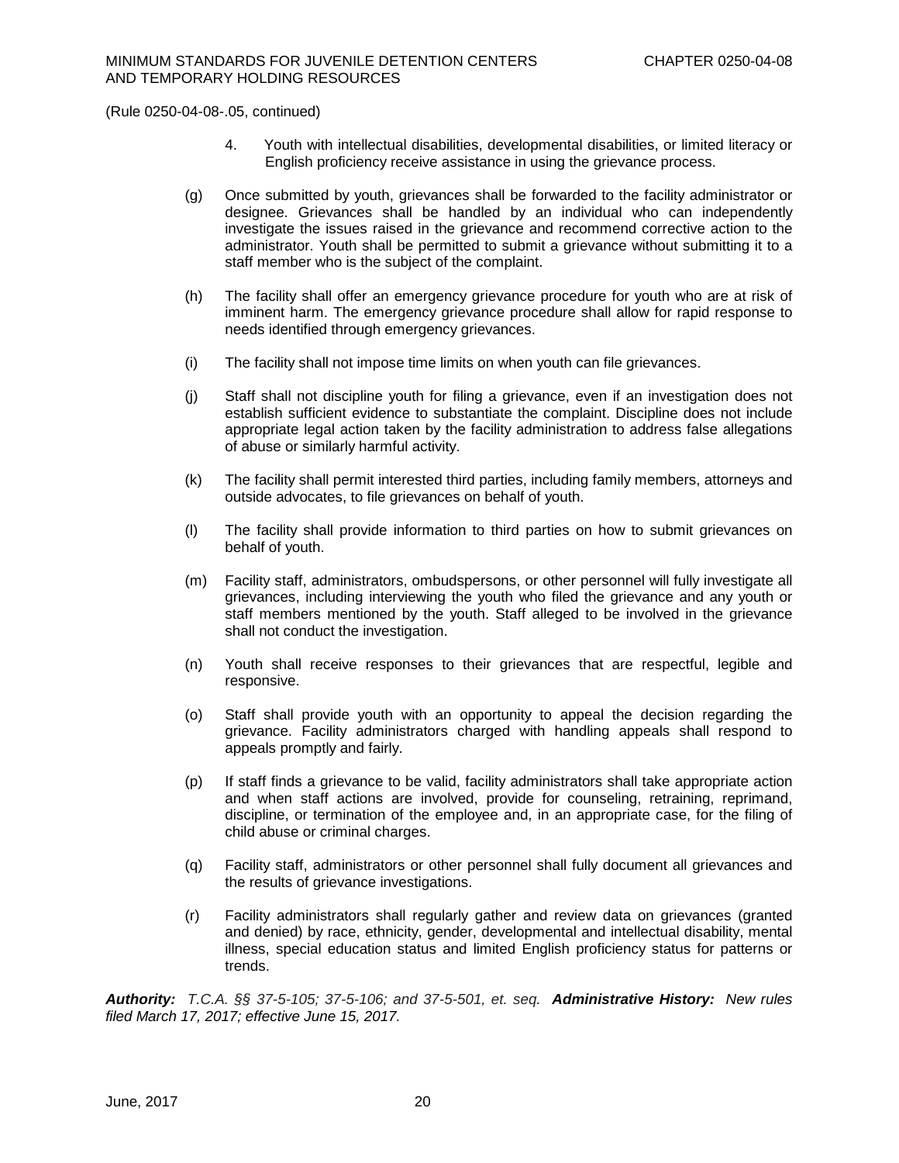- 4. Youth with intellectual disabilities, developmental disabilities, or limited literacy or English proficiency receive assistance in using the grievance process.
- (g) Once submitted by youth, grievances shall be forwarded to the facility administrator or designee. Grievances shall be handled by an individual who can independently investigate the issues raised in the grievance and recommend corrective action to the administrator. Youth shall be permitted to submit a grievance without submitting it to a staff member who is the subject of the complaint.
- (h) The facility shall offer an emergency grievance procedure for youth who are at risk of imminent harm. The emergency grievance procedure shall allow for rapid response to needs identified through emergency grievances.
- (i) The facility shall not impose time limits on when youth can file grievances.
- (j) Staff shall not discipline youth for filing a grievance, even if an investigation does not establish sufficient evidence to substantiate the complaint. Discipline does not include appropriate legal action taken by the facility administration to address false allegations of abuse or similarly harmful activity.
- (k) The facility shall permit interested third parties, including family members, attorneys and outside advocates, to file grievances on behalf of youth.
- (l) The facility shall provide information to third parties on how to submit grievances on behalf of youth.
- (m) Facility staff, administrators, ombudspersons, or other personnel will fully investigate all grievances, including interviewing the youth who filed the grievance and any youth or staff members mentioned by the youth. Staff alleged to be involved in the grievance shall not conduct the investigation.
- (n) Youth shall receive responses to their grievances that are respectful, legible and responsive.
- (o) Staff shall provide youth with an opportunity to appeal the decision regarding the grievance. Facility administrators charged with handling appeals shall respond to appeals promptly and fairly.
- (p) If staff finds a grievance to be valid, facility administrators shall take appropriate action and when staff actions are involved, provide for counseling, retraining, reprimand, discipline, or termination of the employee and, in an appropriate case, for the filing of child abuse or criminal charges.
- (q) Facility staff, administrators or other personnel shall fully document all grievances and the results of grievance investigations.
- (r) Facility administrators shall regularly gather and review data on grievances (granted and denied) by race, ethnicity, gender, developmental and intellectual disability, mental illness, special education status and limited English proficiency status for patterns or trends.

*Authority: T.C.A. §§ 37-5-105; 37-5-106; and 37-5-501, et. seq. Administrative History:**New rules filed March 17, 2017; effective June 15, 2017.*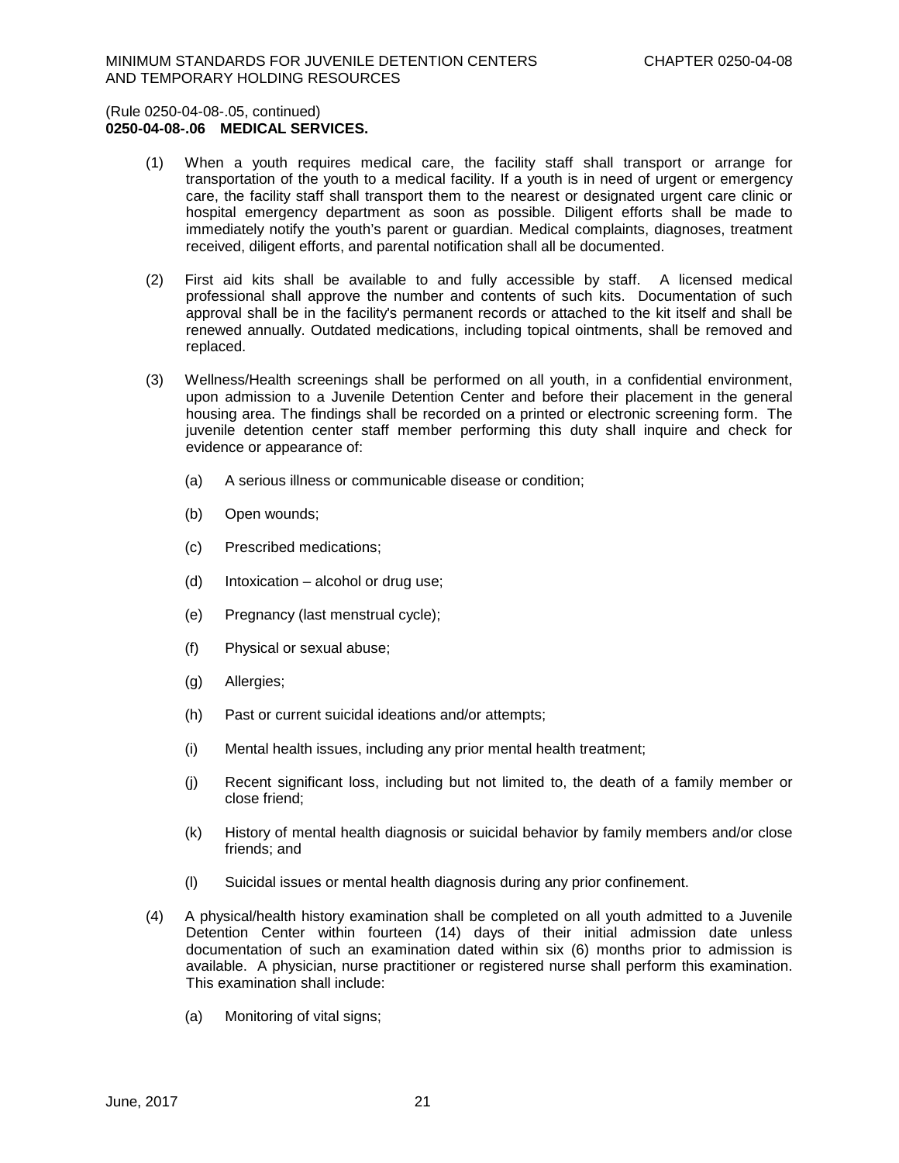# (Rule 0250-04-08-.05, continued) **0250-04-08-.06 MEDICAL SERVICES.**

- (1) When a youth requires medical care, the facility staff shall transport or arrange for transportation of the youth to a medical facility. If a youth is in need of urgent or emergency care, the facility staff shall transport them to the nearest or designated urgent care clinic or hospital emergency department as soon as possible. Diligent efforts shall be made to immediately notify the youth's parent or guardian. Medical complaints, diagnoses, treatment received, diligent efforts, and parental notification shall all be documented.
- (2) First aid kits shall be available to and fully accessible by staff. A licensed medical professional shall approve the number and contents of such kits. Documentation of such approval shall be in the facility's permanent records or attached to the kit itself and shall be renewed annually. Outdated medications, including topical ointments, shall be removed and replaced.
- (3) Wellness/Health screenings shall be performed on all youth, in a confidential environment, upon admission to a Juvenile Detention Center and before their placement in the general housing area. The findings shall be recorded on a printed or electronic screening form. The juvenile detention center staff member performing this duty shall inquire and check for evidence or appearance of:
	- (a) A serious illness or communicable disease or condition;
	- (b) Open wounds;
	- (c) Prescribed medications;
	- (d) Intoxication alcohol or drug use;
	- (e) Pregnancy (last menstrual cycle);
	- (f) Physical or sexual abuse;
	- (g) Allergies;
	- (h) Past or current suicidal ideations and/or attempts;
	- (i) Mental health issues, including any prior mental health treatment;
	- (j) Recent significant loss, including but not limited to, the death of a family member or close friend;
	- (k) History of mental health diagnosis or suicidal behavior by family members and/or close friends; and
	- (l) Suicidal issues or mental health diagnosis during any prior confinement.
- (4) A physical/health history examination shall be completed on all youth admitted to a Juvenile Detention Center within fourteen (14) days of their initial admission date unless documentation of such an examination dated within six (6) months prior to admission is available. A physician, nurse practitioner or registered nurse shall perform this examination. This examination shall include:
	- (a) Monitoring of vital signs;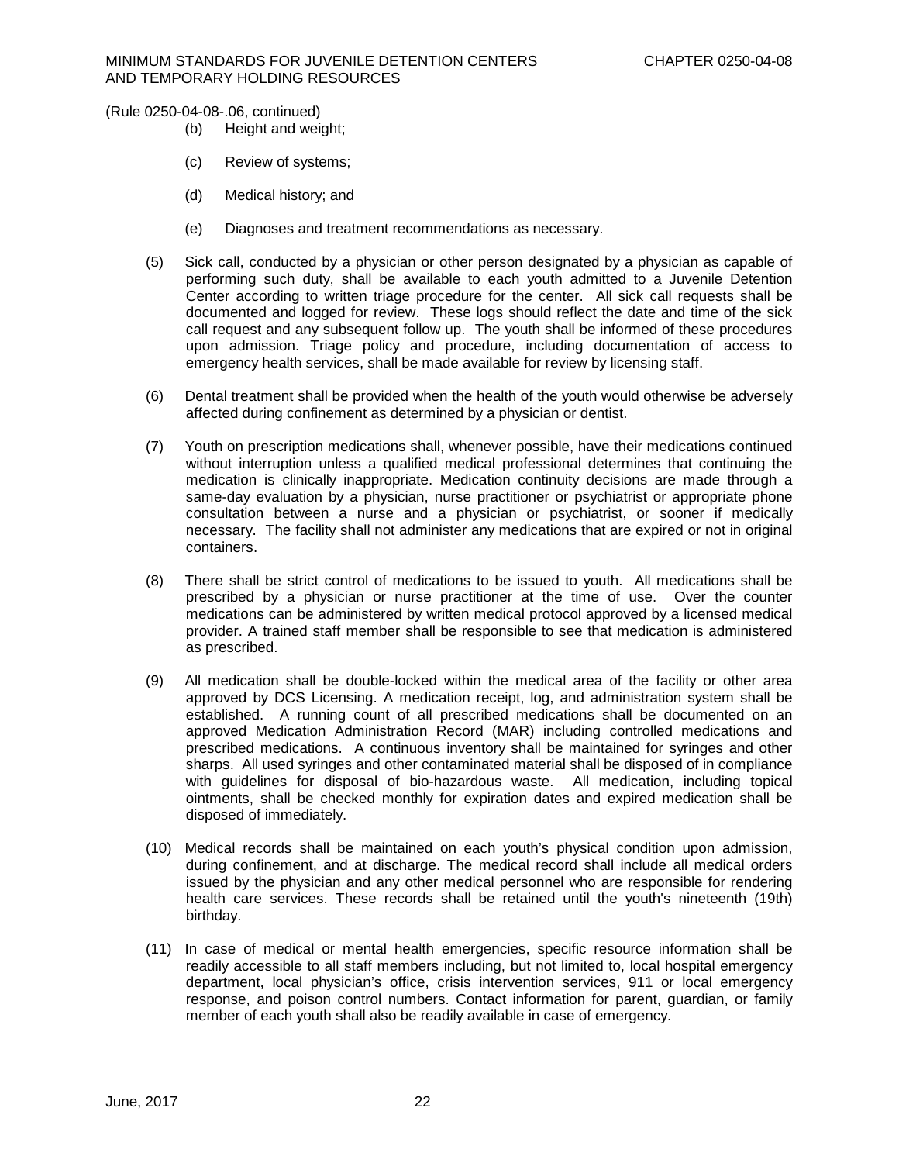- (b) Height and weight;
- (c) Review of systems;
- (d) Medical history; and
- (e) Diagnoses and treatment recommendations as necessary.
- (5) Sick call, conducted by a physician or other person designated by a physician as capable of performing such duty, shall be available to each youth admitted to a Juvenile Detention Center according to written triage procedure for the center. All sick call requests shall be documented and logged for review. These logs should reflect the date and time of the sick call request and any subsequent follow up. The youth shall be informed of these procedures upon admission. Triage policy and procedure, including documentation of access to emergency health services, shall be made available for review by licensing staff.
- (6) Dental treatment shall be provided when the health of the youth would otherwise be adversely affected during confinement as determined by a physician or dentist.
- (7) Youth on prescription medications shall, whenever possible, have their medications continued without interruption unless a qualified medical professional determines that continuing the medication is clinically inappropriate. Medication continuity decisions are made through a same-day evaluation by a physician, nurse practitioner or psychiatrist or appropriate phone consultation between a nurse and a physician or psychiatrist, or sooner if medically necessary. The facility shall not administer any medications that are expired or not in original containers.
- (8) There shall be strict control of medications to be issued to youth. All medications shall be prescribed by a physician or nurse practitioner at the time of use. Over the counter medications can be administered by written medical protocol approved by a licensed medical provider. A trained staff member shall be responsible to see that medication is administered as prescribed.
- (9) All medication shall be double-locked within the medical area of the facility or other area approved by DCS Licensing. A medication receipt, log, and administration system shall be established. A running count of all prescribed medications shall be documented on an approved Medication Administration Record (MAR) including controlled medications and prescribed medications. A continuous inventory shall be maintained for syringes and other sharps. All used syringes and other contaminated material shall be disposed of in compliance with guidelines for disposal of bio-hazardous waste. All medication, including topical ointments, shall be checked monthly for expiration dates and expired medication shall be disposed of immediately.
- (10) Medical records shall be maintained on each youth's physical condition upon admission, during confinement, and at discharge. The medical record shall include all medical orders issued by the physician and any other medical personnel who are responsible for rendering health care services. These records shall be retained until the youth's nineteenth (19th) birthday.
- (11) In case of medical or mental health emergencies, specific resource information shall be readily accessible to all staff members including, but not limited to, local hospital emergency department, local physician's office, crisis intervention services, 911 or local emergency response, and poison control numbers. Contact information for parent, guardian, or family member of each youth shall also be readily available in case of emergency.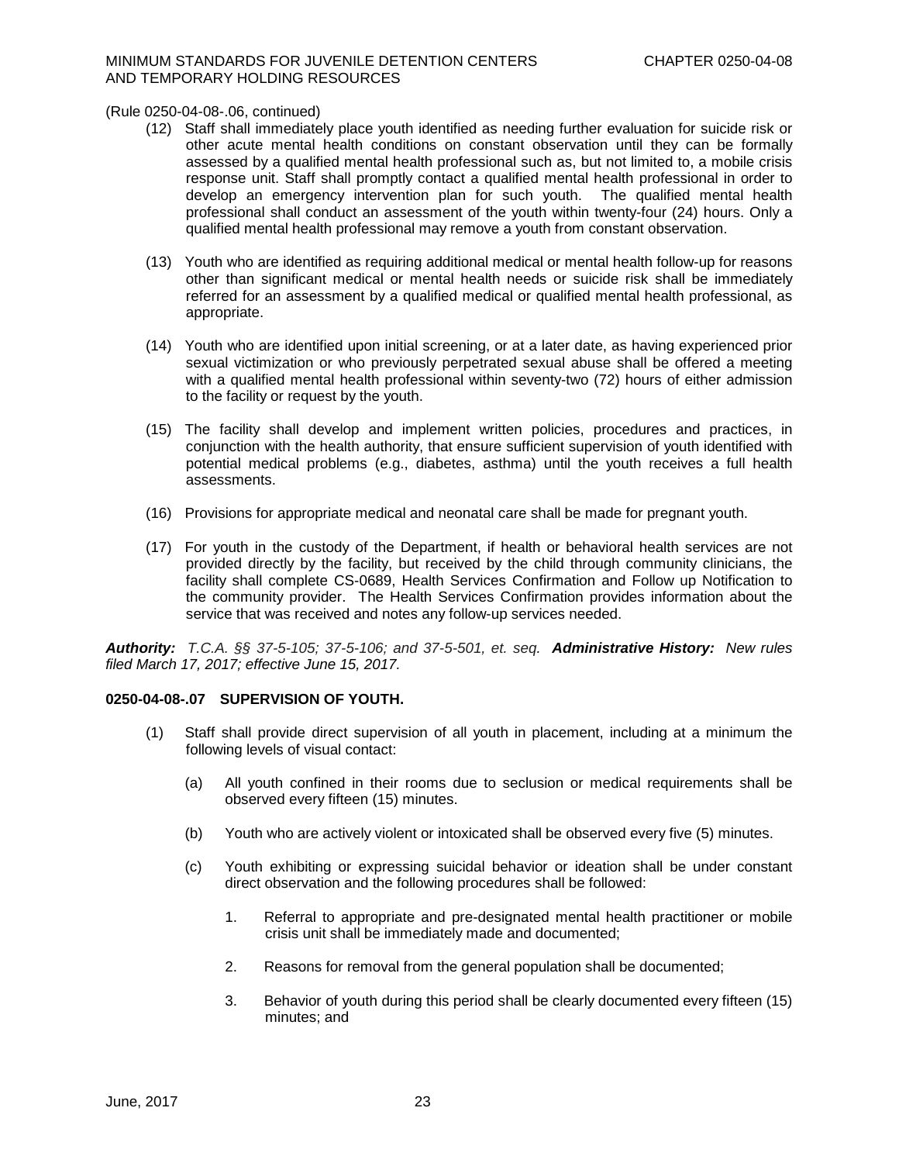- (12) Staff shall immediately place youth identified as needing further evaluation for suicide risk or other acute mental health conditions on constant observation until they can be formally assessed by a qualified mental health professional such as, but not limited to, a mobile crisis response unit. Staff shall promptly contact a qualified mental health professional in order to develop an emergency intervention plan for such youth. The qualified mental health professional shall conduct an assessment of the youth within twenty-four (24) hours. Only a qualified mental health professional may remove a youth from constant observation.
- (13) Youth who are identified as requiring additional medical or mental health follow-up for reasons other than significant medical or mental health needs or suicide risk shall be immediately referred for an assessment by a qualified medical or qualified mental health professional, as appropriate.
- (14) Youth who are identified upon initial screening, or at a later date, as having experienced prior sexual victimization or who previously perpetrated sexual abuse shall be offered a meeting with a qualified mental health professional within seventy-two (72) hours of either admission to the facility or request by the youth.
- (15) The facility shall develop and implement written policies, procedures and practices, in conjunction with the health authority, that ensure sufficient supervision of youth identified with potential medical problems (e.g., diabetes, asthma) until the youth receives a full health assessments.
- (16) Provisions for appropriate medical and neonatal care shall be made for pregnant youth.
- (17) For youth in the custody of the Department, if health or behavioral health services are not provided directly by the facility, but received by the child through community clinicians, the facility shall complete CS-0689, Health Services Confirmation and Follow up Notification to the community provider. The Health Services Confirmation provides information about the service that was received and notes any follow-up services needed.

*Authority: T.C.A. §§ 37-5-105; 37-5-106; and 37-5-501, et. seq. Administrative History:**New rules filed March 17, 2017; effective June 15, 2017.*

# **0250-04-08-.07 SUPERVISION OF YOUTH.**

- (1) Staff shall provide direct supervision of all youth in placement, including at a minimum the following levels of visual contact:
	- (a) All youth confined in their rooms due to seclusion or medical requirements shall be observed every fifteen (15) minutes.
	- (b) Youth who are actively violent or intoxicated shall be observed every five (5) minutes.
	- (c) Youth exhibiting or expressing suicidal behavior or ideation shall be under constant direct observation and the following procedures shall be followed:
		- 1. Referral to appropriate and pre-designated mental health practitioner or mobile crisis unit shall be immediately made and documented;
		- 2. Reasons for removal from the general population shall be documented;
		- 3. Behavior of youth during this period shall be clearly documented every fifteen (15) minutes; and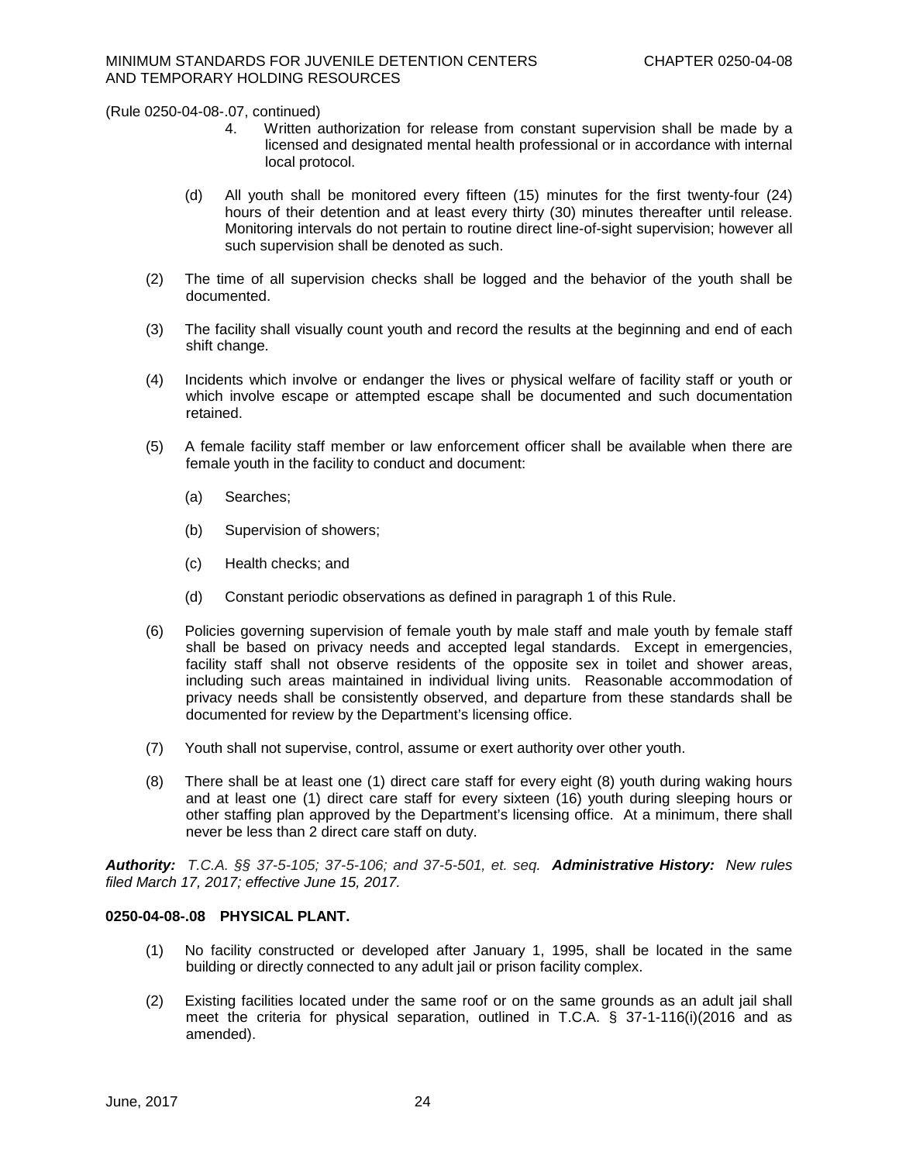- 4. Written authorization for release from constant supervision shall be made by a licensed and designated mental health professional or in accordance with internal local protocol.
- (d) All youth shall be monitored every fifteen (15) minutes for the first twenty-four (24) hours of their detention and at least every thirty (30) minutes thereafter until release. Monitoring intervals do not pertain to routine direct line-of-sight supervision; however all such supervision shall be denoted as such.
- (2) The time of all supervision checks shall be logged and the behavior of the youth shall be documented.
- (3) The facility shall visually count youth and record the results at the beginning and end of each shift change.
- (4) Incidents which involve or endanger the lives or physical welfare of facility staff or youth or which involve escape or attempted escape shall be documented and such documentation retained.
- (5) A female facility staff member or law enforcement officer shall be available when there are female youth in the facility to conduct and document:
	- (a) Searches;
	- (b) Supervision of showers;
	- (c) Health checks; and
	- (d) Constant periodic observations as defined in paragraph 1 of this Rule.
- (6) Policies governing supervision of female youth by male staff and male youth by female staff shall be based on privacy needs and accepted legal standards. Except in emergencies, facility staff shall not observe residents of the opposite sex in toilet and shower areas, including such areas maintained in individual living units. Reasonable accommodation of privacy needs shall be consistently observed, and departure from these standards shall be documented for review by the Department's licensing office.
- (7) Youth shall not supervise, control, assume or exert authority over other youth.
- (8) There shall be at least one (1) direct care staff for every eight (8) youth during waking hours and at least one (1) direct care staff for every sixteen (16) youth during sleeping hours or other staffing plan approved by the Department's licensing office. At a minimum, there shall never be less than 2 direct care staff on duty.

*Authority: T.C.A. §§ 37-5-105; 37-5-106; and 37-5-501, et. seq. Administrative History:**New rules filed March 17, 2017; effective June 15, 2017.*

# **0250-04-08-.08 PHYSICAL PLANT.**

- (1) No facility constructed or developed after January 1, 1995, shall be located in the same building or directly connected to any adult jail or prison facility complex.
- (2) Existing facilities located under the same roof or on the same grounds as an adult jail shall meet the criteria for physical separation, outlined in T.C.A. § 37-1-116(i)(2016 and as amended).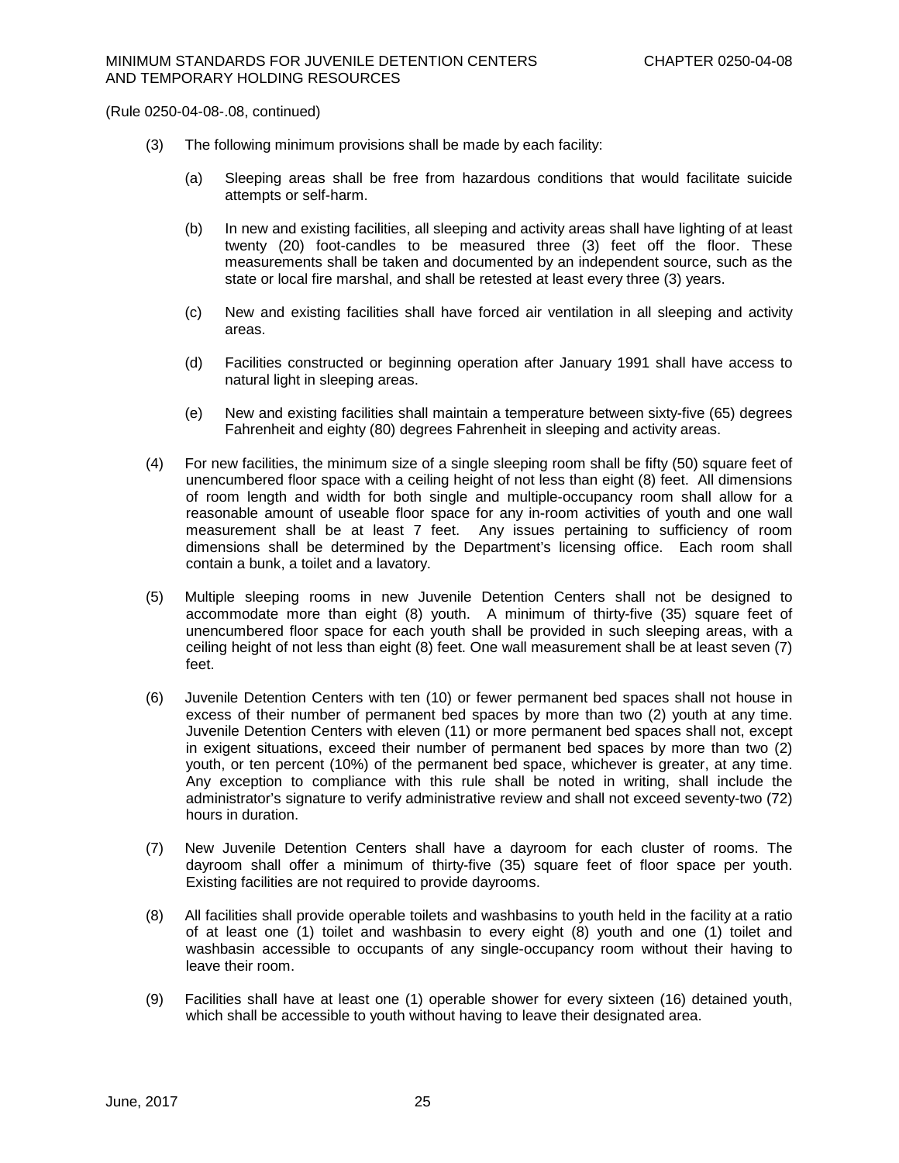- (3) The following minimum provisions shall be made by each facility:
	- (a) Sleeping areas shall be free from hazardous conditions that would facilitate suicide attempts or self-harm.
	- (b) In new and existing facilities, all sleeping and activity areas shall have lighting of at least twenty (20) foot-candles to be measured three (3) feet off the floor. These measurements shall be taken and documented by an independent source, such as the state or local fire marshal, and shall be retested at least every three (3) years.
	- (c) New and existing facilities shall have forced air ventilation in all sleeping and activity areas.
	- (d) Facilities constructed or beginning operation after January 1991 shall have access to natural light in sleeping areas.
	- (e) New and existing facilities shall maintain a temperature between sixty-five (65) degrees Fahrenheit and eighty (80) degrees Fahrenheit in sleeping and activity areas.
- (4) For new facilities, the minimum size of a single sleeping room shall be fifty (50) square feet of unencumbered floor space with a ceiling height of not less than eight (8) feet. All dimensions of room length and width for both single and multiple-occupancy room shall allow for a reasonable amount of useable floor space for any in-room activities of youth and one wall measurement shall be at least 7 feet. Any issues pertaining to sufficiency of room dimensions shall be determined by the Department's licensing office. Each room shall contain a bunk, a toilet and a lavatory.
- (5) Multiple sleeping rooms in new Juvenile Detention Centers shall not be designed to accommodate more than eight (8) youth. A minimum of thirty-five (35) square feet of unencumbered floor space for each youth shall be provided in such sleeping areas, with a ceiling height of not less than eight (8) feet. One wall measurement shall be at least seven (7) feet.
- (6) Juvenile Detention Centers with ten (10) or fewer permanent bed spaces shall not house in excess of their number of permanent bed spaces by more than two (2) youth at any time. Juvenile Detention Centers with eleven (11) or more permanent bed spaces shall not, except in exigent situations, exceed their number of permanent bed spaces by more than two (2) youth, or ten percent (10%) of the permanent bed space, whichever is greater, at any time. Any exception to compliance with this rule shall be noted in writing, shall include the administrator's signature to verify administrative review and shall not exceed seventy-two (72) hours in duration.
- (7) New Juvenile Detention Centers shall have a dayroom for each cluster of rooms. The dayroom shall offer a minimum of thirty-five (35) square feet of floor space per youth. Existing facilities are not required to provide dayrooms.
- (8) All facilities shall provide operable toilets and washbasins to youth held in the facility at a ratio of at least one (1) toilet and washbasin to every eight (8) youth and one (1) toilet and washbasin accessible to occupants of any single-occupancy room without their having to leave their room.
- (9) Facilities shall have at least one (1) operable shower for every sixteen (16) detained youth, which shall be accessible to youth without having to leave their designated area.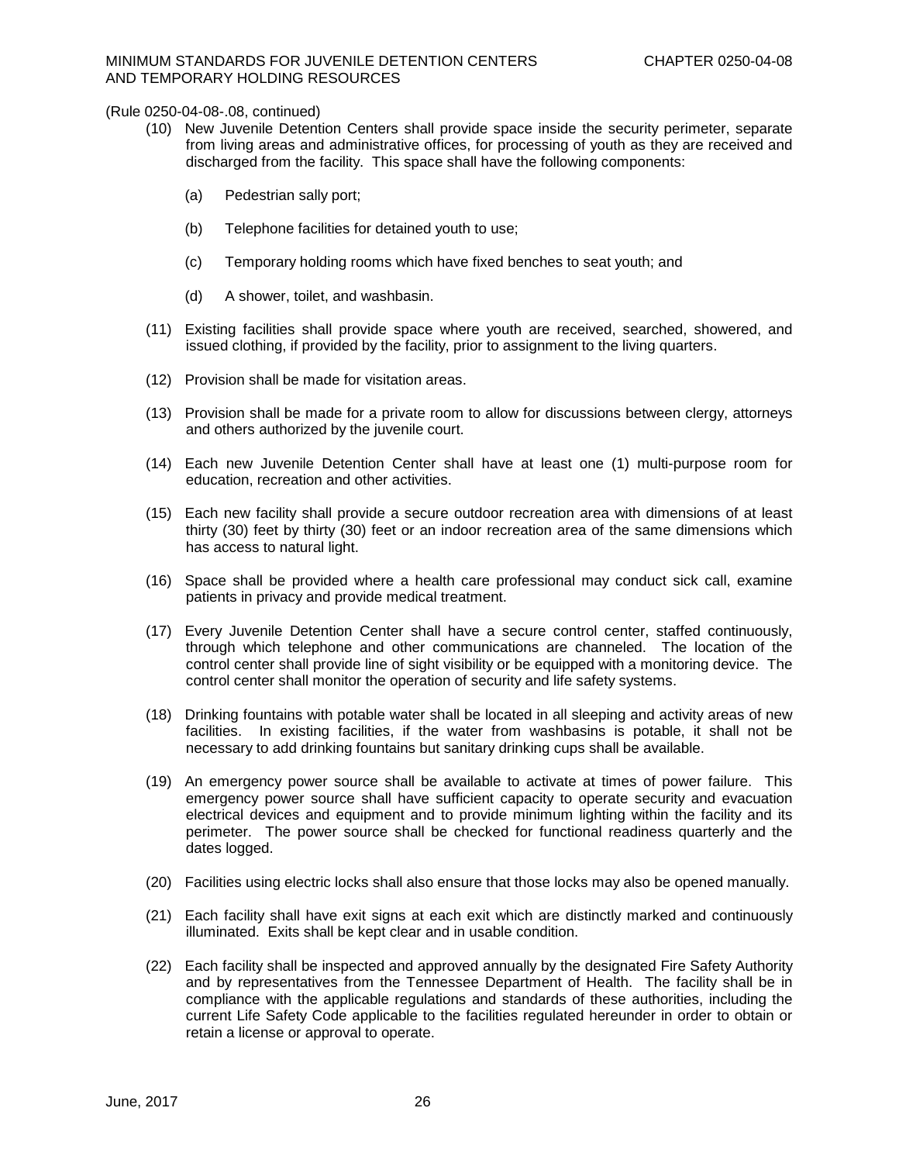# MINIMUM STANDARDS FOR JUVENILE DETENTION CENTERS CHAPTER 0250-04-08 AND TEMPORARY HOLDING RESOURCES

- (10) New Juvenile Detention Centers shall provide space inside the security perimeter, separate from living areas and administrative offices, for processing of youth as they are received and discharged from the facility. This space shall have the following components:
	- (a) Pedestrian sally port;
	- (b) Telephone facilities for detained youth to use;
	- (c) Temporary holding rooms which have fixed benches to seat youth; and
	- (d) A shower, toilet, and washbasin.
- (11) Existing facilities shall provide space where youth are received, searched, showered, and issued clothing, if provided by the facility, prior to assignment to the living quarters.
- (12) Provision shall be made for visitation areas.
- (13) Provision shall be made for a private room to allow for discussions between clergy, attorneys and others authorized by the juvenile court.
- (14) Each new Juvenile Detention Center shall have at least one (1) multi-purpose room for education, recreation and other activities.
- (15) Each new facility shall provide a secure outdoor recreation area with dimensions of at least thirty (30) feet by thirty (30) feet or an indoor recreation area of the same dimensions which has access to natural light.
- (16) Space shall be provided where a health care professional may conduct sick call, examine patients in privacy and provide medical treatment.
- (17) Every Juvenile Detention Center shall have a secure control center, staffed continuously, through which telephone and other communications are channeled. The location of the control center shall provide line of sight visibility or be equipped with a monitoring device. The control center shall monitor the operation of security and life safety systems.
- (18) Drinking fountains with potable water shall be located in all sleeping and activity areas of new facilities. In existing facilities, if the water from washbasins is potable, it shall not be necessary to add drinking fountains but sanitary drinking cups shall be available.
- (19) An emergency power source shall be available to activate at times of power failure. This emergency power source shall have sufficient capacity to operate security and evacuation electrical devices and equipment and to provide minimum lighting within the facility and its perimeter. The power source shall be checked for functional readiness quarterly and the dates logged.
- (20) Facilities using electric locks shall also ensure that those locks may also be opened manually.
- (21) Each facility shall have exit signs at each exit which are distinctly marked and continuously illuminated. Exits shall be kept clear and in usable condition.
- (22) Each facility shall be inspected and approved annually by the designated Fire Safety Authority and by representatives from the Tennessee Department of Health. The facility shall be in compliance with the applicable regulations and standards of these authorities, including the current Life Safety Code applicable to the facilities regulated hereunder in order to obtain or retain a license or approval to operate.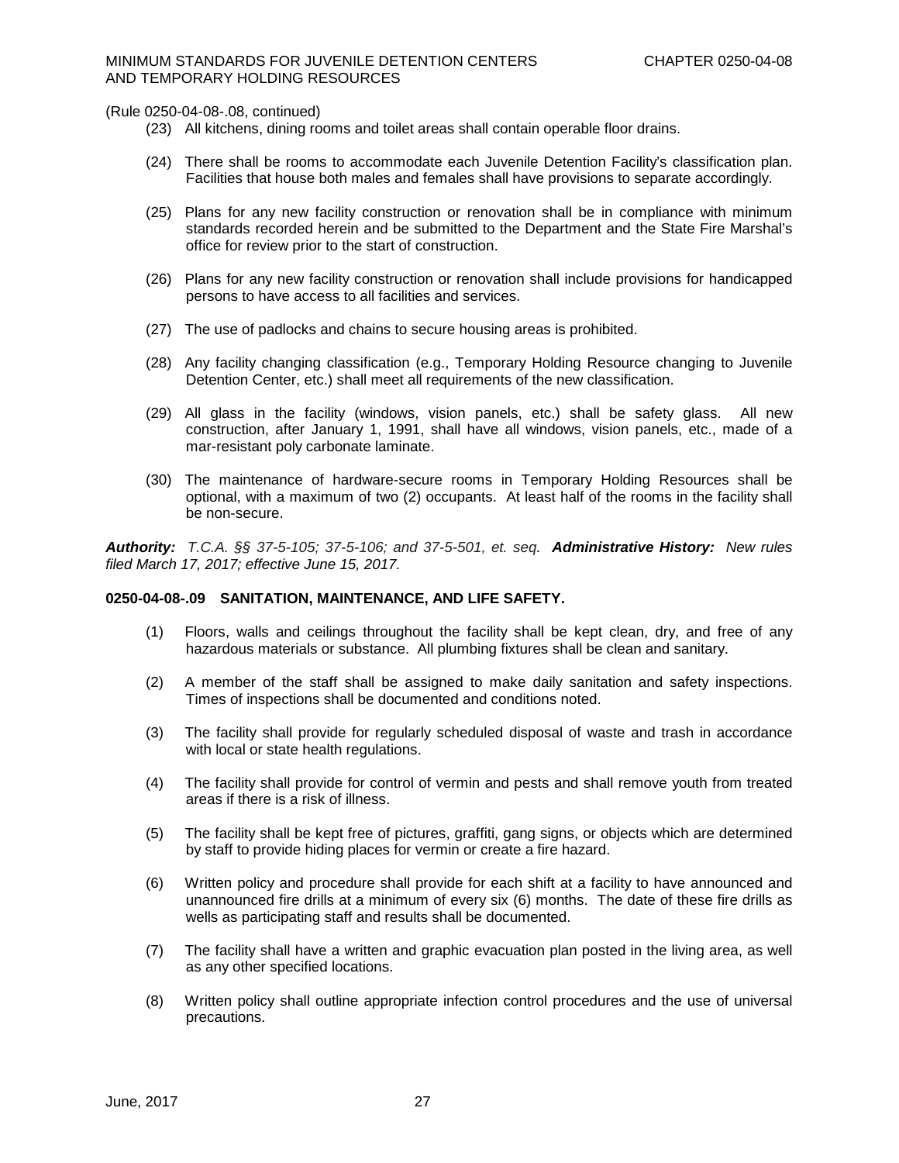- (23) All kitchens, dining rooms and toilet areas shall contain operable floor drains.
- (24) There shall be rooms to accommodate each Juvenile Detention Facility's classification plan. Facilities that house both males and females shall have provisions to separate accordingly.
- (25) Plans for any new facility construction or renovation shall be in compliance with minimum standards recorded herein and be submitted to the Department and the State Fire Marshal's office for review prior to the start of construction.
- (26) Plans for any new facility construction or renovation shall include provisions for handicapped persons to have access to all facilities and services.
- (27) The use of padlocks and chains to secure housing areas is prohibited.
- (28) Any facility changing classification (e.g., Temporary Holding Resource changing to Juvenile Detention Center, etc.) shall meet all requirements of the new classification.
- (29) All glass in the facility (windows, vision panels, etc.) shall be safety glass. All new construction, after January 1, 1991, shall have all windows, vision panels, etc., made of a mar-resistant poly carbonate laminate.
- (30) The maintenance of hardware-secure rooms in Temporary Holding Resources shall be optional, with a maximum of two (2) occupants. At least half of the rooms in the facility shall be non-secure.

*Authority: T.C.A. §§ 37-5-105; 37-5-106; and 37-5-501, et. seq. Administrative History:**New rules filed March 17, 2017; effective June 15, 2017.*

### **0250-04-08-.09 SANITATION, MAINTENANCE, AND LIFE SAFETY.**

- (1) Floors, walls and ceilings throughout the facility shall be kept clean, dry, and free of any hazardous materials or substance. All plumbing fixtures shall be clean and sanitary.
- (2) A member of the staff shall be assigned to make daily sanitation and safety inspections. Times of inspections shall be documented and conditions noted.
- (3) The facility shall provide for regularly scheduled disposal of waste and trash in accordance with local or state health regulations.
- (4) The facility shall provide for control of vermin and pests and shall remove youth from treated areas if there is a risk of illness.
- (5) The facility shall be kept free of pictures, graffiti, gang signs, or objects which are determined by staff to provide hiding places for vermin or create a fire hazard.
- (6) Written policy and procedure shall provide for each shift at a facility to have announced and unannounced fire drills at a minimum of every six (6) months. The date of these fire drills as wells as participating staff and results shall be documented.
- (7) The facility shall have a written and graphic evacuation plan posted in the living area, as well as any other specified locations.
- (8) Written policy shall outline appropriate infection control procedures and the use of universal precautions.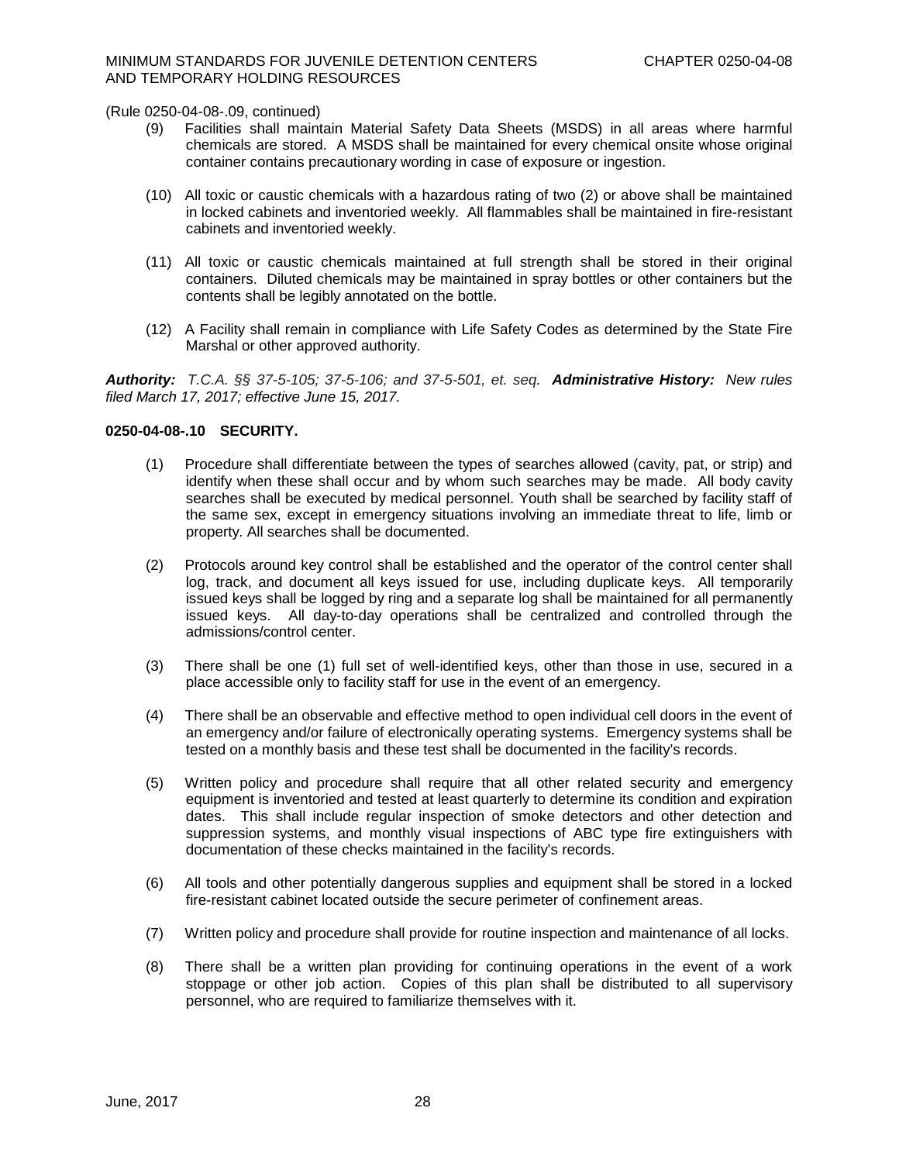- (9) Facilities shall maintain Material Safety Data Sheets (MSDS) in all areas where harmful chemicals are stored. A MSDS shall be maintained for every chemical onsite whose original container contains precautionary wording in case of exposure or ingestion.
- (10) All toxic or caustic chemicals with a hazardous rating of two (2) or above shall be maintained in locked cabinets and inventoried weekly. All flammables shall be maintained in fire-resistant cabinets and inventoried weekly.
- (11) All toxic or caustic chemicals maintained at full strength shall be stored in their original containers. Diluted chemicals may be maintained in spray bottles or other containers but the contents shall be legibly annotated on the bottle.
- (12) A Facility shall remain in compliance with Life Safety Codes as determined by the State Fire Marshal or other approved authority.

*Authority: T.C.A. §§ 37-5-105; 37-5-106; and 37-5-501, et. seq. Administrative History:**New rules filed March 17, 2017; effective June 15, 2017.*

### **0250-04-08-.10 SECURITY.**

- (1) Procedure shall differentiate between the types of searches allowed (cavity, pat, or strip) and identify when these shall occur and by whom such searches may be made. All body cavity searches shall be executed by medical personnel. Youth shall be searched by facility staff of the same sex, except in emergency situations involving an immediate threat to life, limb or property. All searches shall be documented.
- (2) Protocols around key control shall be established and the operator of the control center shall log, track, and document all keys issued for use, including duplicate keys. All temporarily issued keys shall be logged by ring and a separate log shall be maintained for all permanently issued keys. All day-to-day operations shall be centralized and controlled through the admissions/control center.
- (3) There shall be one (1) full set of well-identified keys, other than those in use, secured in a place accessible only to facility staff for use in the event of an emergency.
- (4) There shall be an observable and effective method to open individual cell doors in the event of an emergency and/or failure of electronically operating systems. Emergency systems shall be tested on a monthly basis and these test shall be documented in the facility's records.
- (5) Written policy and procedure shall require that all other related security and emergency equipment is inventoried and tested at least quarterly to determine its condition and expiration dates. This shall include regular inspection of smoke detectors and other detection and suppression systems, and monthly visual inspections of ABC type fire extinguishers with documentation of these checks maintained in the facility's records.
- (6) All tools and other potentially dangerous supplies and equipment shall be stored in a locked fire-resistant cabinet located outside the secure perimeter of confinement areas.
- (7) Written policy and procedure shall provide for routine inspection and maintenance of all locks.
- (8) There shall be a written plan providing for continuing operations in the event of a work stoppage or other job action. Copies of this plan shall be distributed to all supervisory personnel, who are required to familiarize themselves with it.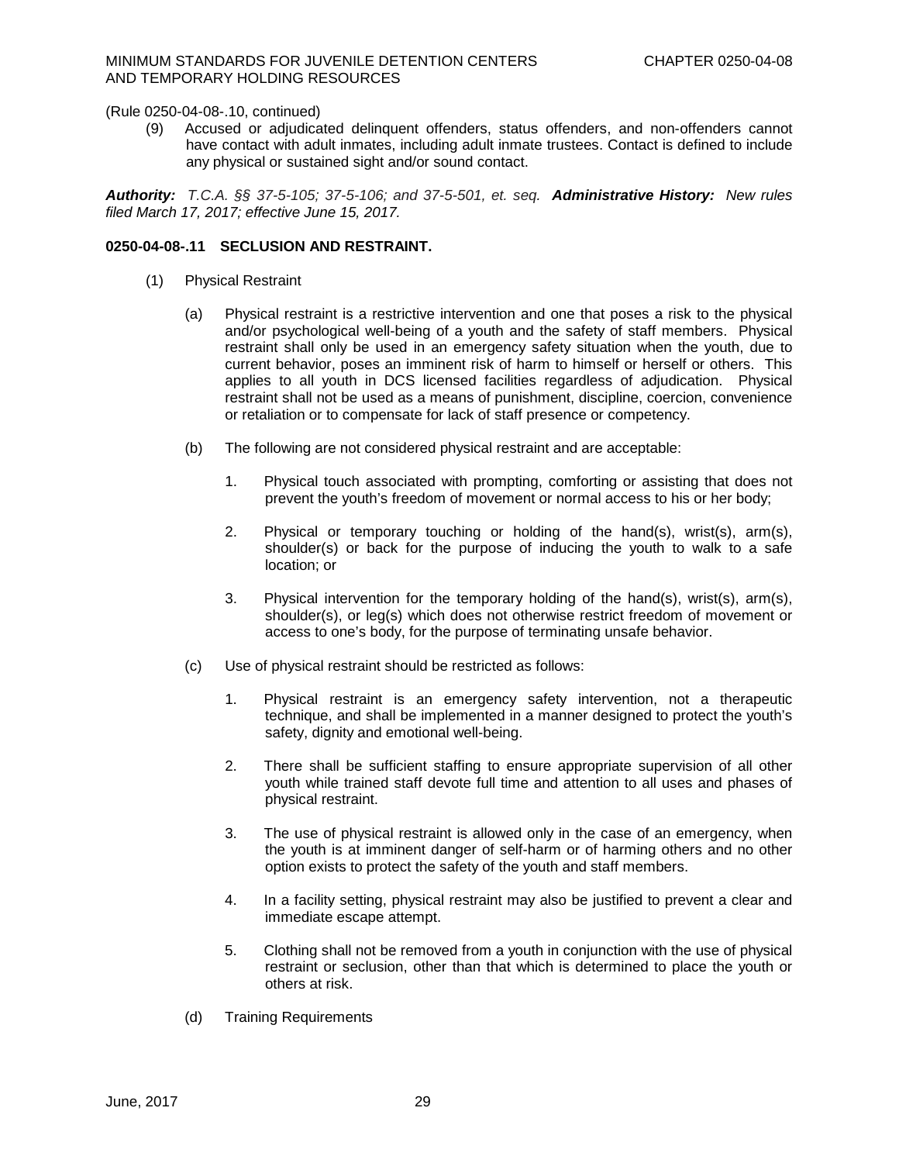(9) Accused or adjudicated delinquent offenders, status offenders, and non-offenders cannot have contact with adult inmates, including adult inmate trustees. Contact is defined to include any physical or sustained sight and/or sound contact.

*Authority: T.C.A. §§ 37-5-105; 37-5-106; and 37-5-501, et. seq. Administrative History:**New rules filed March 17, 2017; effective June 15, 2017.*

# **0250-04-08-.11 SECLUSION AND RESTRAINT.**

- (1) Physical Restraint
	- (a) Physical restraint is a restrictive intervention and one that poses a risk to the physical and/or psychological well-being of a youth and the safety of staff members. Physical restraint shall only be used in an emergency safety situation when the youth, due to current behavior, poses an imminent risk of harm to himself or herself or others. This applies to all youth in DCS licensed facilities regardless of adjudication. Physical restraint shall not be used as a means of punishment, discipline, coercion, convenience or retaliation or to compensate for lack of staff presence or competency.
	- (b) The following are not considered physical restraint and are acceptable:
		- 1. Physical touch associated with prompting, comforting or assisting that does not prevent the youth's freedom of movement or normal access to his or her body;
		- 2. Physical or temporary touching or holding of the hand(s), wrist(s), arm(s), shoulder(s) or back for the purpose of inducing the youth to walk to a safe location; or
		- 3. Physical intervention for the temporary holding of the hand(s), wrist(s), arm(s), shoulder(s), or leg(s) which does not otherwise restrict freedom of movement or access to one's body, for the purpose of terminating unsafe behavior.
	- (c) Use of physical restraint should be restricted as follows:
		- 1. Physical restraint is an emergency safety intervention, not a therapeutic technique, and shall be implemented in a manner designed to protect the youth's safety, dignity and emotional well-being.
		- 2. There shall be sufficient staffing to ensure appropriate supervision of all other youth while trained staff devote full time and attention to all uses and phases of physical restraint.
		- 3. The use of physical restraint is allowed only in the case of an emergency, when the youth is at imminent danger of self-harm or of harming others and no other option exists to protect the safety of the youth and staff members.
		- 4. In a facility setting, physical restraint may also be justified to prevent a clear and immediate escape attempt.
		- 5. Clothing shall not be removed from a youth in conjunction with the use of physical restraint or seclusion, other than that which is determined to place the youth or others at risk.
	- (d) Training Requirements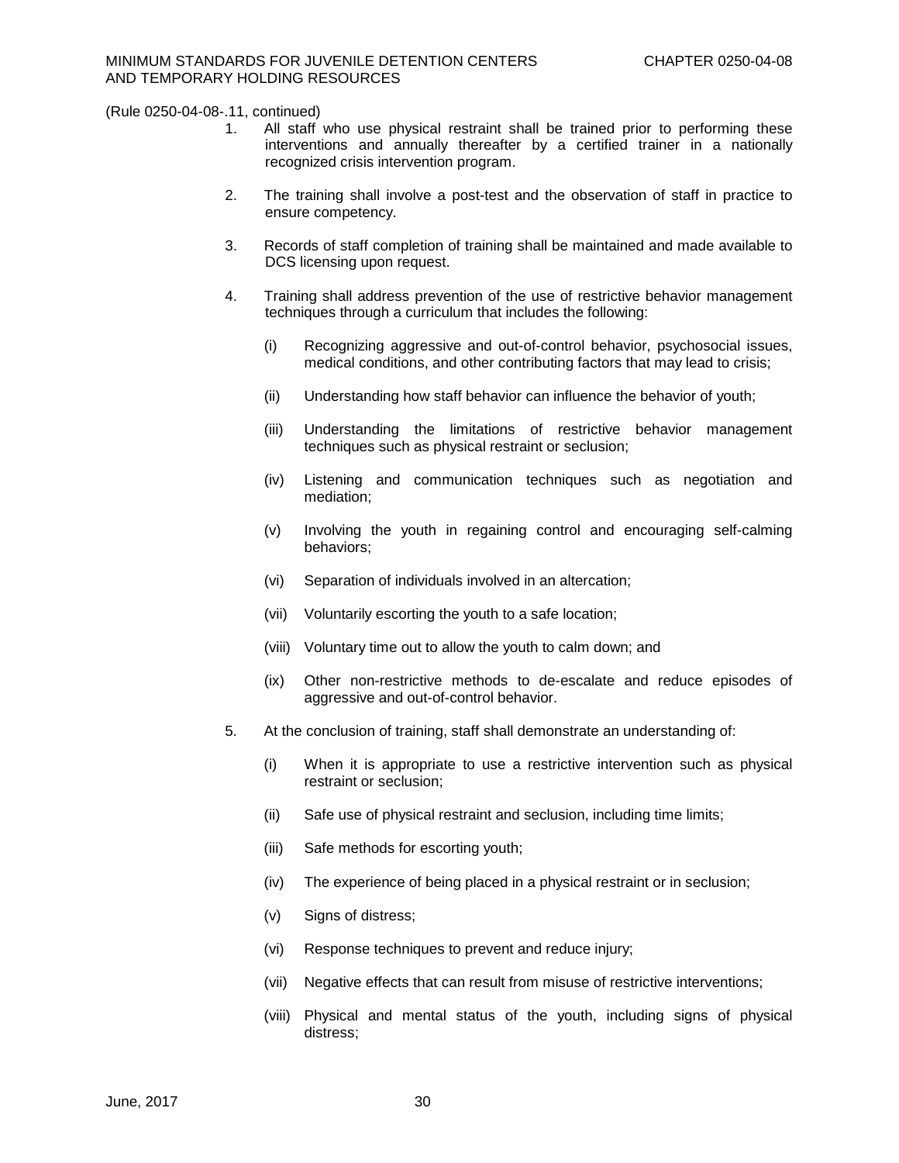- 1. All staff who use physical restraint shall be trained prior to performing these interventions and annually thereafter by a certified trainer in a nationally recognized crisis intervention program.
- 2. The training shall involve a post-test and the observation of staff in practice to ensure competency.
- 3. Records of staff completion of training shall be maintained and made available to DCS licensing upon request.
- 4. Training shall address prevention of the use of restrictive behavior management techniques through a curriculum that includes the following:
	- (i) Recognizing aggressive and out-of-control behavior, psychosocial issues, medical conditions, and other contributing factors that may lead to crisis;
	- (ii) Understanding how staff behavior can influence the behavior of youth;
	- (iii) Understanding the limitations of restrictive behavior management techniques such as physical restraint or seclusion;
	- (iv) Listening and communication techniques such as negotiation and mediation;
	- (v) Involving the youth in regaining control and encouraging self-calming behaviors;
	- (vi) Separation of individuals involved in an altercation;
	- (vii) Voluntarily escorting the youth to a safe location;
	- (viii) Voluntary time out to allow the youth to calm down; and
	- (ix) Other non-restrictive methods to de-escalate and reduce episodes of aggressive and out-of-control behavior.
- 5. At the conclusion of training, staff shall demonstrate an understanding of:
	- (i) When it is appropriate to use a restrictive intervention such as physical restraint or seclusion;
	- (ii) Safe use of physical restraint and seclusion, including time limits;
	- (iii) Safe methods for escorting youth;
	- (iv) The experience of being placed in a physical restraint or in seclusion;
	- (v) Signs of distress;
	- (vi) Response techniques to prevent and reduce injury;
	- (vii) Negative effects that can result from misuse of restrictive interventions;
	- (viii) Physical and mental status of the youth, including signs of physical distress;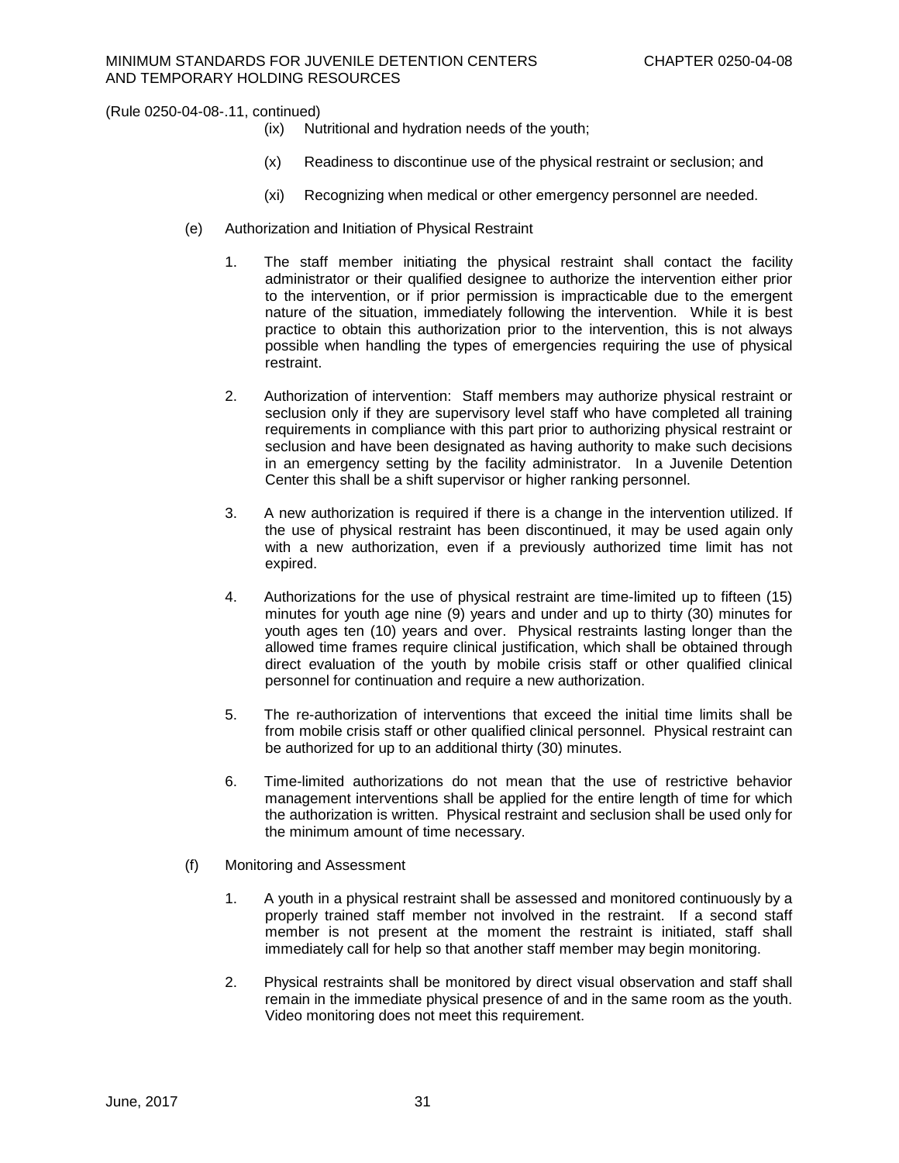- (ix) Nutritional and hydration needs of the youth;
- (x) Readiness to discontinue use of the physical restraint or seclusion; and
- (xi) Recognizing when medical or other emergency personnel are needed.
- (e) Authorization and Initiation of Physical Restraint
	- 1. The staff member initiating the physical restraint shall contact the facility administrator or their qualified designee to authorize the intervention either prior to the intervention, or if prior permission is impracticable due to the emergent nature of the situation, immediately following the intervention. While it is best practice to obtain this authorization prior to the intervention, this is not always possible when handling the types of emergencies requiring the use of physical restraint.
	- 2. Authorization of intervention: Staff members may authorize physical restraint or seclusion only if they are supervisory level staff who have completed all training requirements in compliance with this part prior to authorizing physical restraint or seclusion and have been designated as having authority to make such decisions in an emergency setting by the facility administrator. In a Juvenile Detention Center this shall be a shift supervisor or higher ranking personnel.
	- 3. A new authorization is required if there is a change in the intervention utilized. If the use of physical restraint has been discontinued, it may be used again only with a new authorization, even if a previously authorized time limit has not expired.
	- 4. Authorizations for the use of physical restraint are time-limited up to fifteen (15) minutes for youth age nine (9) years and under and up to thirty (30) minutes for youth ages ten (10) years and over. Physical restraints lasting longer than the allowed time frames require clinical justification, which shall be obtained through direct evaluation of the youth by mobile crisis staff or other qualified clinical personnel for continuation and require a new authorization.
	- 5. The re-authorization of interventions that exceed the initial time limits shall be from mobile crisis staff or other qualified clinical personnel. Physical restraint can be authorized for up to an additional thirty (30) minutes.
	- 6. Time-limited authorizations do not mean that the use of restrictive behavior management interventions shall be applied for the entire length of time for which the authorization is written. Physical restraint and seclusion shall be used only for the minimum amount of time necessary.
- (f) Monitoring and Assessment
	- 1. A youth in a physical restraint shall be assessed and monitored continuously by a properly trained staff member not involved in the restraint. If a second staff member is not present at the moment the restraint is initiated, staff shall immediately call for help so that another staff member may begin monitoring.
	- 2. Physical restraints shall be monitored by direct visual observation and staff shall remain in the immediate physical presence of and in the same room as the youth. Video monitoring does not meet this requirement.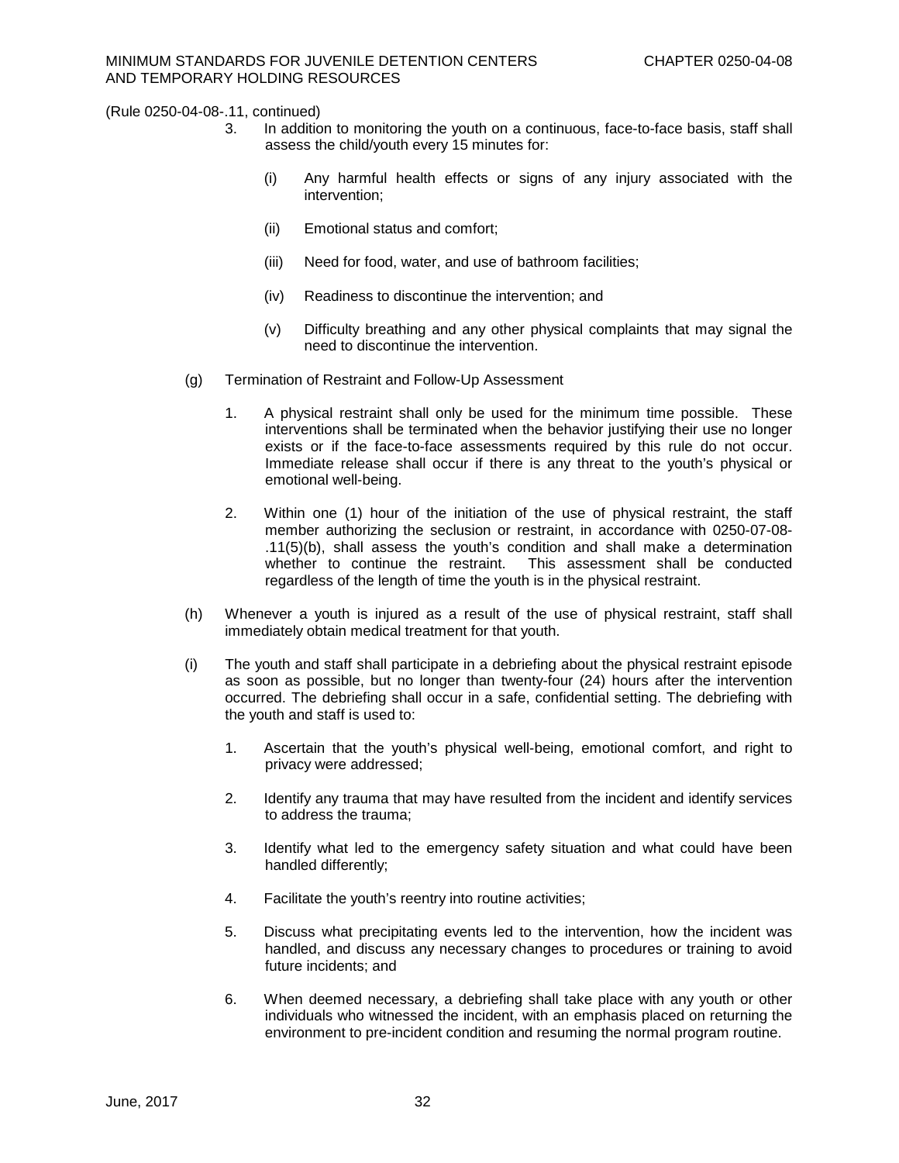- 3. In addition to monitoring the youth on a continuous, face-to-face basis, staff shall assess the child/youth every 15 minutes for:
	- (i) Any harmful health effects or signs of any injury associated with the intervention;
	- (ii) Emotional status and comfort;
	- (iii) Need for food, water, and use of bathroom facilities;
	- (iv) Readiness to discontinue the intervention; and
	- (v) Difficulty breathing and any other physical complaints that may signal the need to discontinue the intervention.
- (g) Termination of Restraint and Follow-Up Assessment
	- 1. A physical restraint shall only be used for the minimum time possible. These interventions shall be terminated when the behavior justifying their use no longer exists or if the face-to-face assessments required by this rule do not occur. Immediate release shall occur if there is any threat to the youth's physical or emotional well-being.
	- 2. Within one (1) hour of the initiation of the use of physical restraint, the staff member authorizing the seclusion or restraint, in accordance with 0250-07-08- .11(5)(b), shall assess the youth's condition and shall make a determination This assessment shall be conducted. regardless of the length of time the youth is in the physical restraint.
- (h) Whenever a youth is injured as a result of the use of physical restraint, staff shall immediately obtain medical treatment for that youth.
- (i) The youth and staff shall participate in a debriefing about the physical restraint episode as soon as possible, but no longer than twenty-four (24) hours after the intervention occurred. The debriefing shall occur in a safe, confidential setting. The debriefing with the youth and staff is used to:
	- 1. Ascertain that the youth's physical well-being, emotional comfort, and right to privacy were addressed;
	- 2. Identify any trauma that may have resulted from the incident and identify services to address the trauma;
	- 3. Identify what led to the emergency safety situation and what could have been handled differently;
	- 4. Facilitate the youth's reentry into routine activities;
	- 5. Discuss what precipitating events led to the intervention, how the incident was handled, and discuss any necessary changes to procedures or training to avoid future incidents; and
	- 6. When deemed necessary, a debriefing shall take place with any youth or other individuals who witnessed the incident, with an emphasis placed on returning the environment to pre-incident condition and resuming the normal program routine.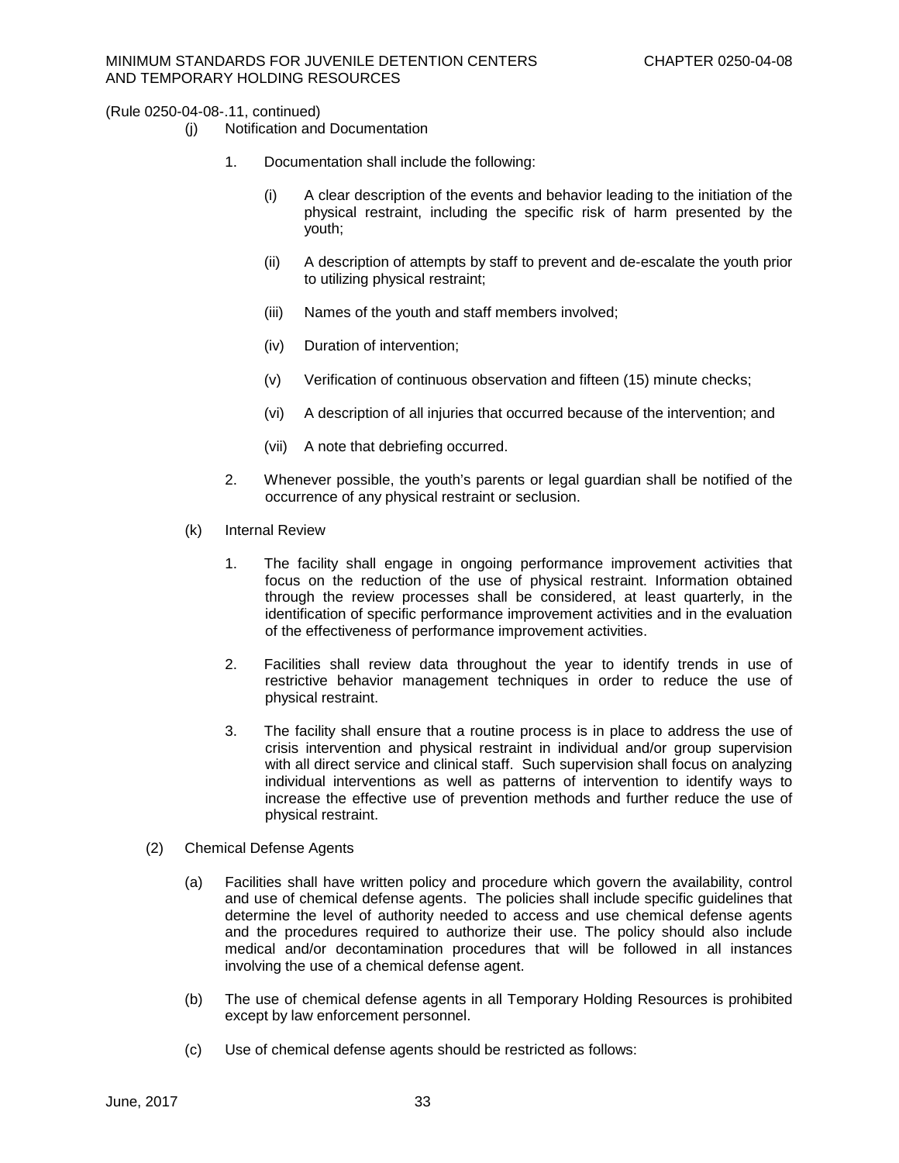- (j) Notification and Documentation
	- 1. Documentation shall include the following:
		- (i) A clear description of the events and behavior leading to the initiation of the physical restraint, including the specific risk of harm presented by the youth;
		- (ii) A description of attempts by staff to prevent and de-escalate the youth prior to utilizing physical restraint;
		- (iii) Names of the youth and staff members involved;
		- (iv) Duration of intervention;
		- (v) Verification of continuous observation and fifteen (15) minute checks;
		- (vi) A description of all injuries that occurred because of the intervention; and
		- (vii) A note that debriefing occurred.
	- 2. Whenever possible, the youth's parents or legal guardian shall be notified of the occurrence of any physical restraint or seclusion.
- (k) Internal Review
	- 1. The facility shall engage in ongoing performance improvement activities that focus on the reduction of the use of physical restraint. Information obtained through the review processes shall be considered, at least quarterly, in the identification of specific performance improvement activities and in the evaluation of the effectiveness of performance improvement activities.
	- 2. Facilities shall review data throughout the year to identify trends in use of restrictive behavior management techniques in order to reduce the use of physical restraint.
	- 3. The facility shall ensure that a routine process is in place to address the use of crisis intervention and physical restraint in individual and/or group supervision with all direct service and clinical staff. Such supervision shall focus on analyzing individual interventions as well as patterns of intervention to identify ways to increase the effective use of prevention methods and further reduce the use of physical restraint.
- (2) Chemical Defense Agents
	- (a) Facilities shall have written policy and procedure which govern the availability, control and use of chemical defense agents. The policies shall include specific guidelines that determine the level of authority needed to access and use chemical defense agents and the procedures required to authorize their use. The policy should also include medical and/or decontamination procedures that will be followed in all instances involving the use of a chemical defense agent.
	- (b) The use of chemical defense agents in all Temporary Holding Resources is prohibited except by law enforcement personnel.
	- (c) Use of chemical defense agents should be restricted as follows: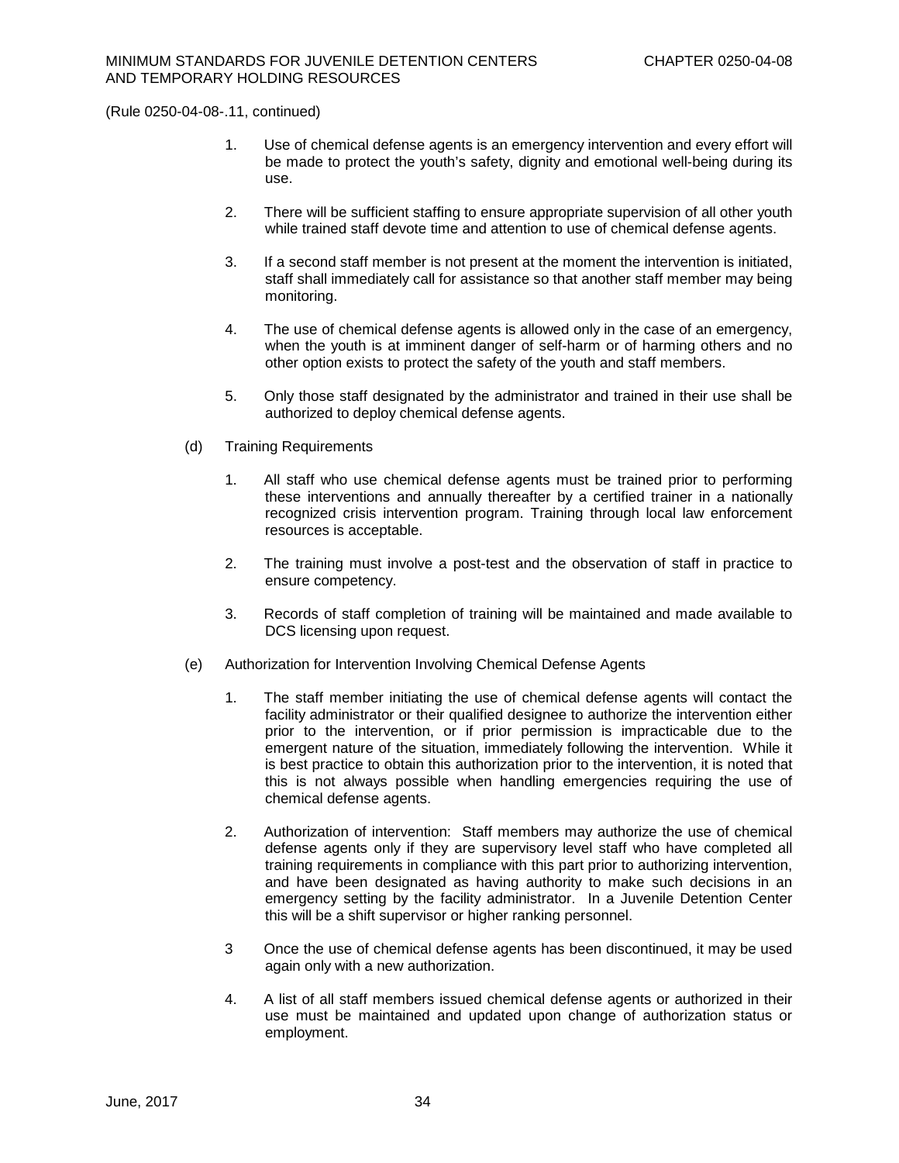- 1. Use of chemical defense agents is an emergency intervention and every effort will be made to protect the youth's safety, dignity and emotional well-being during its use.
- 2. There will be sufficient staffing to ensure appropriate supervision of all other youth while trained staff devote time and attention to use of chemical defense agents.
- 3. If a second staff member is not present at the moment the intervention is initiated, staff shall immediately call for assistance so that another staff member may being monitoring.
- 4. The use of chemical defense agents is allowed only in the case of an emergency, when the youth is at imminent danger of self-harm or of harming others and no other option exists to protect the safety of the youth and staff members.
- 5. Only those staff designated by the administrator and trained in their use shall be authorized to deploy chemical defense agents.
- (d) Training Requirements
	- 1. All staff who use chemical defense agents must be trained prior to performing these interventions and annually thereafter by a certified trainer in a nationally recognized crisis intervention program. Training through local law enforcement resources is acceptable.
	- 2. The training must involve a post-test and the observation of staff in practice to ensure competency.
	- 3. Records of staff completion of training will be maintained and made available to DCS licensing upon request.
- (e) Authorization for Intervention Involving Chemical Defense Agents
	- 1. The staff member initiating the use of chemical defense agents will contact the facility administrator or their qualified designee to authorize the intervention either prior to the intervention, or if prior permission is impracticable due to the emergent nature of the situation, immediately following the intervention. While it is best practice to obtain this authorization prior to the intervention, it is noted that this is not always possible when handling emergencies requiring the use of chemical defense agents.
	- 2. Authorization of intervention: Staff members may authorize the use of chemical defense agents only if they are supervisory level staff who have completed all training requirements in compliance with this part prior to authorizing intervention, and have been designated as having authority to make such decisions in an emergency setting by the facility administrator. In a Juvenile Detention Center this will be a shift supervisor or higher ranking personnel.
	- 3 Once the use of chemical defense agents has been discontinued, it may be used again only with a new authorization.
	- 4. A list of all staff members issued chemical defense agents or authorized in their use must be maintained and updated upon change of authorization status or employment.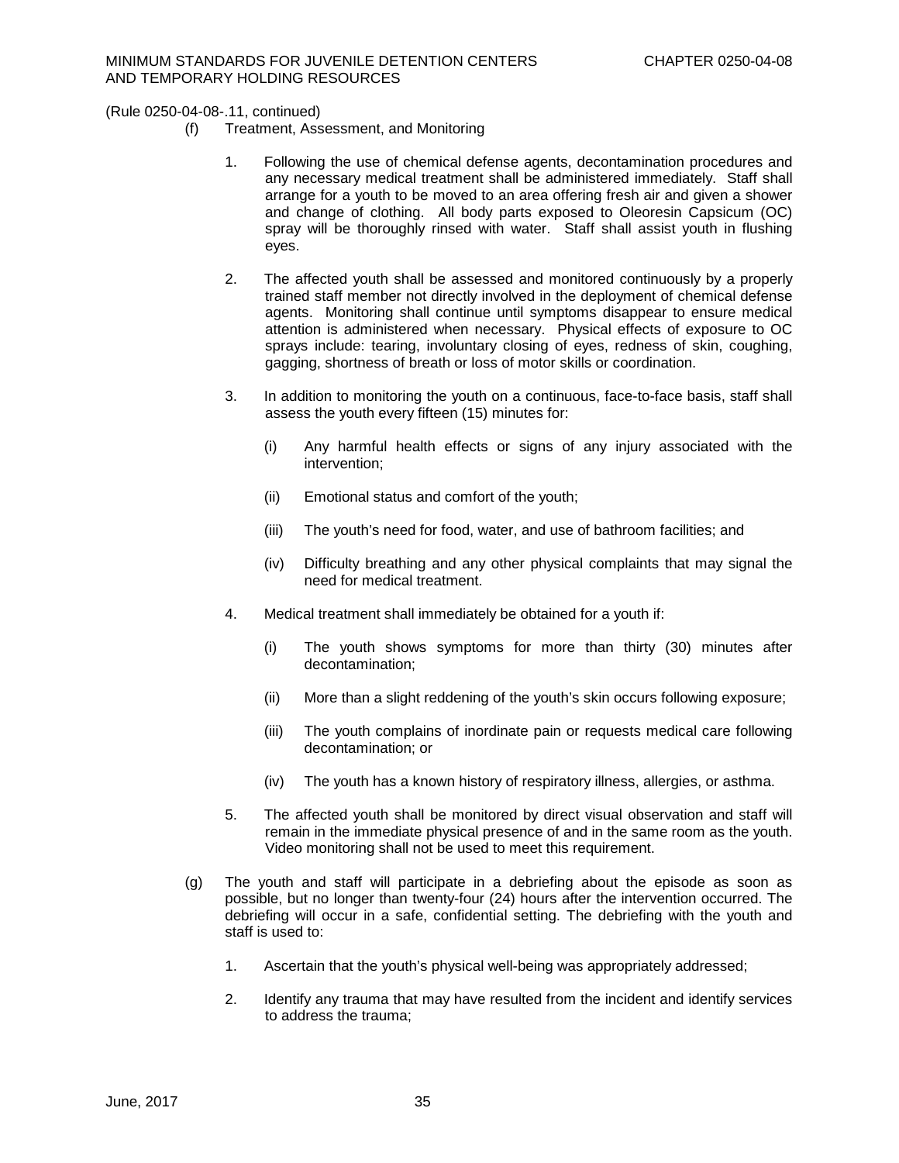- (f) Treatment, Assessment, and Monitoring
	- 1. Following the use of chemical defense agents, decontamination procedures and any necessary medical treatment shall be administered immediately. Staff shall arrange for a youth to be moved to an area offering fresh air and given a shower and change of clothing. All body parts exposed to Oleoresin Capsicum (OC) spray will be thoroughly rinsed with water. Staff shall assist youth in flushing eyes.
	- 2. The affected youth shall be assessed and monitored continuously by a properly trained staff member not directly involved in the deployment of chemical defense agents. Monitoring shall continue until symptoms disappear to ensure medical attention is administered when necessary. Physical effects of exposure to OC sprays include: tearing, involuntary closing of eyes, redness of skin, coughing, gagging, shortness of breath or loss of motor skills or coordination.
	- 3. In addition to monitoring the youth on a continuous, face-to-face basis, staff shall assess the youth every fifteen (15) minutes for:
		- (i) Any harmful health effects or signs of any injury associated with the intervention;
		- (ii) Emotional status and comfort of the youth;
		- (iii) The youth's need for food, water, and use of bathroom facilities; and
		- (iv) Difficulty breathing and any other physical complaints that may signal the need for medical treatment.
	- 4. Medical treatment shall immediately be obtained for a youth if:
		- (i) The youth shows symptoms for more than thirty (30) minutes after decontamination;
		- (ii) More than a slight reddening of the youth's skin occurs following exposure;
		- (iii) The youth complains of inordinate pain or requests medical care following decontamination; or
		- (iv) The youth has a known history of respiratory illness, allergies, or asthma.
	- 5. The affected youth shall be monitored by direct visual observation and staff will remain in the immediate physical presence of and in the same room as the youth. Video monitoring shall not be used to meet this requirement.
- (g) The youth and staff will participate in a debriefing about the episode as soon as possible, but no longer than twenty-four (24) hours after the intervention occurred. The debriefing will occur in a safe, confidential setting. The debriefing with the youth and staff is used to:
	- 1. Ascertain that the youth's physical well-being was appropriately addressed;
	- 2. Identify any trauma that may have resulted from the incident and identify services to address the trauma;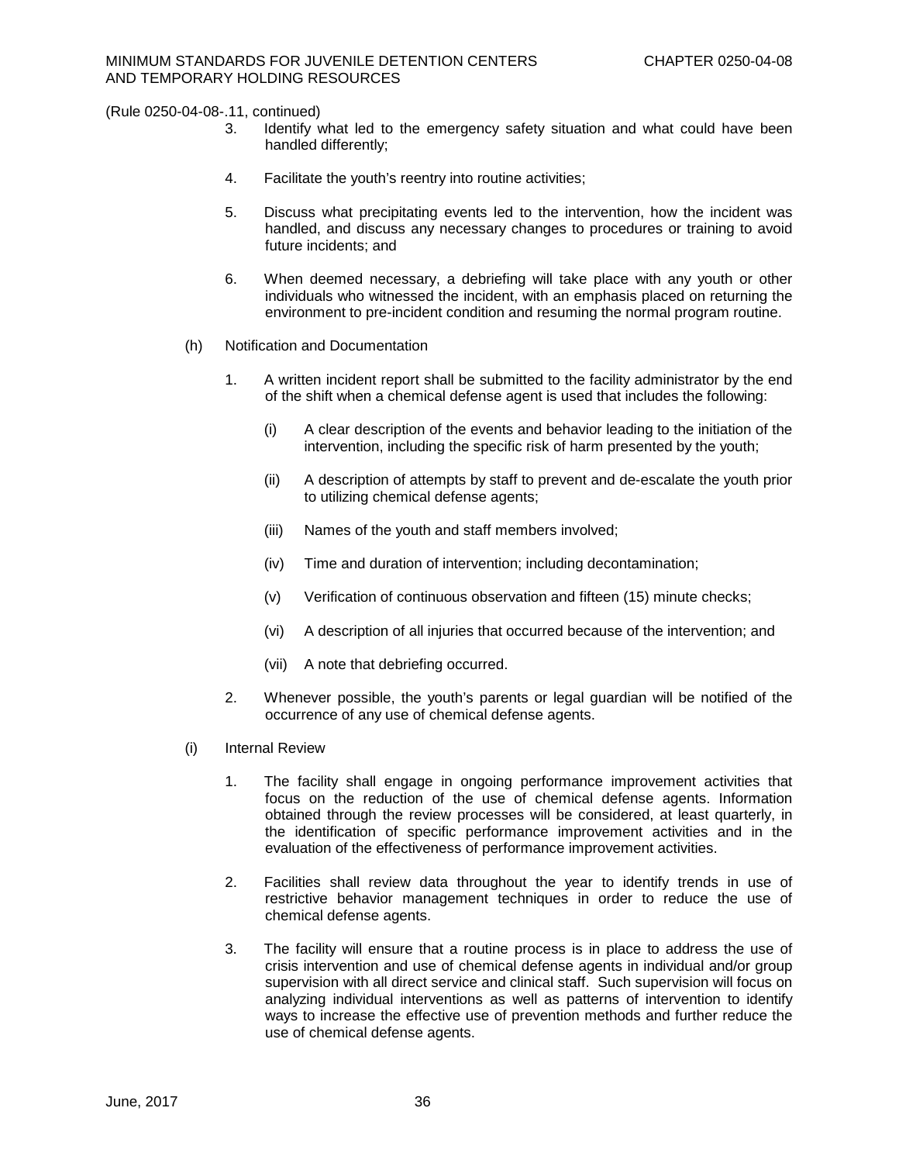- 3. Identify what led to the emergency safety situation and what could have been handled differently;
- 4. Facilitate the youth's reentry into routine activities;
- 5. Discuss what precipitating events led to the intervention, how the incident was handled, and discuss any necessary changes to procedures or training to avoid future incidents; and
- 6. When deemed necessary, a debriefing will take place with any youth or other individuals who witnessed the incident, with an emphasis placed on returning the environment to pre-incident condition and resuming the normal program routine.
- (h) Notification and Documentation
	- 1. A written incident report shall be submitted to the facility administrator by the end of the shift when a chemical defense agent is used that includes the following:
		- (i) A clear description of the events and behavior leading to the initiation of the intervention, including the specific risk of harm presented by the youth;
		- (ii) A description of attempts by staff to prevent and de-escalate the youth prior to utilizing chemical defense agents;
		- (iii) Names of the youth and staff members involved;
		- (iv) Time and duration of intervention; including decontamination;
		- (v) Verification of continuous observation and fifteen (15) minute checks;
		- (vi) A description of all injuries that occurred because of the intervention; and
		- (vii) A note that debriefing occurred.
	- 2. Whenever possible, the youth's parents or legal guardian will be notified of the occurrence of any use of chemical defense agents.
- (i) Internal Review
	- 1. The facility shall engage in ongoing performance improvement activities that focus on the reduction of the use of chemical defense agents. Information obtained through the review processes will be considered, at least quarterly, in the identification of specific performance improvement activities and in the evaluation of the effectiveness of performance improvement activities.
	- 2. Facilities shall review data throughout the year to identify trends in use of restrictive behavior management techniques in order to reduce the use of chemical defense agents.
	- 3. The facility will ensure that a routine process is in place to address the use of crisis intervention and use of chemical defense agents in individual and/or group supervision with all direct service and clinical staff. Such supervision will focus on analyzing individual interventions as well as patterns of intervention to identify ways to increase the effective use of prevention methods and further reduce the use of chemical defense agents.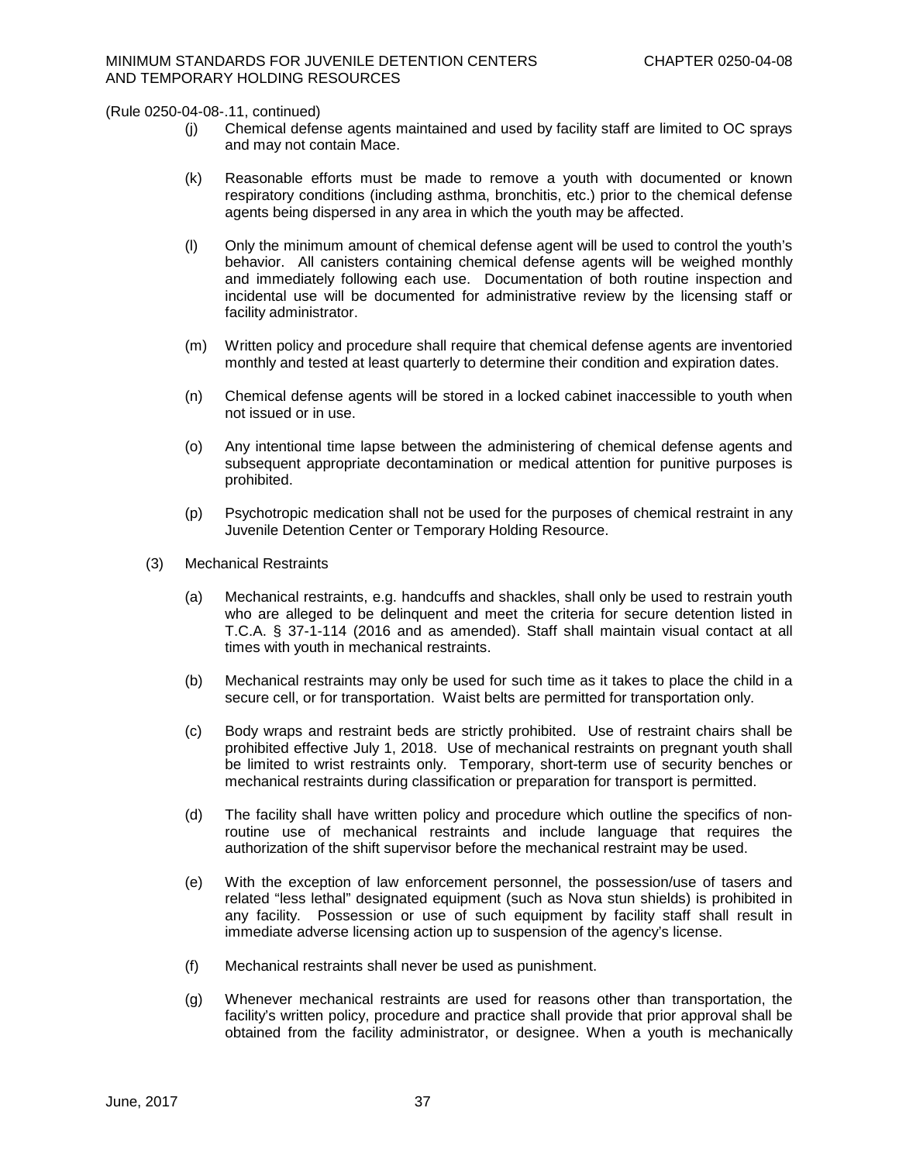- (j) Chemical defense agents maintained and used by facility staff are limited to OC sprays and may not contain Mace.
- (k) Reasonable efforts must be made to remove a youth with documented or known respiratory conditions (including asthma, bronchitis, etc.) prior to the chemical defense agents being dispersed in any area in which the youth may be affected.
- (l) Only the minimum amount of chemical defense agent will be used to control the youth's behavior. All canisters containing chemical defense agents will be weighed monthly and immediately following each use. Documentation of both routine inspection and incidental use will be documented for administrative review by the licensing staff or facility administrator.
- (m) Written policy and procedure shall require that chemical defense agents are inventoried monthly and tested at least quarterly to determine their condition and expiration dates.
- (n) Chemical defense agents will be stored in a locked cabinet inaccessible to youth when not issued or in use.
- (o) Any intentional time lapse between the administering of chemical defense agents and subsequent appropriate decontamination or medical attention for punitive purposes is prohibited.
- (p) Psychotropic medication shall not be used for the purposes of chemical restraint in any Juvenile Detention Center or Temporary Holding Resource.
- (3) Mechanical Restraints
	- (a) Mechanical restraints, e.g. handcuffs and shackles, shall only be used to restrain youth who are alleged to be delinquent and meet the criteria for secure detention listed in T.C.A. § 37-1-114 (2016 and as amended). Staff shall maintain visual contact at all times with youth in mechanical restraints.
	- (b) Mechanical restraints may only be used for such time as it takes to place the child in a secure cell, or for transportation. Waist belts are permitted for transportation only.
	- (c) Body wraps and restraint beds are strictly prohibited. Use of restraint chairs shall be prohibited effective July 1, 2018. Use of mechanical restraints on pregnant youth shall be limited to wrist restraints only. Temporary, short-term use of security benches or mechanical restraints during classification or preparation for transport is permitted.
	- (d) The facility shall have written policy and procedure which outline the specifics of nonroutine use of mechanical restraints and include language that requires the authorization of the shift supervisor before the mechanical restraint may be used.
	- (e) With the exception of law enforcement personnel, the possession/use of tasers and related "less lethal" designated equipment (such as Nova stun shields) is prohibited in any facility. Possession or use of such equipment by facility staff shall result in immediate adverse licensing action up to suspension of the agency's license.
	- (f) Mechanical restraints shall never be used as punishment.
	- (g) Whenever mechanical restraints are used for reasons other than transportation, the facility's written policy, procedure and practice shall provide that prior approval shall be obtained from the facility administrator, or designee. When a youth is mechanically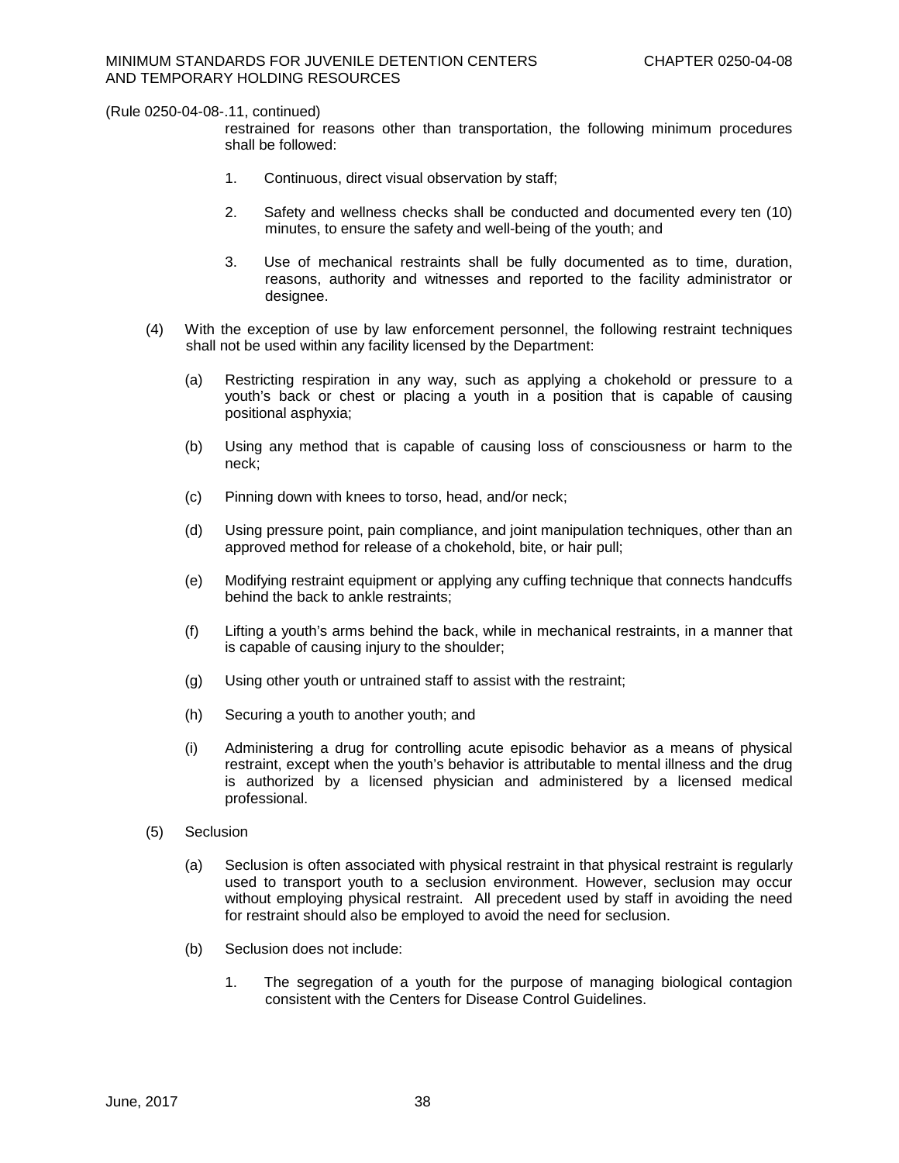restrained for reasons other than transportation, the following minimum procedures shall be followed:

- 1. Continuous, direct visual observation by staff;
- 2. Safety and wellness checks shall be conducted and documented every ten (10) minutes, to ensure the safety and well-being of the youth; and
- 3. Use of mechanical restraints shall be fully documented as to time, duration, reasons, authority and witnesses and reported to the facility administrator or designee.
- (4) With the exception of use by law enforcement personnel, the following restraint techniques shall not be used within any facility licensed by the Department:
	- (a) Restricting respiration in any way, such as applying a chokehold or pressure to a youth's back or chest or placing a youth in a position that is capable of causing positional asphyxia;
	- (b) Using any method that is capable of causing loss of consciousness or harm to the neck;
	- (c) Pinning down with knees to torso, head, and/or neck;
	- (d) Using pressure point, pain compliance, and joint manipulation techniques, other than an approved method for release of a chokehold, bite, or hair pull;
	- (e) Modifying restraint equipment or applying any cuffing technique that connects handcuffs behind the back to ankle restraints;
	- (f) Lifting a youth's arms behind the back, while in mechanical restraints, in a manner that is capable of causing injury to the shoulder;
	- (g) Using other youth or untrained staff to assist with the restraint;
	- (h) Securing a youth to another youth; and
	- (i) Administering a drug for controlling acute episodic behavior as a means of physical restraint, except when the youth's behavior is attributable to mental illness and the drug is authorized by a licensed physician and administered by a licensed medical professional.
- (5) Seclusion
	- (a) Seclusion is often associated with physical restraint in that physical restraint is regularly used to transport youth to a seclusion environment. However, seclusion may occur without employing physical restraint. All precedent used by staff in avoiding the need for restraint should also be employed to avoid the need for seclusion.
	- (b) Seclusion does not include:
		- 1. The segregation of a youth for the purpose of managing biological contagion consistent with the Centers for Disease Control Guidelines.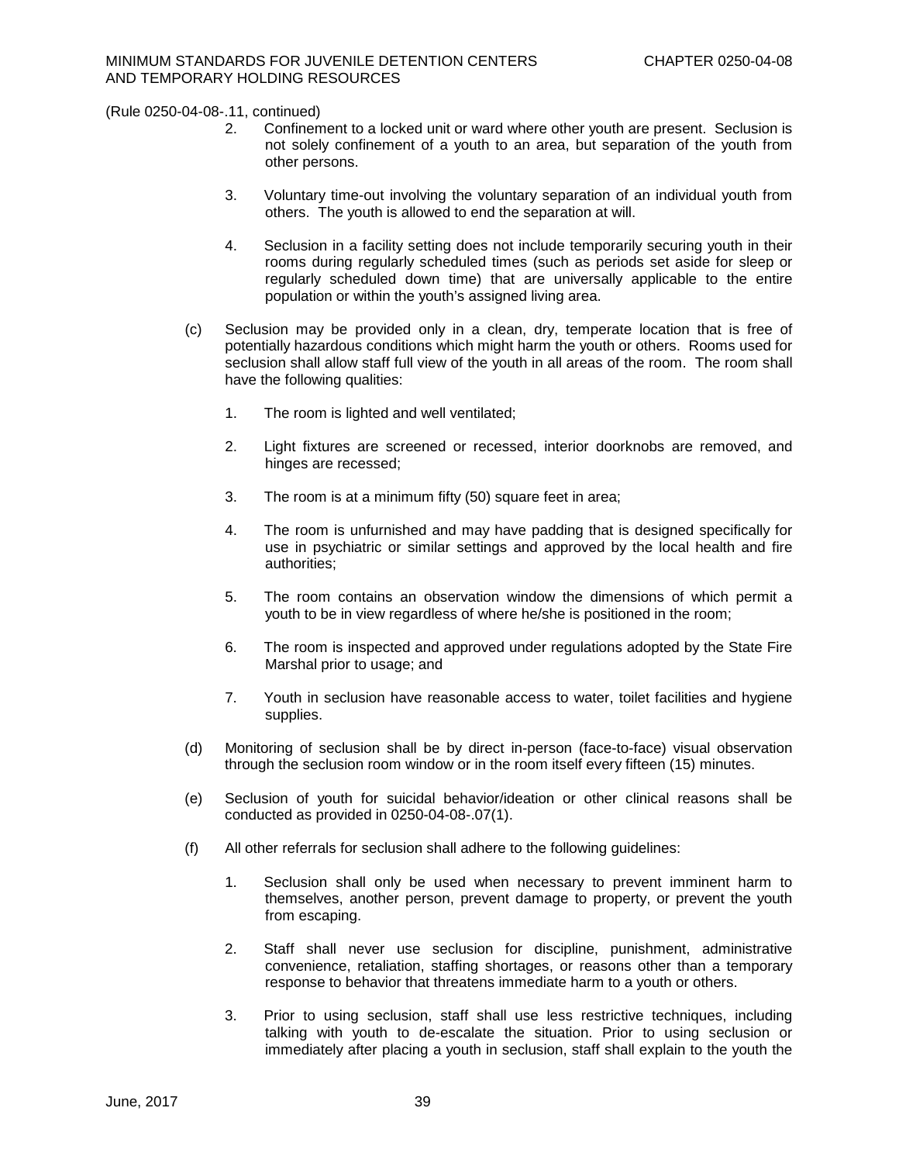- 2. Confinement to a locked unit or ward where other youth are present. Seclusion is not solely confinement of a youth to an area, but separation of the youth from other persons.
- 3. Voluntary time-out involving the voluntary separation of an individual youth from others. The youth is allowed to end the separation at will.
- 4. Seclusion in a facility setting does not include temporarily securing youth in their rooms during regularly scheduled times (such as periods set aside for sleep or regularly scheduled down time) that are universally applicable to the entire population or within the youth's assigned living area.
- (c) Seclusion may be provided only in a clean, dry, temperate location that is free of potentially hazardous conditions which might harm the youth or others. Rooms used for seclusion shall allow staff full view of the youth in all areas of the room. The room shall have the following qualities:
	- 1. The room is lighted and well ventilated;
	- 2. Light fixtures are screened or recessed, interior doorknobs are removed, and hinges are recessed;
	- 3. The room is at a minimum fifty (50) square feet in area;
	- 4. The room is unfurnished and may have padding that is designed specifically for use in psychiatric or similar settings and approved by the local health and fire authorities;
	- 5. The room contains an observation window the dimensions of which permit a youth to be in view regardless of where he/she is positioned in the room;
	- 6. The room is inspected and approved under regulations adopted by the State Fire Marshal prior to usage; and
	- 7. Youth in seclusion have reasonable access to water, toilet facilities and hygiene supplies.
- (d) Monitoring of seclusion shall be by direct in-person (face-to-face) visual observation through the seclusion room window or in the room itself every fifteen (15) minutes.
- (e) Seclusion of youth for suicidal behavior/ideation or other clinical reasons shall be conducted as provided in 0250-04-08-.07(1).
- (f) All other referrals for seclusion shall adhere to the following guidelines:
	- 1. Seclusion shall only be used when necessary to prevent imminent harm to themselves, another person, prevent damage to property, or prevent the youth from escaping.
	- 2. Staff shall never use seclusion for discipline, punishment, administrative convenience, retaliation, staffing shortages, or reasons other than a temporary response to behavior that threatens immediate harm to a youth or others.
	- 3. Prior to using seclusion, staff shall use less restrictive techniques, including talking with youth to de-escalate the situation. Prior to using seclusion or immediately after placing a youth in seclusion, staff shall explain to the youth the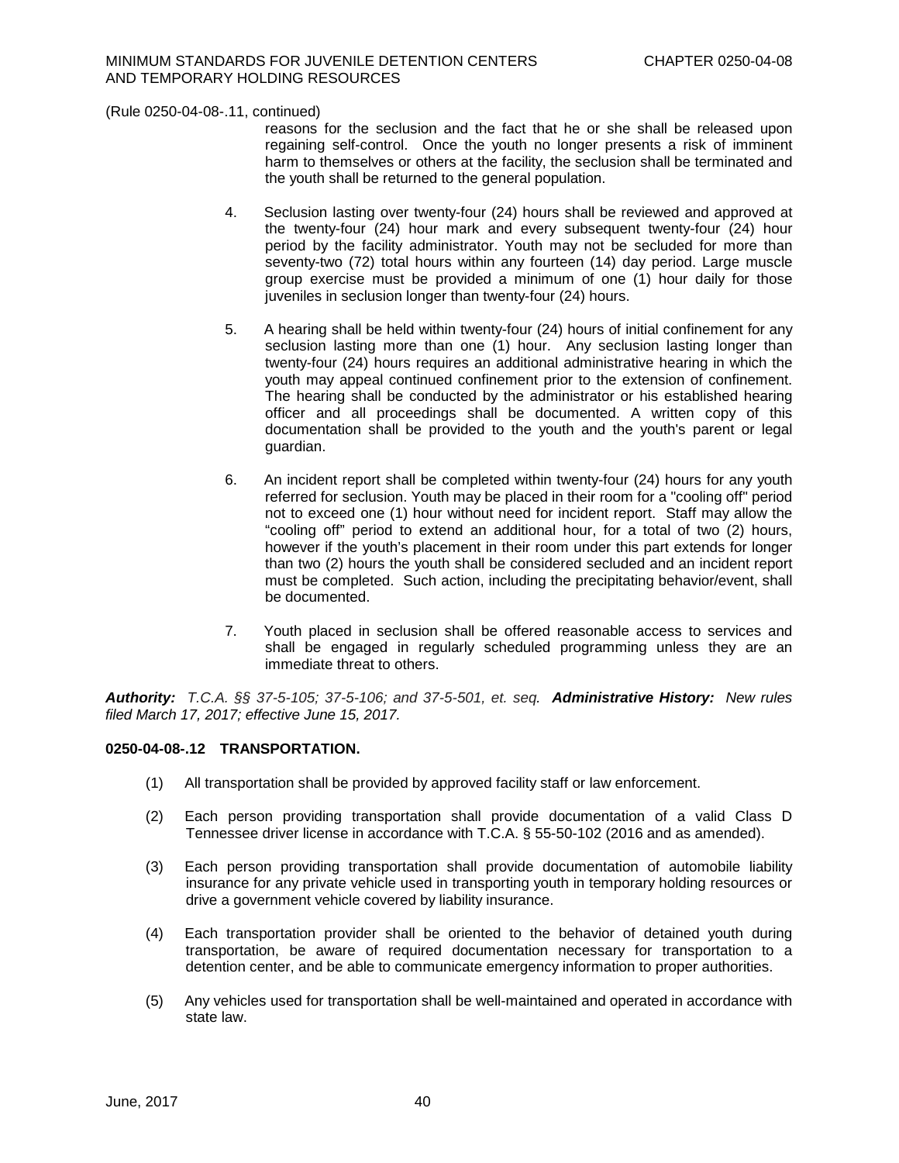reasons for the seclusion and the fact that he or she shall be released upon regaining self-control. Once the youth no longer presents a risk of imminent harm to themselves or others at the facility, the seclusion shall be terminated and the youth shall be returned to the general population.

- 4. Seclusion lasting over twenty-four (24) hours shall be reviewed and approved at the twenty-four (24) hour mark and every subsequent twenty-four (24) hour period by the facility administrator. Youth may not be secluded for more than seventy-two (72) total hours within any fourteen (14) day period. Large muscle group exercise must be provided a minimum of one (1) hour daily for those juveniles in seclusion longer than twenty-four (24) hours.
- 5. A hearing shall be held within twenty-four (24) hours of initial confinement for any seclusion lasting more than one (1) hour. Any seclusion lasting longer than twenty-four (24) hours requires an additional administrative hearing in which the youth may appeal continued confinement prior to the extension of confinement. The hearing shall be conducted by the administrator or his established hearing officer and all proceedings shall be documented. A written copy of this documentation shall be provided to the youth and the youth's parent or legal guardian.
- 6. An incident report shall be completed within twenty-four (24) hours for any youth referred for seclusion. Youth may be placed in their room for a "cooling off" period not to exceed one (1) hour without need for incident report. Staff may allow the "cooling off" period to extend an additional hour, for a total of two (2) hours, however if the youth's placement in their room under this part extends for longer than two (2) hours the youth shall be considered secluded and an incident report must be completed. Such action, including the precipitating behavior/event, shall be documented.
- 7. Youth placed in seclusion shall be offered reasonable access to services and shall be engaged in regularly scheduled programming unless they are an immediate threat to others.

*Authority: T.C.A. §§ 37-5-105; 37-5-106; and 37-5-501, et. seq. Administrative History:**New rules filed March 17, 2017; effective June 15, 2017.*

# **0250-04-08-.12 TRANSPORTATION.**

- (1) All transportation shall be provided by approved facility staff or law enforcement.
- (2) Each person providing transportation shall provide documentation of a valid Class D Tennessee driver license in accordance with T.C.A. § 55-50-102 (2016 and as amended).
- (3) Each person providing transportation shall provide documentation of automobile liability insurance for any private vehicle used in transporting youth in temporary holding resources or drive a government vehicle covered by liability insurance.
- (4) Each transportation provider shall be oriented to the behavior of detained youth during transportation, be aware of required documentation necessary for transportation to a detention center, and be able to communicate emergency information to proper authorities.
- (5) Any vehicles used for transportation shall be well-maintained and operated in accordance with state law.